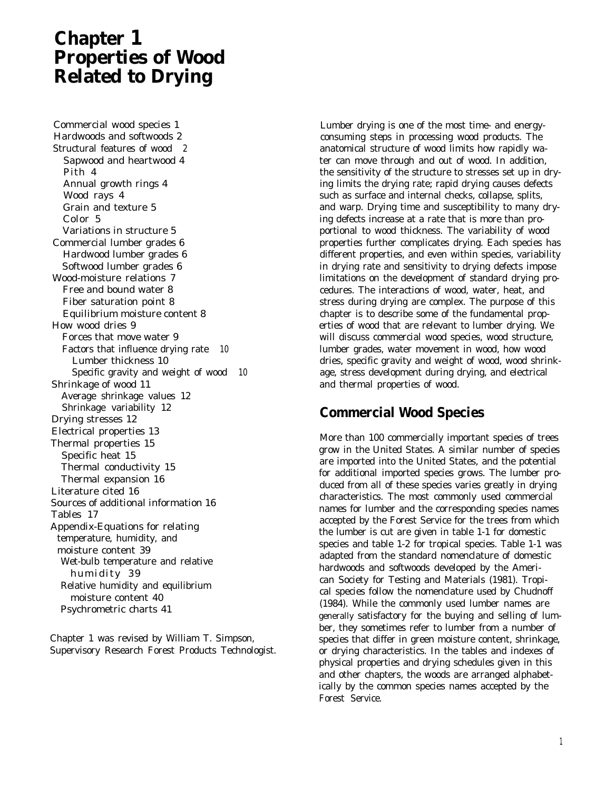# **Chapter 1 Properties of Wood Related to Drying**

Commercial wood species 1 Hardwoods and softwoods 2 Structural features of wood 2 Sapwood and heartwood 4 Pith 4 Annual growth rings 4 Wood rays 4 Grain and texture 5 Color 5 Variations in structure 5 Commercial lumber grades 6 Hardwood lumber grades 6 Softwood lumber grades 6 Wood-moisture relations 7 Free and bound water 8 Fiber saturation point 8 Equilibrium moisture content 8 How wood dries 9 Forces that move water 9 Factors that influence drying rate 10 Lumber thickness 10 Specific gravity and weight of wood 10 Shrinkage of wood 11 Average shrinkage values 12 Shrinkage variability 12 Drying stresses 12 Electrical properties 13 Thermal properties 15 Specific heat 15 Thermal conductivity 15 Thermal expansion 16 Literature cited 16 Sources of additional information 16 Tables 17 Appendix-Equations for relating temperature, humidity, and moisture content 39 Wet-bulb temperature and relative humidity 39 Relative humidity and equilibrium moisture content 40 Psychrometric charts 41

Chapter 1 was revised by William T. Simpson, Supervisory Research Forest Products Technologist.

Lumber drying is one of the most time- and energyconsuming steps in processing wood products. The anatomical structure of wood limits how rapidly water can move through and out of wood. In addition, the sensitivity of the structure to stresses set up in drying limits the drying rate; rapid drying causes defects such as surface and internal checks, collapse, splits, and warp. Drying time and susceptibility to many drying defects increase at a rate that is more than proportional to wood thickness. The variability of wood properties further complicates drying. Each species has different properties, and even within species, variability in drying rate and sensitivity to drying defects impose limitations on the development of standard drying procedures. The interactions of wood, water, heat, and stress during drying are complex. The purpose of this chapter is to describe some of the fundamental properties of wood that are relevant to lumber drying. We will discuss commercial wood species, wood structure, lumber grades, water movement in wood, how wood dries, specific gravity and weight of wood, wood shrinkage, stress development during drying, and electrical and thermal properties of wood.

### **Commercial Wood Species**

More than 100 commercially important species of trees grow in the United States. A similar number of species are imported into the United States, and the potential for additional imported species grows. The lumber produced from all of these species varies greatly in drying characteristics. The most commonly used commercial names for lumber and the corresponding species names accepted by the Forest Service for the trees from which the lumber is cut are given in table 1-1 for domestic species and table 1-2 for tropical species. Table 1-1 was adapted from the standard nomenclature of domestic hardwoods and softwoods developed by the American Society for Testing and Materials (1981). Tropical species follow the nomenclature used by Chudnoff (1984). While the commonly used lumber names are generally satisfactory for the buying and selling of lumber, they sometimes refer to lumber from a number of species that differ in green moisture content, shrinkage, or drying characteristics. In the tables and indexes of physical properties and drying schedules given in this and other chapters, the woods are arranged alphabetically by the common species names accepted by the Forest Service.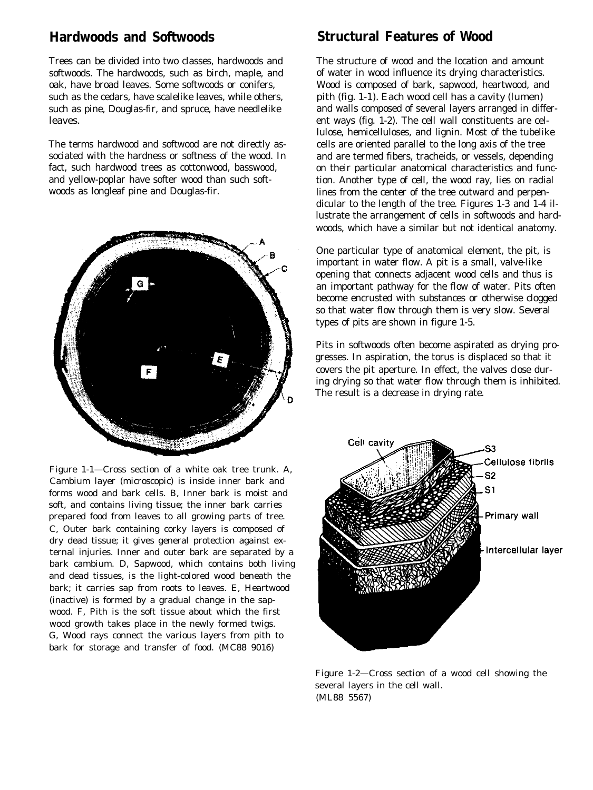### **Hardwoods and Softwoods**

Trees can be divided into two classes, hardwoods and softwoods. The hardwoods, such as birch, maple, and oak, have broad leaves. Some softwoods or conifers, such as the cedars, have scalelike leaves, while others, such as pine, Douglas-fir, and spruce, have needlelike leaves.

The terms hardwood and softwood are not directly associated with the hardness or softness of the wood. In fact, such hardwood trees as cottonwood, basswood, and yellow-poplar have softer wood than such softwoods as longleaf pine and Douglas-fir.



Figure 1-1—Cross section of a white oak tree trunk. A, Cambium layer (microscopic) is inside inner bark and forms wood and bark cells. B, Inner bark is moist and soft, and contains living tissue; the inner bark carries prepared food from leaves to all growing parts of tree. C, Outer bark containing corky layers is composed of dry dead tissue; it gives general protection against external injuries. Inner and outer bark are separated by a bark cambium. D, Sapwood, which contains both living and dead tissues, is the light-colored wood beneath the bark; it carries sap from roots to leaves. E, Heartwood (inactive) is formed by a gradual change in the sapwood. F, Pith is the soft tissue about which the first wood growth takes place in the newly formed twigs. G, Wood rays connect the various layers from pith to bark for storage and transfer of food. (MC88 9016)

### **Structural Features of Wood**

The structure of wood and the location and amount of water in wood influence its drying characteristics. Wood is composed of bark, sapwood, heartwood, and pith (fig. 1-1). Each wood cell has a cavity (lumen) and walls composed of several layers arranged in different ways (fig. 1-2). The cell wall constituents are cellulose, hemicelluloses, and lignin. Most of the tubelike cells are oriented parallel to the long axis of the tree and are termed fibers, tracheids, or vessels, depending on their particular anatomical characteristics and function. Another type of cell, the wood ray, lies on radial lines from the center of the tree outward and perpendicular to the length of the tree. Figures 1-3 and 1-4 illustrate the arrangement of cells in softwoods and hardwoods, which have a similar but not identical anatomy.

One particular type of anatomical element, the pit, is important in water flow. A pit is a small, valve-like opening that connects adjacent wood cells and thus is an important pathway for the flow of water. Pits often become encrusted with substances or otherwise clogged so that water flow through them is very slow. Several types of pits are shown in figure 1-5.

Pits in softwoods often become aspirated as drying progresses. In aspiration, the torus is displaced so that it covers the pit aperture. In effect, the valves close during drying so that water flow through them is inhibited. The result is a decrease in drying rate.



Figure 1-2—Cross section of a wood cell showing the several layers in the cell wall. (ML88 5567)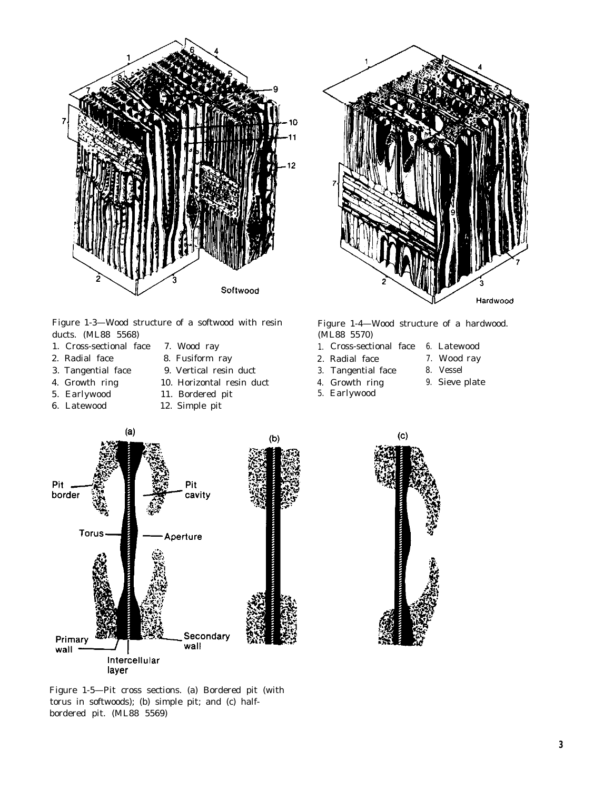

Figure 1-3—Wood structure of a softwood with resin ducts. (ML88 5568)

- 1. Cross-sectional face 7. Wood ray
- 2. Radial face 8. Fusiform ray
- 
- 3. Tangential face 9. Vertical resin duct
- 
- 4. Growth ring 10. Horizontal resin duct

 $(a)$ 

- 
- 5. Earlywood 11. Bordered pit
- 6. Latewood 12. Simple pit



Figure 1-4—Wood structure of a hardwood. (ML88 5570)

- 1. Cross-sectional face 6. Latewood
- 2. Radial face 7. Wood ray
- 3. Tangential face 8. Vessel
- 4. Growth ring 9. Sieve plate
- 5. Earlywood
- 
- 

 $(b)$ Pit Pit border cavity **Torus** Aperture Secondary Primary wall wall Intercellular layer



Figure 1-5—Pit cross sections. (a) Bordered pit (with torus in softwoods); (b) simple pit; and (c) halfbordered pit. (ML88 5569)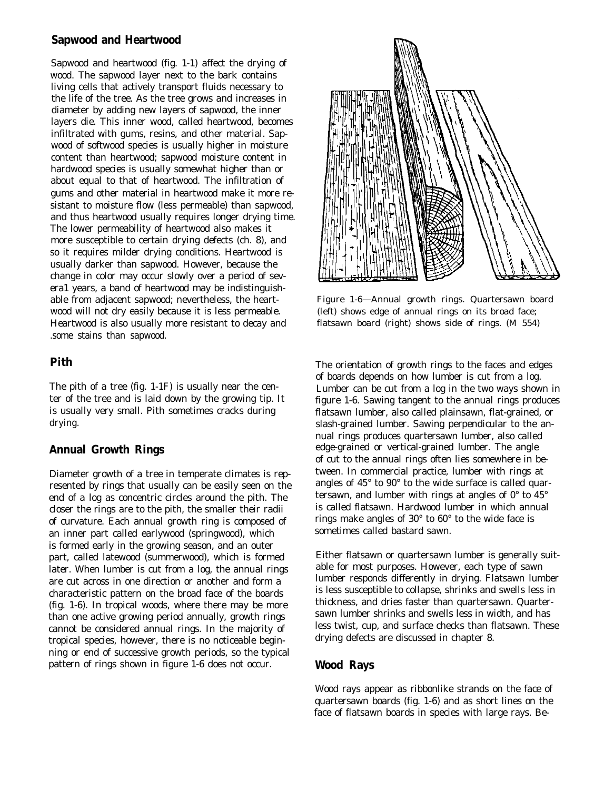#### **Sapwood and Heartwood**

Sapwood and heartwood (fig. 1-1) affect the drying of wood. The sapwood layer next to the bark contains living cells that actively transport fluids necessary to the life of the tree. As the tree grows and increases in diameter by adding new layers of sapwood, the inner layers die. This inner wood, called heartwood, becomes infiltrated with gums, resins, and other material. Sapwood of softwood species is usually higher in moisture content than heartwood; sapwood moisture content in hardwood species is usually somewhat higher than or about equal to that of heartwood. The infiltration of gums and other material in heartwood make it more resistant to moisture flow (less permeable) than sapwood, and thus heartwood usually requires longer drying time. The lower permeability of heartwood also makes it more susceptible to certain drying defects (ch. 8), and so it requires milder drying conditions. Heartwood is usually darker than sapwood. However, because the change in color may occur slowly over a period of severa1 years, a band of heartwood may be indistinguishable from adjacent sapwood; nevertheless, the heartwood will not dry easily because it is less permeable. Heartwood is also usually more resistant to decay and .some stains than sapwood.

#### **Pith**

The pith of a tree (fig. 1-1F) is usually near the center of the tree and is laid down by the growing tip. It is usually very small. Pith sometimes cracks during drying.

#### **Annual Growth Rings**

Diameter growth of a tree in temperate climates is represented by rings that usually can be easily seen on the end of a log as concentric circles around the pith. The closer the rings are to the pith, the smaller their radii of curvature. Each annual growth ring is composed of an inner part called earlywood (springwood), which is formed early in the growing season, and an outer part, called latewood (summerwood), which is formed later. When lumber is cut from a log, the annual rings are cut across in one direction or another and form a characteristic pattern on the broad face of the boards (fig. 1-6). In tropical woods, where there may be more than one active growing period annually, growth rings cannot be considered annual rings. In the majority of tropical species, however, there is no noticeable beginning or end of successive growth periods, so the typical pattern of rings shown in figure 1-6 does not occur.



Figure 1-6—Annual growth rings. Quartersawn board (left) shows edge of annual rings on its broad face; flatsawn board (right) shows side of rings. (M 554)

The orientation of growth rings to the faces and edges of boards depends on how lumber is cut from a log. Lumber can be cut from a log in the two ways shown in figure 1-6. Sawing tangent to the annual rings produces flatsawn lumber, also called plainsawn, flat-grained, or slash-grained lumber. Sawing perpendicular to the annual rings produces quartersawn lumber, also called edge-grained or vertical-grained lumber. The angle of cut to the annual rings often lies somewhere in between. In commercial practice, lumber with rings at angles of 45° to 90° to the wide surface is called quartersawn, and lumber with rings at angles of  $0^{\circ}$  to  $45^{\circ}$ is called flatsawn. Hardwood lumber in which annual rings make angles of 30° to 60° to the wide face is sometimes called bastard sawn.

Either flatsawn or quartersawn lumber is generally suitable for most purposes. However, each type of sawn lumber responds differently in drying. Flatsawn lumber is less susceptible to collapse, shrinks and swells less in thickness, and dries faster than quartersawn. Quartersawn lumber shrinks and swells less in width, and has less twist, cup, and surface checks than flatsawn. These drying defects are discussed in chapter 8.

#### **Wood Rays**

Wood rays appear as ribbonlike strands on the face of quartersawn boards (fig. 1-6) and as short lines on the face of flatsawn boards in species with large rays. Be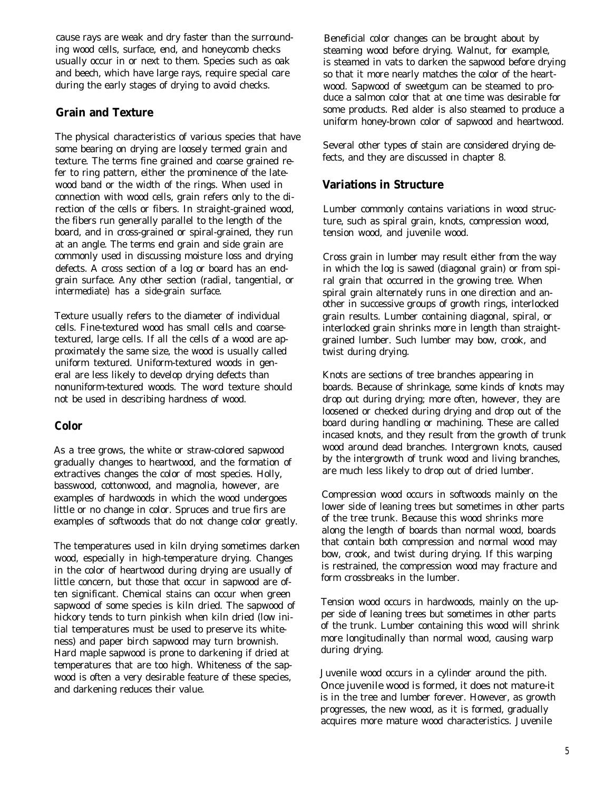cause rays are weak and dry faster than the surrounding wood cells, surface, end, and honeycomb checks usually occur in or next to them. Species such as oak and beech, which have large rays, require special care during the early stages of drying to avoid checks.

#### **Grain and Texture**

The physical characteristics of various species that have some bearing on drying are loosely termed grain and texture. The terms fine grained and coarse grained refer to ring pattern, either the prominence of the latewood band or the width of the rings. When used in connection with wood cells, grain refers only to the direction of the cells or fibers. In straight-grained wood, the fibers run generally parallel to the length of the board, and in cross-grained or spiral-grained, they run at an angle. The terms end grain and side grain are commonly used in discussing moisture loss and drying defects. A cross section of a log or board has an endgrain surface. Any other section (radial, tangential, or intermediate) has a side-grain surface.

Texture usually refers to the diameter of individual cells. Fine-textured wood has small cells and coarsetextured, large cells. If all the cells of a wood are approximately the same size, the wood is usually called uniform textured. Uniform-textured woods in general are less likely to develop drying defects than nonuniform-textured woods. The word texture should not be used in describing hardness of wood.

#### **Color**

As a tree grows, the white or straw-colored sapwood gradually changes to heartwood, and the formation of extractives changes the color of most species. Holly, basswood, cottonwood, and magnolia, however, are examples of hardwoods in which the wood undergoes little or no change in color. Spruces and true firs are examples of softwoods that do not change color greatly.

The temperatures used in kiln drying sometimes darken wood, especially in high-temperature drying. Changes in the color of heartwood during drying are usually of little concern, but those that occur in sapwood are often significant. Chemical stains can occur when green sapwood of some species is kiln dried. The sapwood of hickory tends to turn pinkish when kiln dried (low initial temperatures must be used to preserve its whiteness) and paper birch sapwood may turn brownish. Hard maple sapwood is prone to darkening if dried at temperatures that are too high. Whiteness of the sapwood is often a very desirable feature of these species, and darkening reduces their value.

Beneficial color changes can be brought about by steaming wood before drying. Walnut, for example, is steamed in vats to darken the sapwood before drying so that it more nearly matches the color of the heartwood. Sapwood of sweetgum can be steamed to produce a salmon color that at one time was desirable for some products. Red alder is also steamed to produce a uniform honey-brown color of sapwood and heartwood.

Several other types of stain are considered drying defects, and they are discussed in chapter 8.

#### **Variations in Structure**

Lumber commonly contains variations in wood structure, such as spiral grain, knots, compression wood, tension wood, and juvenile wood.

Cross grain in lumber may result either from the way in which the log is sawed (diagonal grain) or from spiral grain that occurred in the growing tree. When spiral grain alternately runs in one direction and another in successive groups of growth rings, interlocked grain results. Lumber containing diagonal, spiral, or interlocked grain shrinks more in length than straightgrained lumber. Such lumber may bow, crook, and twist during drying.

Knots are sections of tree branches appearing in boards. Because of shrinkage, some kinds of knots may drop out during drying; more often, however, they are loosened or checked during drying and drop out of the board during handling or machining. These are called incased knots, and they result from the growth of trunk wood around dead branches. Intergrown knots, caused by the intergrowth of trunk wood and living branches, are much less likely to drop out of dried lumber.

Compression wood occurs in softwoods mainly on the lower side of leaning trees but sometimes in other parts of the tree trunk. Because this wood shrinks more along the length of boards than normal wood, boards that contain both compression and normal wood may bow, crook, and twist during drying. If this warping is restrained, the compression wood may fracture and form crossbreaks in the lumber.

Tension wood occurs in hardwoods, mainly on the upper side of leaning trees but sometimes in other parts of the trunk. Lumber containing this wood will shrink more longitudinally than normal wood, causing warp during drying.

Juvenile wood occurs in a cylinder around the pith. Once juvenile wood is formed, it does not mature-it is in the tree and lumber forever. However, as growth progresses, the new wood, as it is formed, gradually acquires more mature wood characteristics. Juvenile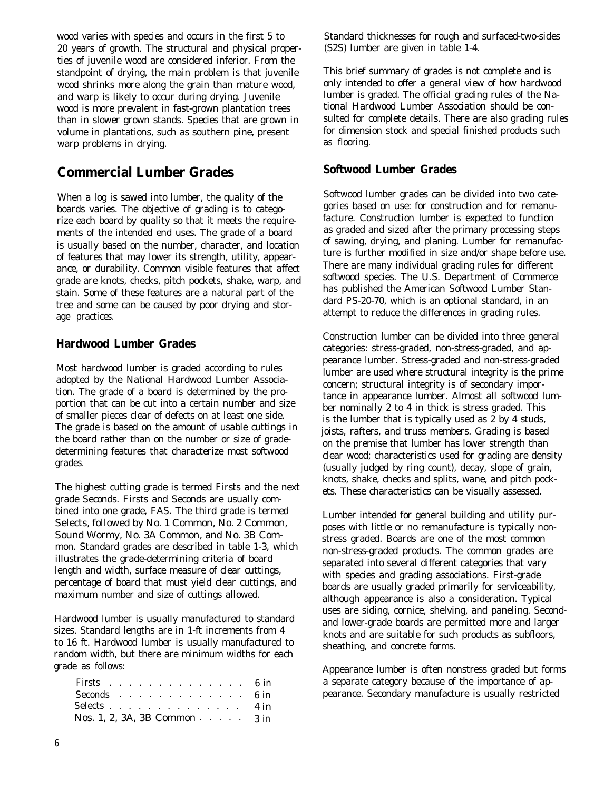wood varies with species and occurs in the first 5 to 20 years of growth. The structural and physical properties of juvenile wood are considered inferior. From the standpoint of drying, the main problem is that juvenile wood shrinks more along the grain than mature wood, and warp is likely to occur during drying. Juvenile wood is more prevalent in fast-grown plantation trees than in slower grown stands. Species that are grown in volume in plantations, such as southern pine, present warp problems in drying.

### **Commercial Lumber Grades**

When a log is sawed into lumber, the quality of the boards varies. The objective of grading is to categorize each board by quality so that it meets the requirements of the intended end uses. The grade of a board is usually based on the number, character, and location of features that may lower its strength, utility, appearance, or durability. Common visible features that affect grade are knots, checks, pitch pockets, shake, warp, and stain. Some of these features are a natural part of the tree and some can be caused by poor drying and storage practices.

#### **Hardwood Lumber Grades**

Most hardwood lumber is graded according to rules adopted by the National Hardwood Lumber Association. The grade of a board is determined by the proportion that can be cut into a certain number and size of smaller pieces clear of defects on at least one side. The grade is based on the amount of usable cuttings in the board rather than on the number or size of gradedetermining features that characterize most softwood grades.

The highest cutting grade is termed Firsts and the next grade Seconds. Firsts and Seconds are usually combined into one grade, FAS. The third grade is termed Selects, followed by No. 1 Common, No. 2 Common, Sound Wormy, No. 3A Common, and No. 3B Common. Standard grades are described in table 1-3, which illustrates the grade-determining criteria of board length and width, surface measure of clear cuttings, percentage of board that must yield clear cuttings, and maximum number and size of cuttings allowed.

Hardwood lumber is usually manufactured to standard sizes. Standard lengths are in 1-ft increments from 4 to 16 ft. Hardwood lumber is usually manufactured to random width, but there are minimum widths for each grade as follows:

| Firsts 6 in                                                   |  |  |  |  |  |  |  |
|---------------------------------------------------------------|--|--|--|--|--|--|--|
| Seconds 6 in                                                  |  |  |  |  |  |  |  |
| Selects 4 in                                                  |  |  |  |  |  |  |  |
| Nos. 1, 2, 3A, 3B Common $\cdot \cdot \cdot \cdot \cdot 3$ in |  |  |  |  |  |  |  |

Standard thicknesses for rough and surfaced-two-sides (S2S) lumber are given in table 1-4.

This brief summary of grades is not complete and is only intended to offer a general view of how hardwood lumber is graded. The official grading rules of the National Hardwood Lumber Association should be consulted for complete details. There are also grading rules for dimension stock and special finished products such as flooring.

#### **Softwood Lumber Grades**

Softwood lumber grades can be divided into two categories based on use: for construction and for remanufacture. Construction lumber is expected to function as graded and sized after the primary processing steps of sawing, drying, and planing. Lumber for remanufacture is further modified in size and/or shape before use. There are many individual grading rules for different softwood species. The U.S. Department of Commerce has published the American Softwood Lumber Standard PS-20-70, which is an optional standard, in an attempt to reduce the differences in grading rules.

Construction lumber can be divided into three general categories: stress-graded, non-stress-graded, and appearance lumber. Stress-graded and non-stress-graded lumber are used where structural integrity is the prime concern; structural integrity is of secondary importance in appearance lumber. Almost all softwood lumber nominally 2 to 4 in thick is stress graded. This is the lumber that is typically used as 2 by 4 studs, joists, rafters, and truss members. Grading is based on the premise that lumber has lower strength than clear wood; characteristics used for grading are density (usually judged by ring count), decay, slope of grain, knots, shake, checks and splits, wane, and pitch pockets. These characteristics can be visually assessed.

Lumber intended for general building and utility purposes with little or no remanufacture is typically nonstress graded. Boards are one of the most common non-stress-graded products. The common grades are separated into several different categories that vary with species and grading associations. First-grade boards are usually graded primarily for serviceability, although appearance is also a consideration. Typical uses are siding, cornice, shelving, and paneling. Secondand lower-grade boards are permitted more and larger knots and are suitable for such products as subfloors, sheathing, and concrete forms.

Appearance lumber is often nonstress graded but forms a separate category because of the importance of appearance. Secondary manufacture is usually restricted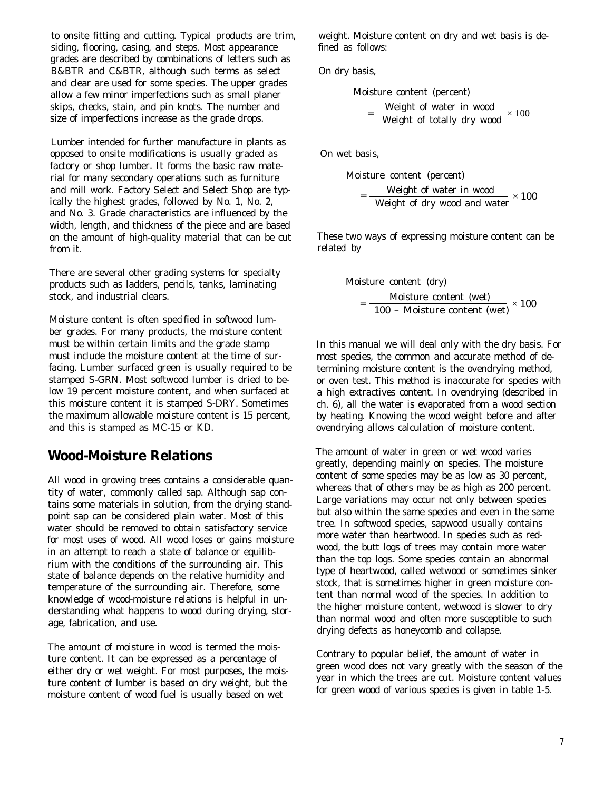to onsite fitting and cutting. Typical products are trim, siding, flooring, casing, and steps. Most appearance grades are described by combinations of letters such as B&BTR and C&BTR, although such terms as select and clear are used for some species. The upper grades allow a few minor imperfections such as small planer skips, checks, stain, and pin knots. The number and size of imperfections increase as the grade drops.

Lumber intended for further manufacture in plants as opposed to onsite modifications is usually graded as factory or shop lumber. It forms the basic raw material for many secondary operations such as furniture and mill work. Factory Select and Select Shop are typically the highest grades, followed by No. 1, No. 2, and No. 3. Grade characteristics are influenced by the width, length, and thickness of the piece and are based on the amount of high-quality material that can be cut from it.

There are several other grading systems for specialty products such as ladders, pencils, tanks, laminating stock, and industrial clears.

Moisture content is often specified in softwood lumber grades. For many products, the moisture content must be within certain limits and the grade stamp must include the moisture content at the time of surfacing. Lumber surfaced green is usually required to be stamped S-GRN. Most softwood lumber is dried to below 19 percent moisture content, and when surfaced at this moisture content it is stamped S-DRY. Sometimes the maximum allowable moisture content is 15 percent, and this is stamped as MC-15 or KD.

## **Wood-Moisture Relations**

All wood in growing trees contains a considerable quantity of water, commonly called sap. Although sap contains some materials in solution, from the drying standpoint sap can be considered plain water. Most of this water should be removed to obtain satisfactory service for most uses of wood. All wood loses or gains moisture in an attempt to reach a state of balance or equilibrium with the conditions of the surrounding air. This state of balance depends on the relative humidity and temperature of the surrounding air. Therefore, some knowledge of wood-moisture relations is helpful in understanding what happens to wood during drying, storage, fabrication, and use.

The amount of moisture in wood is termed the moisture content. It can be expressed as a percentage of either dry or wet weight. For most purposes, the moisture content of lumber is based on dry weight, but the moisture content of wood fuel is usually based on wet

weight. Moisture content on dry and wet basis is defined as follows:

On dry basis,

Moisture content (percent)

\n
$$
= \frac{\text{Weight of water in wood}}{\text{Weight of totally dry wood}} \times 100
$$

On wet basis,

Moisture content (percent)

\n
$$
= \frac{\text{Weight of water in wood}}{\text{Weight of dry wood and water}} \times 100
$$

These two ways of expressing moisture content can be related by

Moisture content (dry)

\n
$$
= \frac{\text{Moisture content (wet)}}{100 - \text{Moisture content (wet)}} \times 100
$$

In this manual we will deal only with the dry basis. For most species, the common and accurate method of determining moisture content is the ovendrying method, or oven test. This method is inaccurate for species with a high extractives content. In ovendrying (described in ch. 6), all the water is evaporated from a wood section by heating. Knowing the wood weight before and after ovendrying allows calculation of moisture content.

The amount of water in green or wet wood varies greatly, depending mainly on species. The moisture content of some species may be as low as 30 percent, whereas that of others may be as high as 200 percent. Large variations may occur not only between species but also within the same species and even in the same tree. In softwood species, sapwood usually contains more water than heartwood. In species such as redwood, the butt logs of trees may contain more water than the top logs. Some species contain an abnormal type of heartwood, called wetwood or sometimes sinker stock, that is sometimes higher in green moisture content than normal wood of the species. In addition to the higher moisture content, wetwood is slower to dry than normal wood and often more susceptible to such drying defects as honeycomb and collapse.

Contrary to popular belief, the amount of water in green wood does not vary greatly with the season of the year in which the trees are cut. Moisture content values for green wood of various species is given in table 1-5.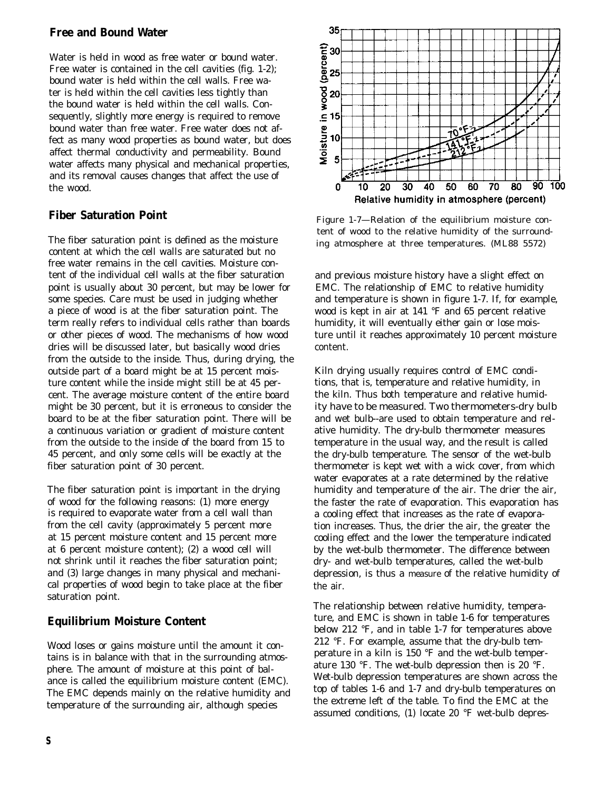#### **Free and Bound Water**

Water is held in wood as free water or bound water. Free water is contained in the cell cavities (fig. 1-2); bound water is held within the cell walls. Free water is held within the cell cavities less tightly than the bound water is held within the cell walls. Consequently, slightly more energy is required to remove bound water than free water. Free water does not affect as many wood properties as bound water, but does affect thermal conductivity and permeability. Bound water affects many physical and mechanical properties, and its removal causes changes that affect the use of the wood.

### **Fiber Saturation Point**

The fiber saturation point is defined as the moisture content at which the cell walls are saturated but no free water remains in the cell cavities. Moisture content of the individual cell walls at the fiber saturation point is usually about 30 percent, but may be lower for some species. Care must be used in judging whether a piece of wood is at the fiber saturation point. The term really refers to individual cells rather than boards or other pieces of wood. The mechanisms of how wood dries will be discussed later, but basically wood dries from the outside to the inside. Thus, during drying, the outside part of a board might be at 15 percent moisture content while the inside might still be at 45 percent. The average moisture content of the entire board might be 30 percent, but it is erroneous to consider the board to be at the fiber saturation point. There will be a continuous variation or gradient of moisture content from the outside to the inside of the board from 15 to 45 percent, and only some cells will be exactly at the fiber saturation point of 30 percent.

The fiber saturation point is important in the drying of wood for the following reasons: (1) more energy is required to evaporate water from a cell wall than from the cell cavity (approximately 5 percent more at 15 percent moisture content and 15 percent more at 6 percent moisture content); (2) a wood cell will not shrink until it reaches the fiber saturation point; and (3) large changes in many physical and mechanical properties of wood begin to take place at the fiber saturation point.

### **Equilibrium Moisture Content**

Wood loses or gains moisture until the amount it contains is in balance with that in the surrounding atmosphere. The amount of moisture at this point of balance is called the equilibrium moisture content (EMC). The EMC depends mainly on the relative humidity and temperature of the surrounding air, although species



Figure 1-7—Relation of the equilibrium moisture content of wood to the relative humidity of the surrounding atmosphere at three temperatures. (ML88 5572)

and previous moisture history have a slight effect on EMC. The relationship of EMC to relative humidity and temperature is shown in figure 1-7. If, for example, wood is kept in air at 141 °F and 65 percent relative humidity, it will eventually either gain or lose moisture until it reaches approximately 10 percent moisture content.

Kiln drying usually requires control of EMC conditions, that is, temperature and relative humidity, in the kiln. Thus both temperature and relative humidity have to be measured. Two thermometers-dry bulb and wet bulb--are used to obtain temperature and relative humidity. The dry-bulb thermometer measures temperature in the usual way, and the result is called the dry-bulb temperature. The sensor of the wet-bulb thermometer is kept wet with a wick cover, from which water evaporates at a rate determined by the relative humidity and temperature of the air. The drier the air, the faster the rate of evaporation. This evaporation has a cooling effect that increases as the rate of evaporation increases. Thus, the drier the air, the greater the cooling effect and the lower the temperature indicated by the wet-bulb thermometer. The difference between dry- and wet-bulb temperatures, called the wet-bulb depression, is thus a measure of the relative humidity of the air.

The relationship between relative humidity, temperature, and EMC is shown in table 1-6 for temperatures below 212 °F, and in table 1-7 for temperatures above 212 °F. For example, assume that the dry-bulb temperature in a kiln is 150 °F and the wet-bulb temperature 130 °F. The wet-bulb depression then is 20 °F. Wet-bulb depression temperatures are shown across the top of tables 1-6 and 1-7 and dry-bulb temperatures on the extreme left of the table. To find the EMC at the assumed conditions, (1) locate 20 °F wet-bulb depres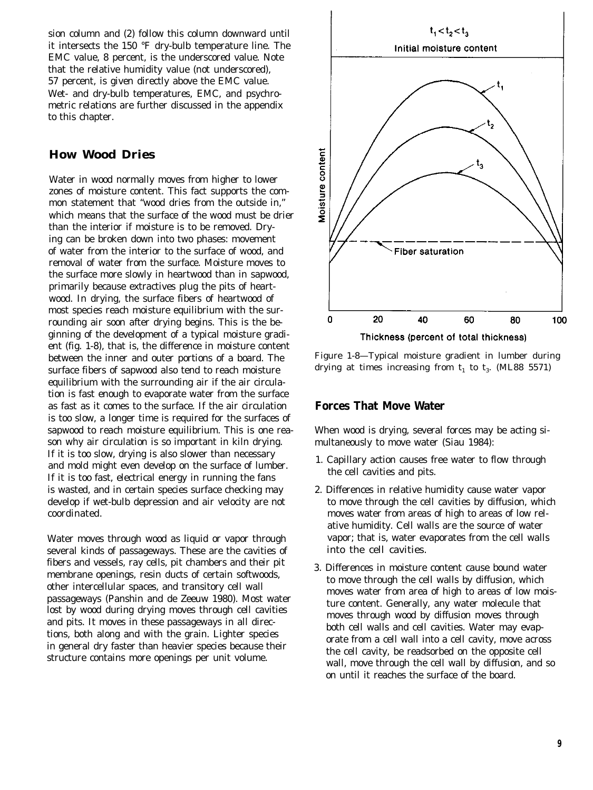sion column and (2) follow this column downward until it intersects the 150 °F dry-bulb temperature line. The EMC value, 8 percent, is the underscored value. Note that the relative humidity value (not underscored), 57 percent, is given directly above the EMC value. Wet- and dry-bulb temperatures, EMC, and psychrometric relations are further discussed in the appendix to this chapter.

### **How Wood Dries**

Water in wood normally moves from higher to lower zones of moisture content. This fact supports the common statement that "wood dries from the outside in," which means that the surface of the wood must be drier than the interior if moisture is to be removed. Drying can be broken down into two phases: movement of water from the interior to the surface of wood, and removal of water from the surface. Moisture moves to the surface more slowly in heartwood than in sapwood, primarily because extractives plug the pits of heartwood. In drying, the surface fibers of heartwood of most species reach moisture equilibrium with the surrounding air soon after drying begins. This is the beginning of the development of a typical moisture gradient (fig. 1-8), that is, the difference in moisture content between the inner and outer portions of a board. The surface fibers of sapwood also tend to reach moisture equilibrium with the surrounding air if the air circulation is fast enough to evaporate water from the surface as fast as it comes to the surface. If the air circulation is too slow, a longer time is required for the surfaces of sapwood to reach moisture equilibrium. This is one reason why air circulation is so important in kiln drying. If it is too slow, drying is also slower than necessary and mold might even develop on the surface of lumber. If it is too fast, electrical energy in running the fans is wasted, and in certain species surface checking may develop if wet-bulb depression and air velocity are not coordinated.

Water moves through wood as liquid or vapor through several kinds of passageways. These are the cavities of fibers and vessels, ray cells, pit chambers and their pit membrane openings, resin ducts of certain softwoods, other intercellular spaces, and transitory cell wall passageways (Panshin and de Zeeuw 1980). Most water lost by wood during drying moves through cell cavities and pits. It moves in these passageways in all directions, both along and with the grain. Lighter species in general dry faster than heavier species because their structure contains more openings per unit volume.



Figure 1-8—Typical moisture gradient in lumber during drying at times increasing from  $t_1$  to  $t_3$ . (ML88 5571)

#### **Forces That Move Water**

When wood is drying, several forces may be acting simultaneously to move water (Siau 1984):

- 1. Capillary action causes free water to flow through the cell cavities and pits.
- 2. Differences in relative humidity cause water vapor to move through the cell cavities by diffusion, which moves water from areas of high to areas of low relative humidity. Cell walls are the source of water vapor; that is, water evaporates from the cell walls into the cell cavities.
- 3. Differences in moisture content cause bound water to move through the cell walls by diffusion, which moves water from area of high to areas of low moisture content. Generally, any water molecule that moves through wood by diffusion moves through both cell walls and cell cavities. Water may evaporate from a cell wall into a cell cavity, move across the cell cavity, be readsorbed on the opposite cell wall, move through the cell wall by diffusion, and so on until it reaches the surface of the board.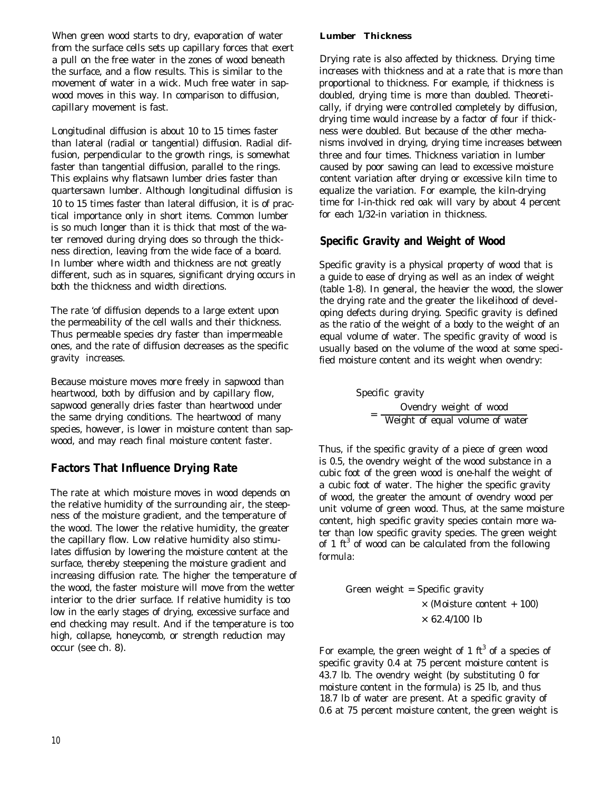When green wood starts to dry, evaporation of water from the surface cells sets up capillary forces that exert a pull on the free water in the zones of wood beneath the surface, and a flow results. This is similar to the movement of water in a wick. Much free water in sapwood moves in this way. In comparison to diffusion, capillary movement is fast.

Longitudinal diffusion is about 10 to 15 times faster than lateral (radial or tangential) diffusion. Radial diffusion, perpendicular to the growth rings, is somewhat faster than tangential diffusion, parallel to the rings. This explains why flatsawn lumber dries faster than quartersawn lumber. Although longitudinal diffusion is 10 to 15 times faster than lateral diffusion, it is of practical importance only in short items. Common lumber is so much longer than it is thick that most of the water removed during drying does so through the thickness direction, leaving from the wide face of a board. In lumber where width and thickness are not greatly different, such as in squares, significant drying occurs in both the thickness and width directions.

The rate 'of diffusion depends to a large extent upon the permeability of the cell walls and their thickness. Thus permeable species dry faster than impermeable ones, and the rate of diffusion decreases as the specific gravity increases.

Because moisture moves more freely in sapwood than heartwood, both by diffusion and by capillary flow, sapwood generally dries faster than heartwood under the same drying conditions. The heartwood of many species, however, is lower in moisture content than sapwood, and may reach final moisture content faster.

### **Factors That Influence Drying Rate**

The rate at which moisture moves in wood depends on the relative humidity of the surrounding air, the steepness of the moisture gradient, and the temperature of the wood. The lower the relative humidity, the greater the capillary flow. Low relative humidity also stimulates diffusion by lowering the moisture content at the surface, thereby steepening the moisture gradient and increasing diffusion rate. The higher the temperature of the wood, the faster moisture will move from the wetter interior to the drier surface. If relative humidity is too low in the early stages of drying, excessive surface and end checking may result. And if the temperature is too high, collapse, honeycomb, or strength reduction may occur (see ch. 8).

#### *Lumber Thickness*

Drying rate is also affected by thickness. Drying time increases with thickness and at a rate that is more than proportional to thickness. For example, if thickness is doubled, drying time is more than doubled. Theoretically, if drying were controlled completely by diffusion, drying time would increase by a factor of four if thickness were doubled. But because of the other mechanisms involved in drying, drying time increases between three and four times. Thickness variation in lumber caused by poor sawing can lead to excessive moisture content variation after drying or excessive kiln time to equalize the variation. For example, the kiln-drying time for l-in-thick red oak will vary by about 4 percent for each 1/32-in variation in thickness.

### **Specific Gravity and Weight of Wood**

Specific gravity is a physical property of wood that is a guide to ease of drying as well as an index of weight (table 1-8). In general, the heavier the wood, the slower the drying rate and the greater the likelihood of developing defects during drying. Specific gravity is defined as the ratio of the weight of a body to the weight of an equal volume of water. The specific gravity of wood is usually based on the volume of the wood at some specified moisture content and its weight when ovendry:

> Specific gravity Ovendry weight of wood  $=\frac{64.444 \times 10^{-14} \text{ J}}{4.444 \times 10^{-14} \text{ J}}$

Thus, if the specific gravity of a piece of green wood is 0.5, the ovendry weight of the wood substance in a cubic foot of the green wood is one-half the weight of a cubic foot of water. The higher the specific gravity of wood, the greater the amount of ovendry wood per unit volume of green wood. Thus, at the same moisture content, high specific gravity species contain more water than low specific gravity species. The green weight of 1  $\text{ft}^3$  of wood can be calculated from the following formula:

> Green weight = Specific gravity × (Moisture content + 100)  $\times$  62.4/100 lb

For example, the green weight of 1 ft<sup>3</sup> of a species of specific gravity 0.4 at 75 percent moisture content is 43.7 lb. The ovendry weight (by substituting 0 for moisture content in the formula) is 25 lb, and thus 18.7 lb of water are present. At a specific gravity of 0.6 at 75 percent moisture content, the green weight is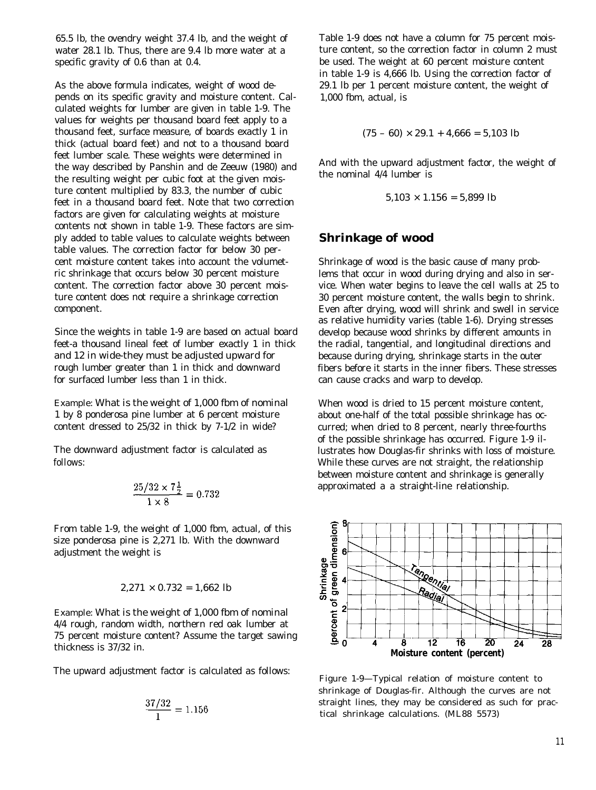65.5 lb, the ovendry weight 37.4 lb, and the weight of water 28.1 lb. Thus, there are 9.4 lb more water at a specific gravity of 0.6 than at 0.4.

As the above formula indicates, weight of wood depends on its specific gravity and moisture content. Calculated weights for lumber are given in table 1-9. The values for weights per thousand board feet apply to a thousand feet, surface measure, of boards exactly 1 in thick (actual board feet) and not to a thousand board feet lumber scale. These weights were determined in the way described by Panshin and de Zeeuw (1980) and the resulting weight per cubic foot at the given moisture content multiplied by 83.3, the number of cubic feet in a thousand board feet. Note that two correction factors are given for calculating weights at moisture contents not shown in table 1-9. These factors are simply added to table values to calculate weights between table values. The correction factor for below 30 percent moisture content takes into account the volumetric shrinkage that occurs below 30 percent moisture content. The correction factor above 30 percent moisture content does not require a shrinkage correction component.

Since the weights in table 1-9 are based on actual board feet-a thousand lineal feet of lumber exactly 1 in thick and 12 in wide-they must be adjusted upward for rough lumber greater than 1 in thick and downward for surfaced lumber less than 1 in thick.

Example: What is the weight of 1,000 fbm of nominal 1 by 8 ponderosa pine lumber at 6 percent moisture content dressed to 25/32 in thick by 7-1/2 in wide?

The downward adjustment factor is calculated as follows:

$$
\frac{25/32 \times 7\frac{1}{2}}{1 \times 8} = 0.732
$$

From table 1-9, the weight of 1,000 fbm, actual, of this size ponderosa pine is 2,271 lb. With the downward adjustment the weight is

$$
2,271 \times 0.732 = 1,662
$$
 lb

Example: What is the weight of 1,000 fbm of nominal 4/4 rough, random width, northern red oak lumber at 75 percent moisture content? Assume the target sawing thickness is 37/32 in.

The upward adjustment factor is calculated as follows:

$$
\frac{37/32}{1} = 1.156
$$

Table 1-9 does not have a column for 75 percent moisture content, so the correction factor in column 2 must be used. The weight at 60 percent moisture content in table 1-9 is 4,666 lb. Using the correction factor of 29.1 lb per 1 percent moisture content, the weight of 1,000 fbm, actual, is

$$
(75-60) \times 29.1 + 4,666 = 5,103
$$
 lb

And with the upward adjustment factor, the weight of the nominal 4/4 lumber is

$$
5,103 \times 1.156 = 5,899
$$
 lb

#### **Shrinkage of wood**

Shrinkage of wood is the basic cause of many problems that occur in wood during drying and also in service. When water begins to leave the cell walls at 25 to 30 percent moisture content, the walls begin to shrink. Even after drying, wood will shrink and swell in service as relative humidity varies (table 1-6). Drying stresses develop because wood shrinks by different amounts in the radial, tangential, and longitudinal directions and because during drying, shrinkage starts in the outer fibers before it starts in the inner fibers. These stresses can cause cracks and warp to develop.

When wood is dried to 15 percent moisture content, about one-half of the total possible shrinkage has occurred; when dried to 8 percent, nearly three-fourths of the possible shrinkage has occurred. Figure 1-9 illustrates how Douglas-fir shrinks with loss of moisture. While these curves are not straight, the relationship between moisture content and shrinkage is generally approximated a a straight-line relationship.



Figure 1-9—Typical relation of moisture content to shrinkage of Douglas-fir. Although the curves are not straight lines, they may be considered as such for practical shrinkage calculations. (ML88 5573)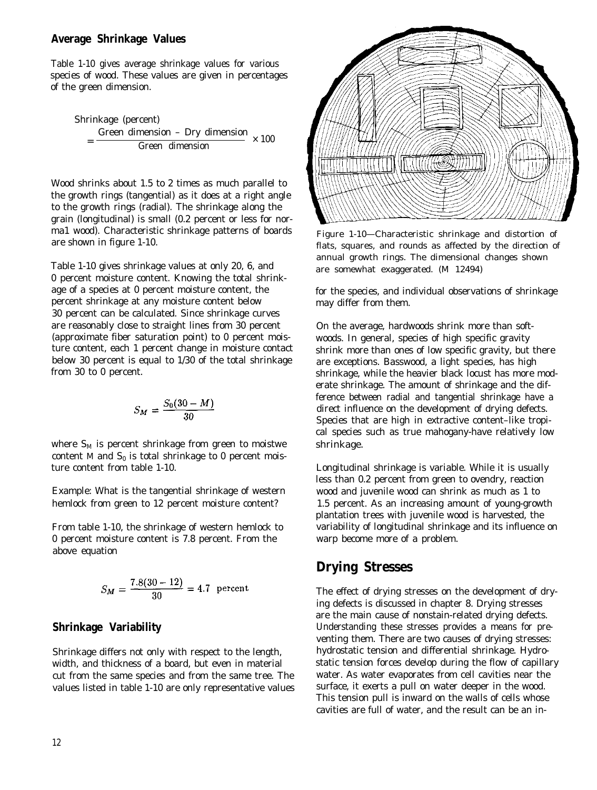#### **Average Shrinkage Values**

Table 1-10 gives average shrinkage values for various species of wood. These values are given in percentages of the green dimension.

Shrinkage (percent)  
= 
$$
\frac{\text{Green dimension} - \text{Dry dimension}}{\text{Green dimension}} \times 100
$$

Wood shrinks about 1.5 to 2 times as much parallel to the growth rings (tangential) as it does at a right angle to the growth rings (radial). The shrinkage along the grain (longitudinal) is small (0.2 percent or less for norma1 wood). Characteristic shrinkage patterns of boards are shown in figure 1-10.

Table 1-10 gives shrinkage values at only 20, 6, and 0 percent moisture content. Knowing the total shrinkage of a species at 0 percent moisture content, the percent shrinkage at any moisture content below 30 percent can be calculated. Since shrinkage curves are reasonably close to straight lines from 30 percent (approximate fiber saturation point) to 0 percent moisture content, each 1 percent change in moisture contact below 30 percent is equal to 1/30 of the total shrinkage from 30 to 0 percent.

$$
S_M=\frac{S_0(30-M)}{30}
$$

where  $S_M$  is percent shrinkage from green to moistwe content M and  $\mathrm{S}_0$  is total shrinkage to 0 percent moisture content from table 1-10.

Example: What is the tangential shrinkage of western hemlock from green to 12 percent moisture content?

From table 1-10, the shrinkage of western hemlock to 0 percent moisture content is 7.8 percent. From the above equation

$$
S_M = \frac{7.8(30 - 12)}{30} = 4.7
$$
 percent

#### **Shrinkage Variability**

Shrinkage differs not only with respect to the length, width, and thickness of a board, but even in material cut from the same species and from the same tree. The values listed in table 1-10 are only representative values



Figure 1-10—Characteristic shrinkage and distortion of flats, squares, and rounds as affected by the direction of annual growth rings. The dimensional changes shown are somewhat exaggerated. (M 12494)

for the species, and individual observations of shrinkage may differ from them.

On the average, hardwoods shrink more than softwoods. In general, species of high specific gravity shrink more than ones of low specific gravity, but there are exceptions. Basswood, a light species, has high shrinkage, while the heavier black locust has more moderate shrinkage. The amount of shrinkage and the difference between radial and tangential shrinkage have a direct influence on the development of drying defects. Species that are high in extractive content–like tropical species such as true mahogany-have relatively low shrinkage.

Longitudinal shrinkage is variable. While it is usually less than 0.2 percent from green to ovendry, reaction wood and juvenile wood can shrink as much as 1 to 1.5 percent. As an increasing amount of young-growth plantation trees with juvenile wood is harvested, the variability of longitudinal shrinkage and its influence on warp become more of a problem.

### **Drying Stresses**

The effect of drying stresses on the development of drying defects is discussed in chapter 8. Drying stresses are the main cause of nonstain-related drying defects. Understanding these stresses provides a means for preventing them. There are two causes of drying stresses: hydrostatic tension and differential shrinkage. Hydrostatic tension forces develop during the flow of capillary water. As water evaporates from cell cavities near the surface, it exerts a pull on water deeper in the wood. This tension pull is inward on the walls of cells whose cavities are full of water, and the result can be an in-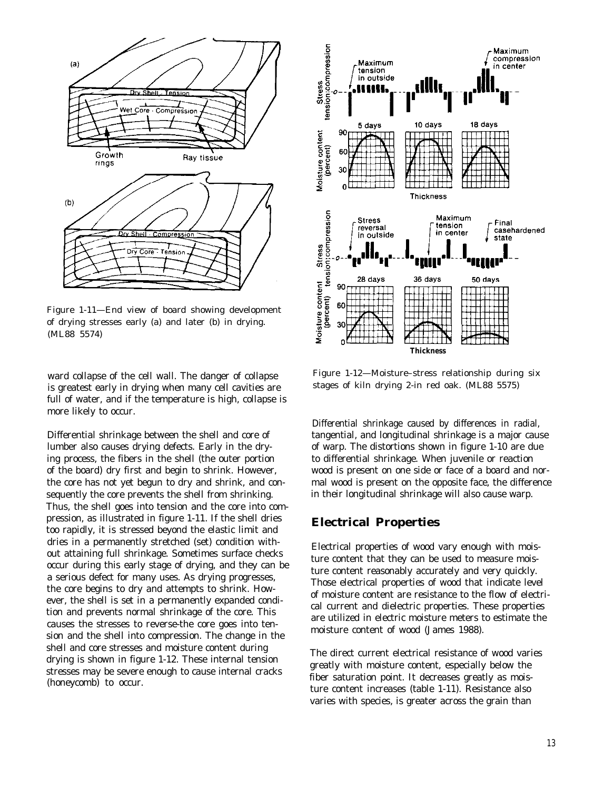

Figure 1-11—End view of board showing development of drying stresses early (a) and later (b) in drying. (ML88 5574)

ward collapse of the cell wall. The danger of collapse is greatest early in drying when many cell cavities are full of water, and if the temperature is high, collapse is more likely to occur.

Differential shrinkage between the shell and core of lumber also causes drying defects. Early in the drying process, the fibers in the shell (the outer portion of the board) dry first and begin to shrink. However, the core has not yet begun to dry and shrink, and consequently the core prevents the shell from shrinking. Thus, the shell goes into tension and the core into compression, as illustrated in figure 1-11. If the shell dries too rapidly, it is stressed beyond the elastic limit and dries in a permanently stretched (set) condition without attaining full shrinkage. Sometimes surface checks occur during this early stage of drying, and they can be a serious defect for many uses. As drying progresses, the core begins to dry and attempts to shrink. However, the shell is set in a permanently expanded condition and prevents normal shrinkage of the core. This causes the stresses to reverse-the core goes into tension and the shell into compression. The change in the shell and core stresses and moisture content during drying is shown in figure 1-12. These internal tension stresses may be severe enough to cause internal cracks (honeycomb) to occur.



Figure 1-12—Moisture–stress relationship during six stages of kiln drying 2-in red oak. (ML88 5575)

Differential shrinkage caused by differences in radial, tangential, and longitudinal shrinkage is a major cause of warp. The distortions shown in figure 1-10 are due to differential shrinkage. When juvenile or reaction wood is present on one side or face of a board and normal wood is present on the opposite face, the difference in their longitudinal shrinkage will also cause warp.

#### **Electrical Properties**

Electrical properties of wood vary enough with moisture content that they can be used to measure moisture content reasonably accurately and very quickly. Those electrical properties of wood that indicate level of moisture content are resistance to the flow of electrical current and dielectric properties. These properties are utilized in electric moisture meters to estimate the moisture content of wood (James 1988).

The direct current electrical resistance of wood varies greatly with moisture content, especially below the fiber saturation point. It decreases greatly as moisture content increases (table 1-11). Resistance also varies with species, is greater across the grain than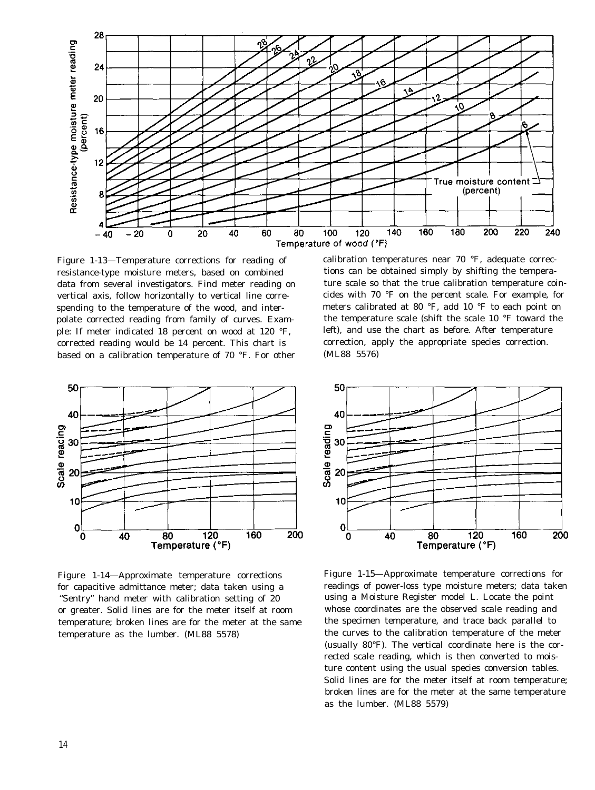

Figure 1-13—Temperature corrections for reading of calibration temperatures near 70 °F, adequate correcresistance-type moisture meters, based on combined tions can be obtained simply by shifting the temperaspending to the temperature of the wood, and inter- meters calibrated at 80 °F, add 10 °F to each point on ple: If meter indicated 18 percent on wood at 120 °F, left), and use the chart as before. After temperature corrected reading would be 14 percent. This chart is correction, apply the appropriate species correction. based on a calibration temperature of 70 °F. For other (ML88 5576)



Figure 1-14—Approximate temperature corrections for capacitive admittance meter; data taken using a "Sentry" hand meter with calibration setting of 20 or greater. Solid lines are for the meter itself at room temperature; broken lines are for the meter at the same temperature as the lumber. (ML88 5578)

data from several investigators. Find meter reading on ture scale so that the true calibration temperature coinvertical axis, follow horizontally to vertical line corre- cides with 70 °F on the percent scale. For example, for polate corrected reading from family of curves. Exam- the temperature scale (shift the scale 10 °F toward the



Figure 1-15—Approximate temperature corrections for readings of power-loss type moisture meters; data taken using a Moisture Register model L. Locate the point whose coordinates are the observed scale reading and the specimen temperature, and trace back parallel to the curves to the calibration temperature of the meter (usually 80°F). The vertical coordinate here is the corrected scale reading, which is then converted to moisture content using the usual species conversion tables. Solid lines are for the meter itself at room temperature; broken lines are for the meter at the same temperature as the lumber. (ML88 5579)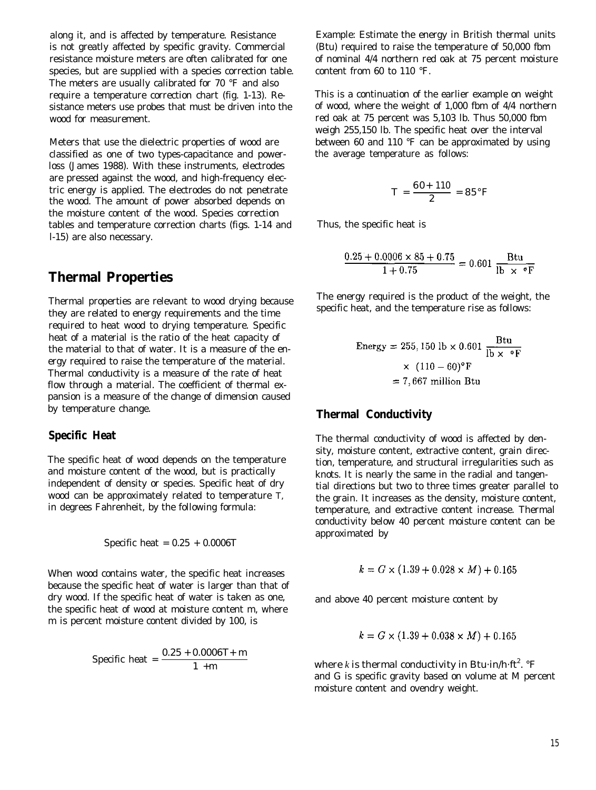along it, and is affected by temperature. Resistance is not greatly affected by specific gravity. Commercial resistance moisture meters are often calibrated for one species, but are supplied with a species correction table. The meters are usually calibrated for 70 °F and also require a temperature correction chart (fig. 1-13). Resistance meters use probes that must be driven into the wood for measurement.

Meters that use the dielectric properties of wood are classified as one of two types-capacitance and powerloss (James 1988). With these instruments, electrodes are pressed against the wood, and high-frequency electric energy is applied. The electrodes do not penetrate the wood. The amount of power absorbed depends on the moisture content of the wood. Species correction tables and temperature correction charts (figs. 1-14 and l-15) are also necessary.

### **Thermal Properties**

Thermal properties are relevant to wood drying because they are related to energy requirements and the time required to heat wood to drying temperature. Specific heat of a material is the ratio of the heat capacity of the material to that of water. It is a measure of the energy required to raise the temperature of the material. Thermal conductivity is a measure of the rate of heat flow through a material. The coefficient of thermal expansion is a measure of the change of dimension caused by temperature change.

#### **Specific Heat**

The specific heat of wood depends on the temperature and moisture content of the wood, but is practically independent of density or species. Specific heat of dry wood can be approximately related to temperature *T,* in degrees Fahrenheit, by the following formula:

$$
Specific heat = 0.25 + 0.0006T
$$

When wood contains water, the specific heat increases because the specific heat of water is larger than that of dry wood. If the specific heat of water is taken as one, the specific heat of wood at moisture content *m,* where *m* is percent moisture content divided by 100, is

Specific heat = 
$$
\frac{0.25 + 0.0006 T + m}{1 + m}
$$

Example: Estimate the energy in British thermal units (Btu) required to raise the temperature of 50,000 fbm of nominal 4/4 northern red oak at 75 percent moisture content from 60 to 110 °F.

This is a continuation of the earlier example on weight of wood, where the weight of 1,000 fbm of 4/4 northern red oak at 75 percent was 5,103 lb. Thus 50,000 fbm weigh 255,150 lb. The specific heat over the interval between 60 and 110 °F can be approximated by using the average temperature as follows:

$$
T = \frac{60 + 110}{2} = 85^{\circ}F
$$

Thus, the specific heat is

$$
\frac{0.25 + 0.0006 \times 85 + 0.75}{1 + 0.75} = 0.601 \frac{\text{Btu}}{\text{lb} \times \text{°F}}
$$

The energy required is the product of the weight, the specific heat, and the temperature rise as follows:

Energy = 255,150 lb × 0.601 
$$
\frac{\text{Btu}}{\text{lb} \times \text{°F}}
$$

$$
\times (110 - 60) \text{°F}
$$

$$
= 7,667 \text{ million Btu}
$$

#### **Thermal Conductivity**

The thermal conductivity of wood is affected by density, moisture content, extractive content, grain direction, temperature, and structural irregularities such as knots. It is nearly the same in the radial and tangential directions but two to three times greater parallel to the grain. It increases as the density, moisture content, temperature, and extractive content increase. Thermal conductivity below 40 percent moisture content can be approximated by

$$
k = G \times (1.39 + 0.028 \times M) + 0.165
$$

and above 40 percent moisture content by

$$
k = G \times (1.39 + 0.038 \times M) + 0.165
$$

where *k* is thermal conductivity in Btu $\cdot$ in/h $\cdot$ ft $^2$ .  $^{\circ}{\rm F}$ and *G* is specific gravity based on volume at *M* percent moisture content and ovendry weight.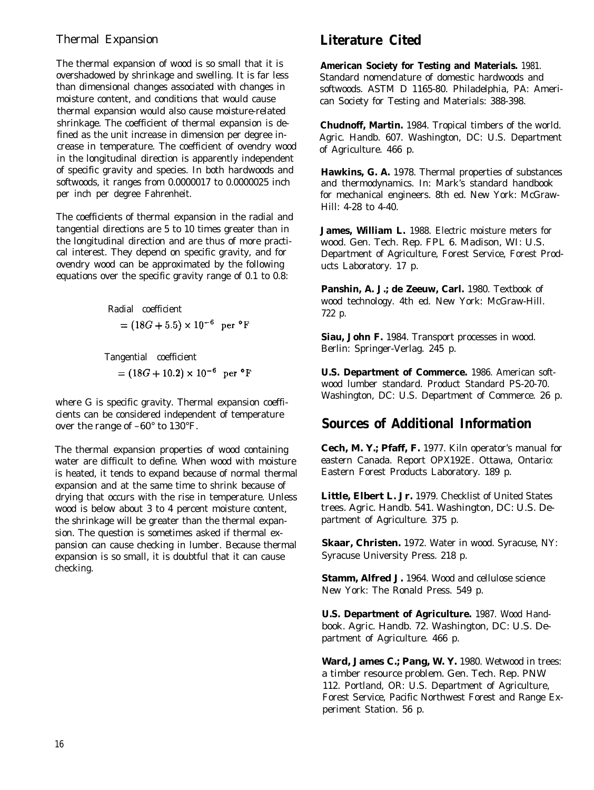### Thermal Expansion

The thermal expansion of wood is so small that it is overshadowed by shrinkage and swelling. It is far less than dimensional changes associated with changes in moisture content, and conditions that would cause thermal expansion would also cause moisture-related shrinkage. The coefficient of thermal expansion is defined as the unit increase in dimension per degree increase in temperature. The coefficient of ovendry wood in the longitudinal direction is apparently independent of specific gravity and species. In both hardwoods and softwoods, it ranges from 0.0000017 to 0.0000025 inch per inch per degree Fahrenheit.

The coefficients of thermal expansion in the radial and tangential directions are 5 to 10 times greater than in the longitudinal direction and are thus of more practical interest. They depend on specific gravity, and for ovendry wood can be approximated by the following equations over the specific gravity range of 0.1 to 0.8:

> Radial coefficient  $=(18G+5.5)\times10^{-6}$  per °F

Tangential coefficient  $=(18G+10.2)\times 10^{-6}$  per °F

where *G* is specific gravity. Thermal expansion coefficients can be considered independent of temperature over the range of –60° to 130°F.

The thermal expansion properties of wood containing water are difficult to define. When wood with moisture is heated, it tends to expand because of normal thermal expansion and at the same time to shrink because of drying that occurs with the rise in temperature. Unless wood is below about 3 to 4 percent moisture content, the shrinkage will be greater than the thermal expansion. The question is sometimes asked if thermal expansion can cause checking in lumber. Because thermal expansion is so small, it is doubtful that it can cause checking.

## **Literature Cited**

**American Society for Testing and Materials.** 1981. Standard nomenclature of domestic hardwoods and softwoods. ASTM D 1165-80. Philadelphia, PA: American Society for Testing and Materials: 388-398.

**Chudnoff, Martin.** 1984. Tropical timbers of the world. Agric. Handb. 607. Washington, DC: U.S. Department of Agriculture. 466 p.

**Hawkins, G. A.** 1978. Thermal properties of substances and thermodynamics. In: Mark's standard handbook for mechanical engineers. 8th ed. New York: McGraw-Hill: 4-28 to 4-40.

**James, William L.** 1988. Electric moisture meters for wood. Gen. Tech. Rep. FPL 6. Madison, WI: U.S. Department of Agriculture, Forest Service, Forest Products Laboratory. 17 p.

Panshin, A. J.; de Zeeuw, Carl. 1980. Textbook of wood technology. 4th ed. New York: McGraw-Hill. 722 p.

**Siau, John F.** 1984. Transport processes in wood. Berlin: Springer-Verlag. 245 p.

**U.S. Department of Commerce.** 1986. American softwood lumber standard. Product Standard PS-20-70. Washington, DC: U.S. Department of Commerce. 26 p.

## **Sources of Additional Information**

**Cech, M. Y.; Pfaff, F.** 1977. Kiln operator's manual for eastern Canada. Report OPX192E. Ottawa, Ontario: Eastern Forest Products Laboratory. 189 p.

**Little, Elbert L. Jr.** 1979. Checklist of United States trees. Agric. Handb. 541. Washington, DC: U.S. Department of Agriculture. 375 p.

**Skaar, Christen.** 1972. Water in wood. Syracuse, NY: Syracuse University Press. 218 p.

**Stamm, Alfred J.** 1964. Wood and cellulose science New York: The Ronald Press. 549 p.

**U.S. Department of Agriculture.** 1987. Wood Handbook. Agric. Handb. 72. Washington, DC: U.S. Department of Agriculture. 466 p.

Ward, James C.; Pang, W. Y. 1980. Wetwood in trees: a timber resource problem. Gen. Tech. Rep. PNW 112. Portland, OR: U.S. Department of Agriculture, Forest Service, Pacific Northwest Forest and Range Experiment Station. 56 p.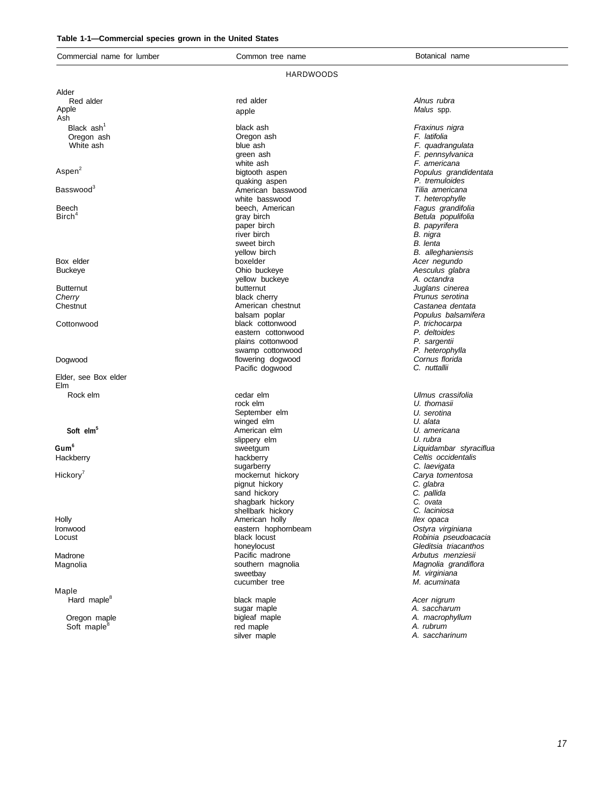| Commercial name for lumber  | Common tree name                 | Botanical name           |
|-----------------------------|----------------------------------|--------------------------|
|                             | HARDWOODS                        |                          |
| Alder                       |                                  |                          |
| Red alder                   | red alder                        | Alnus rubra              |
| Apple                       | apple                            | Malus spp.               |
| Ash                         |                                  |                          |
| Black ash <sup>1</sup>      | black ash                        | Fraxinus nigra           |
| Oregon ash                  | Oregon ash                       | F. latifolia             |
| White ash                   | blue ash                         | F. quadrangulata         |
|                             | green ash                        | F. pennsylvanica         |
|                             | white ash                        | F. americana             |
| Aspen <sup>2</sup>          | bigtooth aspen                   | Populus grandidentata    |
|                             | quaking aspen                    | P. tremuloides           |
| Basswood                    | American basswood                | Tilia americana          |
|                             | white basswood                   | T. heterophylle          |
| Beech                       | beech, American                  | Fagus grandifolia        |
| $B$ irch <sup>4</sup>       | gray birch                       | Betula populifolia       |
|                             | paper birch                      | B. papyrifera            |
|                             | river birch                      | B. nigra                 |
|                             | sweet birch                      | B. lenta                 |
|                             | yellow birch                     | <b>B.</b> alleghaniensis |
| Box elder                   | boxelder                         | Acer negundo             |
| <b>Buckeye</b>              | Ohio buckeye                     | Aesculus glabra          |
|                             | yellow buckeye                   | A. octandra              |
| <b>Butternut</b>            | butternut                        | Juglans cinerea          |
| Cherry                      | black cherry                     | Prunus serotina          |
| Chestnut                    | American chestnut                | Castanea dentata         |
|                             | balsam poplar                    | Populus balsamifera      |
| Cottonwood                  | black cottonwood                 | P. trichocarpa           |
|                             | eastern cottonwood               | P. deltoides             |
|                             | plains cottonwood                | P. sargentii             |
|                             | swamp cottonwood                 | P. heterophylla          |
| Dogwood                     | flowering dogwood                | Cornus florida           |
|                             | Pacific dogwood                  | C. nuttallii             |
| Elder, see Box elder<br>Elm |                                  |                          |
| Rock elm                    | cedar elm                        | Ulmus crassifolia        |
|                             | rock elm                         | U. thomasii              |
|                             | September elm                    | U. serotina              |
|                             | winged elm                       | U. alata                 |
| Soft elm <sup>3</sup>       | American elm                     | U. americana             |
|                             | slippery elm                     | U. rubra                 |
| Gum <sup>6</sup>            | sweetgum                         | Liquidambar styraciflua  |
| Hackberry                   | hackberry                        | Celtis occidentalis      |
|                             | sugarberry                       | C. laevigata             |
| Hickory <sup>'</sup>        | mockernut hickory                | Carya tomentosa          |
|                             | pignut hickory                   | C. glabra                |
|                             |                                  |                          |
|                             | sand hickory<br>shagbark hickory | C. pallida<br>C. ovata   |
|                             | shellbark hickory                | C. laciniosa             |
|                             |                                  |                          |
| Holly                       | American holly                   | llex opaca               |
| Ironwood                    | eastern hophornbeam              | Ostyra virginiana        |
| Locust                      | black locust                     | Robinia pseudoacacia     |
|                             | honeylocust                      | Gleditsia triacanthos    |
| Madrone                     | Pacific madrone                  | Arbutus menziesii        |
| Magnolia                    | southern magnolia                | Magnolia grandiflora     |
|                             | sweetbay                         | M. virginiana            |
|                             | cucumber tree                    | M. acuminata             |
| Maple                       |                                  |                          |
| Hard maple <sup>8</sup>     | black maple                      | Acer nigrum              |
|                             | sugar maple                      | A. saccharum             |
| Oregon maple                | bigleaf maple                    | A. macrophyllum          |
|                             |                                  | A. rubrum                |
| Soft maple <sup>8</sup>     | red maple<br>silver maple        | A. saccharinum           |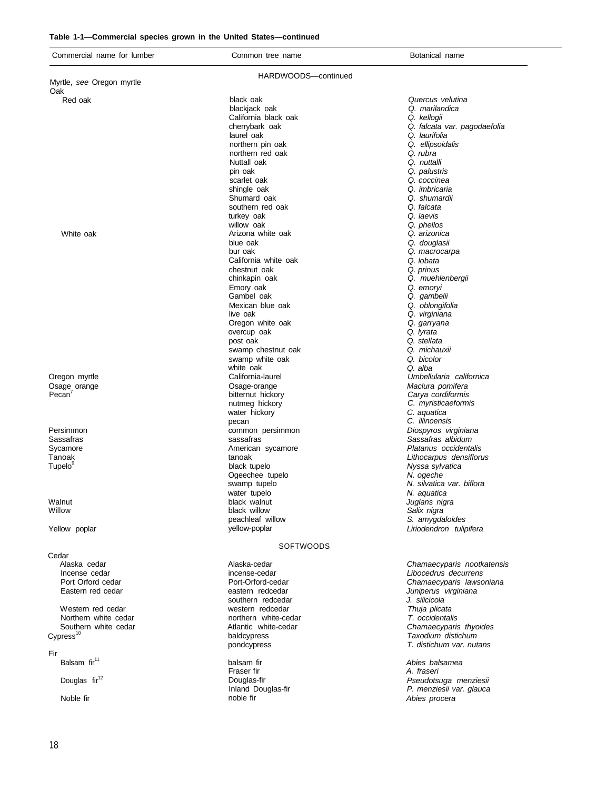#### **Table 1-1—Commercial species grown in the United States—continued**

| Commercial name for lumber    | Common tree name                | Botanical name                |
|-------------------------------|---------------------------------|-------------------------------|
|                               | HARDWOODS-continued             |                               |
| Myrtle, see Oregon myrtle     |                                 |                               |
| Oak<br>Red oak                | black oak                       | Quercus velutina              |
|                               | blackjack oak                   | Q. marilandica                |
|                               | California black oak            | Q. kellogii                   |
|                               | cherrybark oak                  | Q. falcata var. pagodaefolia  |
|                               | laurel oak                      | Q. laurifolia                 |
|                               | northern pin oak                | Q. ellipsoidalis              |
|                               | northern red oak                | Q. rubra                      |
|                               | Nuttall oak                     | Q. nuttalli                   |
|                               | pin oak                         | Q. palustris                  |
|                               | scarlet oak                     | Q. coccinea                   |
|                               | shingle oak                     | Q. imbricaria                 |
|                               | Shumard oak                     | Q. shumardii                  |
|                               | southern red oak                | Q. falcata                    |
|                               | turkey oak                      | Q. laevis                     |
|                               | willow oak                      | Q. phellos                    |
| White oak                     | Arizona white oak               | Q. arizonica                  |
|                               | blue oak                        | Q. douglasii                  |
|                               | bur oak<br>California white oak | Q. macrocarpa<br>Q. lobata    |
|                               | chestnut oak                    | Q. prinus                     |
|                               | chinkapin oak                   | Q. muehlenbergii              |
|                               | Emory oak                       | Q. emoryi                     |
|                               | Gambel oak                      | Q. qambelii                   |
|                               | Mexican blue oak                | Q. oblongifolia               |
|                               | live oak                        | Q. virginiana                 |
|                               | Oregon white oak                | Q. garryana                   |
|                               | overcup oak                     | Q. lyrata                     |
|                               | post oak                        | Q. stellata                   |
|                               | swamp chestnut oak              | Q. michauxii                  |
|                               | swamp white oak                 | Q. bicolor                    |
|                               | white oak                       | Q. alba                       |
| Oregon myrtle                 | California-laurel               | Umbellularia californica      |
| Osage orange                  | Osage-orange                    | Maclura pomifera              |
| Pecan'                        | bitternut hickory               | Carya cordiformis             |
|                               | nutmeg hickory                  | C. myristicaeformis           |
|                               | water hickory                   | C. aquatica<br>C. illinoensis |
| Persimmon                     | pecan                           | Diospyros virginiana          |
| Sassafras                     | common persimmon<br>sassafras   | Sassafras albidum             |
| Sycamore                      | American sycamore               | Platanus occidentalis         |
| Tanoak                        | tanoak                          | Lithocarpus densiflorus       |
| Tupelo <sup>9</sup>           | black tupelo                    | Nyssa sylvatica               |
|                               | Ogeechee tupelo                 | N. ogeche                     |
|                               | swamp tupelo                    | N. silvatica var. biflora     |
|                               | water tupelo                    | N. aquatica                   |
| Walnut                        | black walnut                    | Juglans nigra                 |
| Willow                        | black willow                    | Salix nigra                   |
|                               | peachleaf willow                | S. amygdaloides               |
| Yellow poplar                 | yellow-poplar                   | Liriodendron tulipifera       |
|                               |                                 |                               |
|                               | SOFTWOODS                       |                               |
| Cedar                         | Alaska-cedar                    | Chamaecyparis nootkatensis    |
| Alaska cedar<br>Incense cedar | incense-cedar                   | Libocedrus decurrens          |
| Port Orford cedar             | Port-Orford-cedar               | Chamaecyparis lawsoniana      |
| Eastern red cedar             | eastern redcedar                | Juniperus virginiana          |
|                               | southern redcedar               | J. silicicola                 |
| Western red cedar             | western redcedar                | Thuja plicata                 |
| Northern white cedar          | northern white-cedar            | T. occidentalis               |
| Southern white cedar          | Atlantic white-cedar            | Chamaecyparis thyoides        |
| $C$ ypress <sup>10</sup>      | baldcypress                     | Taxodium distichum            |
|                               | pondcypress                     | T. distichum var. nutans      |
| Fir                           |                                 |                               |
| Balsam fir <sup>11</sup>      | balsam fir                      | Abies balsamea                |
|                               | Fraser fir                      | A. fraseri                    |
| Douglas fir <sup>12</sup>     | Douglas-fir                     | Pseudotsuga menziesii         |
|                               | Inland Douglas-fir              | P. menziesii var. glauca      |
| Noble fir                     | noble fir                       | Abies procera                 |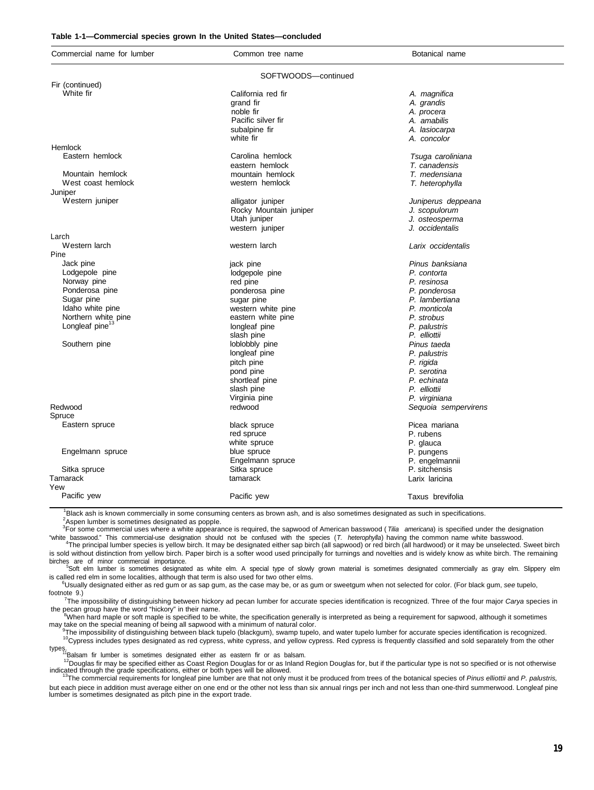#### **Table 1-1—Commercial species grown In the United States—concluded**

| Commercial name for lumber  | Common tree name       | Botanical name       |
|-----------------------------|------------------------|----------------------|
|                             | SOFTWOODS-continued    |                      |
| Fir (continued)             |                        |                      |
| White fir                   | California red fir     | A. magnifica         |
|                             | grand fir              | A. grandis           |
|                             | noble fir              | A. procera           |
|                             | Pacific silver fir     | A. amabilis          |
|                             | subalpine fir          | A. lasiocarpa        |
|                             | white fir              | A. concolor          |
| Hemlock                     |                        |                      |
| Eastern hemlock             | Carolina hemlock       | Tsuga caroliniana    |
|                             | eastern hemlock        | T. canadensis        |
| Mountain hemlock            | mountain hemlock       | T. medensiana        |
| West coast hemlock          | western hemlock        | T. heterophylla      |
| Juniper                     |                        |                      |
| Western juniper             | alligator juniper      | Juniperus deppeana   |
|                             | Rocky Mountain juniper | J. scopulorum        |
|                             | Utah juniper           | J. osteosperma       |
|                             | western juniper        | J. occidentalis      |
| Larch                       |                        |                      |
| Western larch               | western larch          | Larix occidentalis   |
| Pine                        |                        |                      |
| Jack pine                   | jack pine              | Pinus banksiana      |
| Lodgepole pine              | lodgepole pine         | P. contorta          |
| Norway pine                 | red pine               | P. resinosa          |
| Ponderosa pine              | ponderosa pine         | P. ponderosa         |
| Sugar pine                  | sugar pine             | P. lambertiana       |
| Idaho white pine            | western white pine     | P. monticola         |
| Northern white pine         | eastern white pine     | P. strobus           |
| Longleaf pine <sup>13</sup> | longleaf pine          | P. palustris         |
|                             | slash pine             | P. elliottii         |
| Southern pine               | loblobbly pine         | Pinus taeda          |
|                             | longleaf pine          | P. palustris         |
|                             | pitch pine             | P. rigida            |
|                             | pond pine              | P. serotina          |
|                             | shortleaf pine         | P. echinata          |
|                             | slash pine             | P. elliottii         |
|                             | Virginia pine          | P. virginiana        |
| Redwood                     | redwood                | Sequoia sempervirens |
| Spruce                      |                        |                      |
| Eastern spruce              | black spruce           | Picea mariana        |
|                             | red spruce             | P. rubens            |
|                             | white spruce           | P. glauca            |
| Engelmann spruce            | blue spruce            | P. pungens           |
|                             | Engelmann spruce       | P. engelmannii       |
| Sitka spruce                | Sitka spruce           | P. sitchensis        |
| Tamarack                    | tamarack               | Larix laricina       |
| Yew                         |                        |                      |
| Pacific yew                 | Pacific yew            | Taxus brevifolia     |

<sup>1</sup>Black ash is known commercially in some consuming centers as brown ash, and is also sometimes designated as such in specifications. <sup>2</sup>Aspen lumber is sometimes designated as popple.

<sup>3</sup>For some commercial uses where a white appearance is required, the sapwood of American basswood (*Tilia americana*) is specified under the designation "white basswood." This commercial-use designation should not be confused with the species (*T. heterophylla*) having the common name white basswood.<br><sup>4</sup>The principal lumber species is yellow birch. It may be designated eit

is sold without distinction from yellow birch. Paper birch is a softer wood used principally for turnings and novelties and is widely know as white birch. The remaining

birches are of minor commercial importance.<br><sup>5</sup>Soft elm lumber is sometimes designated as white elm. A special type of slowly grown material is sometimes designated commercially as gray elm. Slippery elm is called red elm in some localities, although that term is also used for two other elms.

<sup>6</sup>Usually designated either as red gum or as sap gum, as the case may be, or as gum or sweetgum when not selected for color. (For black gum, *see* tupelo, footnote 9.)

<sup>7</sup>The impossibility of distinguishing between hickory ad pecan lumber for accurate species identification is recognized. Three of the four major *Carya* species in the pecan group have the word "hickory" in their name.<br>When hard maple or soft maple is specified to be white, the specification generally is interpreted as being a requirement for sapwood, although it sometimes

may take on the special meaning of being all sapwood with a minimum of natural color.

9 The impossibility of distinguishing between black tupelo (blackgum), swamp tupelo, and water tupelo lumber for accurate species identification is recognized. <sup>10</sup>Cypress includes types designated as red cypress, white cypress, and yellow cypress. Red cypress is frequently classified and sold separately from the other

types.<br>11Balsam fir lumber is sometimes designated either as eastern fir or as balsam.

<sup>12</sup>Douglas fir may be specified either as Coast Region Douglas for or as Inland Region Douglas for, but if the particular type is not so specified or is not otherwise indicated through the grade specifications, either or both types will be allowed.<br><sup>13</sup>The commercial requirements for longleaf pine lumber are that not only must it be produced from trees of the botanical species of Pinus

but each piece in addition must average either on one end or the other not less than six annual rings per inch and not less than one-third summerwood. Longleaf pine lumber is sometimes designated as pitch pine in the export trade.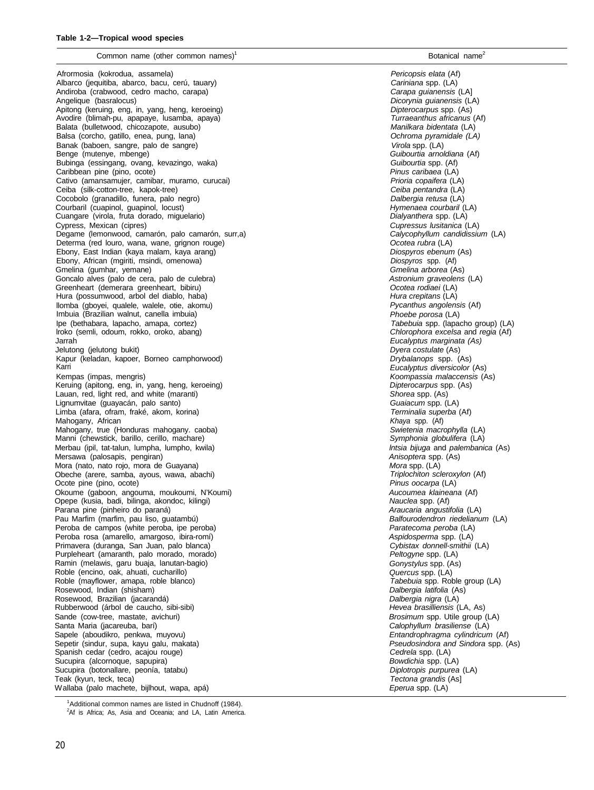#### Common name (other common names)

Afrormosia (kokrodua, assamela) Albarco (jequitiba, abarco, bacu, cerú, tauary) Andiroba (crabwood, cedro macho, carapa) Angelique (basralocus) Apitong (keruing, eng, in, yang, heng, keroeing) Avodire (blimah-pu, apapaye, lusamba, apaya) Balata (bulletwood, chicozapote, ausubo) Balsa (corcho, gatillo, enea, pung, lana) Banak (baboen, sangre, palo de sangre) Benge (mutenye, mbenge) Bubinga (essingang, ovang, kevazingo, waka) Caribbean pine (pino, ocote) Cativo (amansamujer, camibar, muramo, curucai) Ceiba (silk-cotton-tree, kapok-tree) Cocobolo (granadillo, funera, palo negro) Courbaril (cuapinol, guapinol, locust) Cuangare (virola, fruta dorado, miguelario) Cypress, Mexican (cipres) Degame (lemonwood, camarón, palo camarón, surr,a) Determa (red louro, wana, wane, grignon rouge) Ebony, East Indian (kaya malam, kaya arang) Ebony, African (mgiriti, msindi, omenowa) Gmelina (gumhar, yemane) Goncalo alves (palo de cera, palo de culebra) Greenheart (demerara greenheart, bibiru) Hura (possumwood, arbol del diablo, haba) llomba (gboyei, qualele, walele, otie, akomu) Imbuia (Brazilian walnut, canella imbuia) Ipe (bethabara, lapacho, amapa, cortez) lroko (semli, odoum, rokko, oroko, abang) Jarrah Jelutong (jelutong bukit) Kapur (keladan, kapoer, Borneo camphorwood) Karri Kempas (impas, mengris) Keruing (apitong, eng, in, yang, heng, keroeing) Lauan, red, light red, and white (maranti) Lignumvitae (guayacán, palo santo) Limba (afara, ofram, fraké, akom, korina) Mahogany, African Mahogany, true (Honduras mahogany. caoba) Manni (chewstick, barillo, cerillo, machare) Merbau (ipil, tat-talun, lumpha, lumpho, kwila) Mersawa (palosapis, pengiran) Mora (nato, nato rojo, mora de Guayana) Obeche (arere, samba, ayous, wawa, abachi) Ocote pine (pino, ocote) Okoume (gaboon, angouma, moukoumi, N'Koumi) Opepe (kusia, badi, bilinga, akondoc, kilingi) Parana pine (pinheiro do paraná) Pau Marfim (marfim, pau liso, guatambú) Peroba de campos (white peroba, ipe peroba) Peroba rosa (amarello, amargoso, ibira-romí) Primavera (duranga, San Juan, palo blanca) Purpleheart (amaranth, palo morado, morado) Ramin (melawis, garu buaja, lanutan-bagio) Roble (encino, oak, ahuati, cucharillo) Roble (mayflower, amapa, roble blanco) Rosewood, Indian (shisham) Rosewood, Brazilian (jacarandá) Rubberwood (árbol de caucho, sibi-sibi) Sande (cow-tree, mastate, avichuri) Santa Maria (jacareuba, barí) Sapele (aboudikro, penkwa, muyovu) Sepetir (sindur, supa, kayu galu, makata) Spanish cedar (cedro, acajou rouge) Sucupira (alcornoque, sapupira) Sucupira (botonallare, peonía, tatabu) Teak (kyun, teck, teca) Wallaba (palo machete, bijlhout, wapa, apá)

*Pericopsis elata* (Af) *Cariniana* spp. (LA) *Carapa guianensis* (LA] *Dicorynia guianensis* (LA) *Dipterocarpus* spp. (As) *Turraeanthus africanus* (Af) *Manilkara bidentata* (LA) *Ochroma pyramidale (LA) Virola* spp. (LA) *Guibourtia arnoldiana* (Af) *Guibourtia* spp. (Af) *Pinus caribaea* (LA) *Prioria copaifera* (LA) *Ceiba pentandra* (LA) *Dalbergia retusa* (LA) *Hymenaea courbaril* (LA) *Dialyanthera* spp. (LA) *Cupressus lusitanica* (LA) *Calycophyllum candidissium* (LA) *Ocotea rubra* (LA) *Diospyros ebenum* (As) *Diospyros* spp. (Af) *Gmelina arborea* (As) *Astronium graveolens* (LA) *Ocotea rodiaei* (LA) *Hura crepitans* (LA) *Pycanthus angolensis* (Af) *Phoebe porosa* (LA) *Tabebuia* spp. (lapacho group) (LA) *Chlorophora excelsa* and *regia* (Af) *Eucalyptus marginata (As) Dyera costulate* (As) *Drybalanops* spp. (As) *Eucalyptus diversicolor* (As) *Koompassia malaccensis* (As) *Dipterocarpus* spp. (As) *Shorea* spp. (As) *Guaiacum* spp. (LA) *Terminalia superba* (Af) *Khaya* spp. (Af) *Swietenia macrophylla* (LA) *Symphonia globulifera* (LA) *lntsia bijuga* and *palembanica* (As) *Anisoptera* spp. (As) *Mora* spp. (LA) *Triplochiton scleroxylon* (Af) *Pinus oocarpa* (LA) *Aucoumea klaineana* (Af) *Nauclea* spp. (Af) *Araucaria angustifolia* (LA) *Balfourodendron riedelianum* (LA) *Paratecoma peroba* (LA) *Aspidosperma* spp. (LA) *Cybistax donnell-smithii* (LA) *Peltogyne* spp. (LA) *Gonystylus* spp. (As) *Quercus* spp. (LA) *Tabebuia* spp. Roble group (LA) *Dalbergia latifolia* (As) *Dalbergia nigra* (LA) *Hevea brasilliensis* (LA, As) *Brosimum* spp. Utile group (LA) *Calophyllum brasiliense* (LA) *Entandrophragma cylindricum* (Af) *Pseudosindora and Sindora* spp. (As) *Cedrela* spp. (LA) *Bowdichia* spp. (LA) *Diplotropis purpurea* (LA) *Tectona grandis* (As] *Eperua* spp. (LA)

 $1$ Additional common names are listed in Chudnoff (1984).

<sup>2</sup>Af is Africa; As, Asia and Oceania; and LA, Latin America.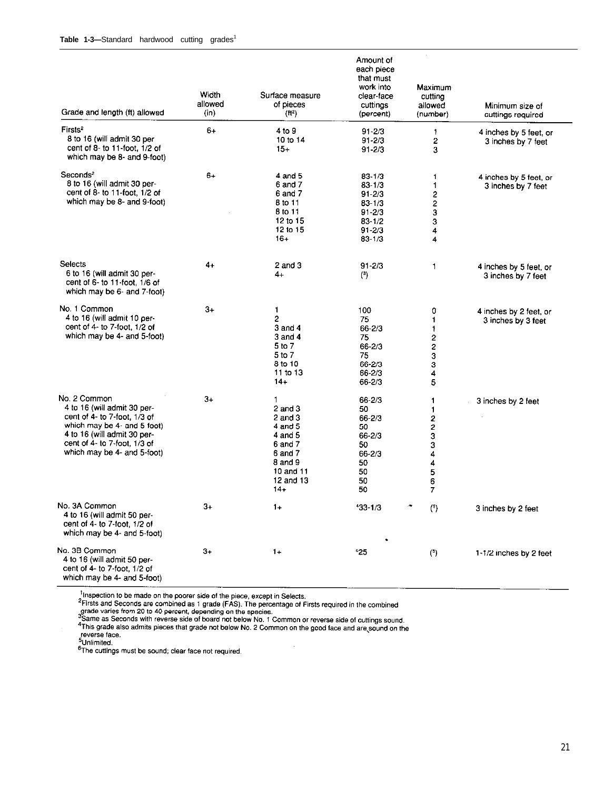| Grade and length (ft) allowed                                                                                                                                                                            | Width<br>allowed<br>(in) | Surface measure<br>of pieces<br>(H <sup>2</sup> )                                                                         | Amount of<br>each piece<br>that must<br>work into<br>clear-face<br>cuttings<br>(percent)                 | Maximum<br>cutting<br>allowed<br>(number)                           | Minimum size of<br>cuttings required         |
|----------------------------------------------------------------------------------------------------------------------------------------------------------------------------------------------------------|--------------------------|---------------------------------------------------------------------------------------------------------------------------|----------------------------------------------------------------------------------------------------------|---------------------------------------------------------------------|----------------------------------------------|
| Firsts <sup>2</sup><br>8 to 16 (will admit 30 per<br>cent of 8- to 11-foot, 1/2 of<br>which may be 8- and 9-foot)                                                                                        | $6+$                     | 4 to 9<br>10 to 14<br>$15+$                                                                                               | $91 - 2/3$<br>$91 - 2/3$<br>$91 - 2/3$                                                                   | 1<br>2<br>3                                                         | 4 inches by 5 feet, or<br>3 inches by 7 feet |
| Seconds <sup>2</sup><br>8 to 16 (will admit 30 per-<br>cent of 8- to 11-foot, 1/2 of<br>which may be 8- and 9-foot)                                                                                      | $6+$                     | $4$ and $5$<br>6 and 7<br>6 and 7<br>8 to 11<br>8 to 11<br>12 to 15<br>12 to 15<br>$16+$                                  | $83 - 1/3$<br>$83 - 1/3$<br>$91 - 2/3$<br>$83 - 1/3$<br>$91 - 2/3$<br>$83 - 1/2$<br>$91 - 2/3$<br>831//3 | $\mathbf{1}$<br>1<br>2<br>$\frac{2}{3}$<br>3<br>4<br>$\overline{4}$ | 4 inches by 5 feet, or<br>3 inches by 7 feet |
| Selects<br>6 to 16 (will admit 30 per-<br>cent of 6- to 11-foot, 1/6 of<br>which may be 6- and 7-foot)                                                                                                   | 4+                       | $2$ and $3$<br>4+                                                                                                         | $91 - 2/3$<br>$\binom{3}{ }$                                                                             | 1                                                                   | 4 inches by 5 feet, or<br>3 inches by 7 feet |
| No. 1 Common<br>4 to 16 (will admit 10 per-<br>cent of 4- to 7-foot, 1/2 of<br>which may be 4- and 5-foot)                                                                                               | $3+$                     | 1<br>2<br>$3$ and $4$<br>3 and 4<br>5 to 7<br>5 to 7<br>8 to 10<br>11 to 13<br>$14+$                                      | 100<br>75<br>66-2/3<br>75<br>$66 - 2/3$<br>75<br>66-2/3<br>66-2/3<br>66-2/3                              | 0<br>1<br>1<br>2<br>2<br>3<br>з<br>4<br>5                           | 4 inches by 2 feet, or<br>3 inches by 3 feet |
| No. 2 Common<br>4 to 16 (will admit 30 per-<br>cent of 4- to 7-foot, 1/3 of<br>which may be 4- and 5-foot)<br>4 to 16 (will admit 30 per-<br>cent of 4- to 7-foot, 1/3 of<br>which may be 4- and 5-foot) | 3+                       | 1<br>$2$ and $3$<br>$2$ and $3$<br>4 and 5<br>4 and 5<br>6 and 7<br>6 and 7<br>8 and 9<br>10 and 11<br>12 and 13<br>$14+$ | 66-2/3<br>50<br>66-2/3<br>50<br>66-2/3<br>50<br>66-2/3<br>50<br>50<br>50<br>50                           | 1<br>1<br>2<br>2<br>3,<br>з<br>4<br>4<br>5<br>6<br>7                | 3 inches by 2 feet                           |
| No. 3A Common<br>4 to 16 (will admit 50 per-<br>cent of 4- to 7-toot, 1/2 of<br>which may be 4- and 5-foot)                                                                                              | $3+$                     | $1+$                                                                                                                      | $433 - 1/3$                                                                                              | (5)                                                                 | 3 inches by 2 feet                           |
| No. 3B Common<br>4 to 16 (will admit 50 per-<br>cent of 4- to 7-foot, 1/2 of<br>which may be 4- and 5-foot)                                                                                              | 3+                       | $1+$                                                                                                                      | ${}^{6}25$                                                                                               | $5$                                                                 | 1-1/2 inches by 2 feet                       |

<sup>1</sup>Inspection to be made on the poorer side of the piece, except in Selects.<br><sup>2</sup>Firsts and Seconds are combined as 1 grade (FAS). The percentage of Firsts required in the combined<br>grade varies from 20 to 40 percent, depend reverse face.

<sup>-</sup>Onlimited.<br><sup>6</sup>The cuttings must be sound; clear face not required.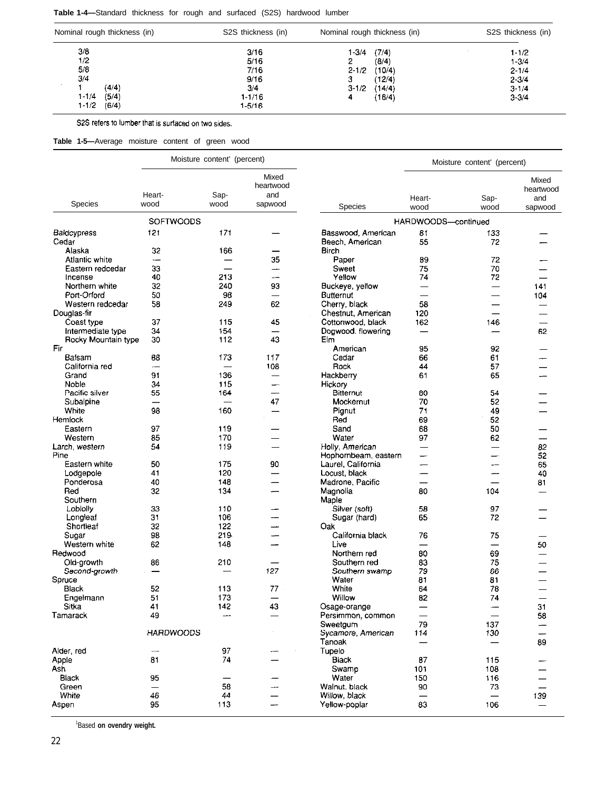#### **Table 1-4—**Standard thickness for rough and surfaced (S2S) hardwood lumber

| Nominal rough thickness (in) | S2S thickness (in) | Nominal rough thickness (in) | S2S thickness (in) |
|------------------------------|--------------------|------------------------------|--------------------|
| 3/8                          | 3/16               | (7/4)<br>1-3/4               | $1 - 1/2$          |
| 1/2                          | 5/16               | (8/4)                        | $1 - 3/4$          |
| 5/8                          | 7/16               | (10/4)<br>$2 - 1/2$          | $2 - 1/4$          |
| 3/4                          | 9/16               | (12/4)<br>з                  | $2 - 3/4$          |
| (4/4)                        | 3.4                | $3 - 1/2$<br>(14/4)          | $3 - 1/4$          |
| $1 - 1/4$<br>(5/4)           | 1-1/16             | (16/4)                       | $3 - 3/4$          |
| $1 - 1/2$<br>(6/4)           | 1-5/16             |                              |                    |

S2S refers to lumber that is surfaced on two sides.

**Table 1-5—**Average moisture content of green wood

|                            |                                | Moisture content' (percent) |                                      |                                       |                          | Moisture content' (percent) |                                      |
|----------------------------|--------------------------------|-----------------------------|--------------------------------------|---------------------------------------|--------------------------|-----------------------------|--------------------------------------|
| <b>Species</b>             | Heart-<br>wood                 | Sap-<br>wood                | Mixed<br>heartwood<br>and<br>sapwood | <b>Species</b>                        | Heart-<br>wood           | Sap-<br>wood                | Mixed<br>heartwood<br>and<br>sapwood |
|                            | <b>SOFTWOODS</b>               |                             |                                      |                                       |                          |                             |                                      |
|                            |                                | 171                         |                                      |                                       | HARDWOODS-continued      |                             |                                      |
| Baidcypress<br>Cedar       | 121                            |                             |                                      | Basswood, American<br>Beech, American | 81<br>55                 | 133<br>72                   |                                      |
| Alaska                     | 32                             | 166                         |                                      | Birch                                 |                          |                             |                                      |
| Atlantic white             | $\overline{\phantom{0}}$       |                             | 35                                   | Paper                                 | 89                       | 72                          |                                      |
| Eastern redcedar           | 33                             |                             |                                      | Sweet                                 | 75                       | 70                          |                                      |
| Incense                    | 40                             | 213                         | ---                                  | Yellow                                | 74                       | 72                          |                                      |
| Northern white             | 32                             | 240                         | 93                                   | Buckeye, yellow                       | $\overline{\phantom{0}}$ | $\overline{\phantom{0}}$    | 141                                  |
| Port-Orford                | 50                             | 93                          |                                      | Butternut                             |                          | $\overline{\phantom{0}}$    | 104                                  |
| Western redcedar           | 58                             | 249                         | 62                                   | Cherry, black                         | 58                       | $\overline{\phantom{0}}$    |                                      |
| Douglas-fir                |                                |                             |                                      | Chestnut, American                    | 120                      | $\overline{\phantom{0}}$    |                                      |
| Coast type                 | 37                             | 115                         | 45                                   | Cottonwood, black                     | 162                      | 146                         |                                      |
| Intermediate type          | 34                             | 154                         |                                      | Dogwood, flowering                    |                          |                             | 62                                   |
| Rocky Mountain type<br>Fir | 30                             | 112                         | 43                                   | Elm                                   |                          |                             |                                      |
| Baisam                     |                                |                             |                                      | American                              | 95<br>66                 | 92                          |                                      |
| California red             | 83<br>$\overline{\phantom{0}}$ | 173<br>—                    | 117<br>108                           | Cedar<br><b>Pock</b>                  | 44                       | 61<br>57                    |                                      |
| Grand                      | 91                             | 136                         |                                      | Hackberry                             | 61                       | 65                          |                                      |
| Noble                      | 34                             | 115                         |                                      | Hickory                               |                          |                             |                                      |
| Pacific silver             | 55                             | 164                         |                                      | Bitternut                             | 80                       | 54                          |                                      |
| Subalpine                  |                                |                             | 47                                   | Mockernut                             | 70                       | 52                          |                                      |
| White                      | 98                             | 160                         |                                      | Pignut                                | 71                       | 49                          |                                      |
| Hemlock                    |                                |                             |                                      | Red                                   | 69                       | 52                          |                                      |
| Eastern                    | 97                             | 119                         |                                      | Sand                                  | 68                       | 50                          |                                      |
| Western                    | 85                             | 170                         |                                      | Water                                 | 97                       | 62                          |                                      |
| Larch, western             | 54                             | 119                         |                                      | Holly, American                       |                          |                             | 82                                   |
| Pine                       |                                |                             |                                      | Hophornbeam, eastern                  | —                        | —                           | 52                                   |
| Eastern white              | 50                             | 175                         | 90                                   | Laurel, California                    |                          |                             | 65                                   |
| Lodgepole                  | 41                             | 120                         |                                      | Locust, black                         |                          |                             | 40                                   |
| Ponderosa                  | 40                             | 148                         |                                      | Madrone, Pacific                      |                          |                             | 81                                   |
| Red                        | 32                             | 134                         |                                      | Magnolia                              | 80                       | 104                         |                                      |
| Southern                   |                                |                             |                                      | Maple                                 |                          |                             |                                      |
| Loblolly                   | 33<br>31                       | 110<br>106                  |                                      | Silver (soft)                         | 58<br>65                 | 97<br>72                    |                                      |
| Longleaf<br>Shortleaf      | 32                             | 122                         |                                      | Sugar (hard)<br>Oak                   |                          |                             |                                      |
| Sugar                      | 98                             | 219                         |                                      | California black                      | 76                       | 75                          |                                      |
| Western white              | 62                             | 148                         |                                      | Live                                  |                          |                             | 50                                   |
| Redwood                    |                                |                             |                                      | Northern red                          | 80                       | 69                          |                                      |
| Old-growth                 | 86                             | 210                         |                                      | Southern red                          | 83                       | 75                          |                                      |
| Second-growth              |                                |                             | 127                                  | Southern swamp                        | 79                       | 66                          |                                      |
| Spruce                     |                                |                             |                                      | Water                                 | 81                       | 81                          |                                      |
| Black                      | 52                             | 113                         | 77                                   | White                                 | 64                       | 78                          |                                      |
| Engelmann                  | 51                             | 173                         |                                      | Willow                                | 82                       | 74                          |                                      |
| Sitka                      | 41                             | 142                         | 43                                   | Osage-orange                          | <u>—</u>                 |                             | 31                                   |
| Tamarack                   | 49                             | $-$                         |                                      | Persimmon, common                     |                          |                             | 58                                   |
|                            |                                |                             |                                      | Sweetgum                              | 79                       | 137                         |                                      |
|                            | <b>HARDWOODS</b>               |                             |                                      | Sycamore, American                    | 114                      | 130                         |                                      |
|                            |                                |                             |                                      | Tanoak                                | $\overline{\phantom{0}}$ |                             | 89                                   |
| Alder, red                 |                                | 97                          |                                      | Tupelo                                |                          |                             |                                      |
| Apple                      | 81                             | 74                          |                                      | Black                                 | 87                       | 115                         |                                      |
| Ash                        |                                |                             |                                      | Swamp                                 | 101                      | 108                         |                                      |
| Black                      | 95                             |                             |                                      | Water                                 | 150                      | 116                         |                                      |
| Green                      |                                | 58                          |                                      | Walnut, black                         | 90                       | 73                          |                                      |
| White                      | 46                             | 44<br>113                   |                                      | Willow, black                         | —                        |                             | 139                                  |
| Aspen                      | 95                             |                             |                                      | Yellow-poplar                         | 83                       | 106                         |                                      |

<sup>1</sup>Based **on ovendry weight.**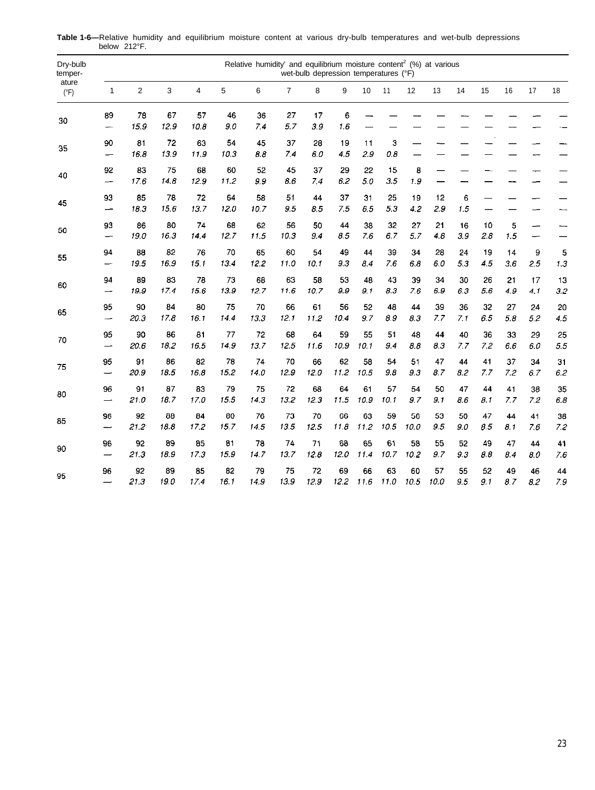| Dry-bulb<br>temper-<br>ature<br>$(^{\circ}F)$<br>30 |                                |            |            |                |            | Relative humidity' and equilibrium moisture content <sup>2</sup> (%) at various |                | wet-bulb depression temperatures (°F) |           |            |            |            |            |           |           |           |           |           |
|-----------------------------------------------------|--------------------------------|------------|------------|----------------|------------|---------------------------------------------------------------------------------|----------------|---------------------------------------|-----------|------------|------------|------------|------------|-----------|-----------|-----------|-----------|-----------|
|                                                     | $\mathbf{1}$                   | 2          | 3          | $\overline{4}$ | 5          | 6                                                                               | $\overline{7}$ | 8                                     | 9         | 10         | 11         | 12         | 13         | 14        | 15        | 16        | 17        | 18        |
|                                                     | 89<br>$\overline{\phantom{a}}$ | 78<br>15.9 | 67<br>12.9 | 57<br>10.8     | 46<br>9.0  | 36<br>7.4                                                                       | 27<br>5.7      | 17<br>3.9                             | 6<br>1.6  |            |            |            |            |           |           |           |           |           |
| 35                                                  | 90<br>$\overline{\phantom{m}}$ | 81<br>16.8 | 72<br>13.9 | 63<br>11.9     | 54<br>10.3 | 45<br>88                                                                        | 37<br>7.4      | 28<br>6.0                             | 19<br>4.5 | 11<br>29   | 3<br>0.8   |            |            |           |           |           |           |           |
| 40                                                  | 92<br>$\overline{\phantom{0}}$ | 83<br>17.6 | 75<br>14.8 | 68<br>12.9     | 60<br>11.2 | 52<br>9.9                                                                       | 45<br>8.6      | 37<br>7,4                             | 29<br>6.2 | 22<br>5.0  | 15<br>3.5  | 8<br>1.9   |            |           |           |           |           |           |
| 45                                                  | 93<br>—                        | 85<br>18.3 | 78<br>15.6 | 72<br>13.7     | 64<br>12.0 | 58<br>10.7                                                                      | 51<br>9.5      | 44<br>8.5                             | 37<br>7.5 | 31<br>6.5  | 25<br>5.3  | 19<br>4.2  | 12<br>2.9  | 6<br>1.5  |           |           |           |           |
| 50                                                  | 93<br>$\overline{\phantom{0}}$ | 86<br>19.0 | 80<br>16.3 | 74<br>14.4     | 68<br>12.7 | 62<br>11.5                                                                      | 56<br>10.3     | 50<br>9.4                             | 44<br>8.5 | 38<br>76   | 32<br>6.7  | 27<br>5.7  | 21<br>4.8  | 16<br>3.9 | 10<br>2.8 | 5<br>1.5  | —         |           |
| 55                                                  | 94                             | 88         | 82         | 76             | 70         | 65                                                                              | 60             | 54                                    | 49        | 44         | 39         | 34         | 28         | 24        | 19        | 14        | 9         | 5         |
|                                                     |                                | 19.5       | 16.9       | 15.1           | 13.4       | 12.2                                                                            | 11.0           | 10.1                                  | 9.3       | 8.4        | 7.6        | 6.8        | 6.0        | 5,3       | 4.5       | 3.6       | 2.5       | 1.3       |
| 60                                                  | 94                             | 89         | 83         | 78             | 73         | 68                                                                              | 63             | 58                                    | 53        | 48         | 43         | 39         | 34         | 30        | 26        | 21        | 17        | 13        |
|                                                     | -                              | 19.9       | 17.4       | 15.6           | 13.9       | 12.7                                                                            | 11.6           | 10.7                                  | 9.9       | 9.1        | 8.3        | 76         | 6.9        | 6.3       | 56        | 4.9       | 4.1       | 3.2       |
| 65                                                  | 95                             | 90         | 84         | 80             | 75         | 70                                                                              | 66             | 61                                    | 56        | 52         | 48         | 44         | 39         | 36        | 32.       | 27        | 24        | 20        |
|                                                     | $\overline{\phantom{a}}$       | 20.3       | 17.8       | 16.1           | 14.4       | 13.3                                                                            | 12.1           | 11.2                                  | 10.4      | 9.7        | 8.9        | 8.3        | 7.7        | 7.1       | 6.5       | 5.8       | 5.2       | 4.5       |
| 70                                                  | 95                             | 90         | 86         | 81             | 77         | 72                                                                              | 68             | 64                                    | 59        | 55         | 51         | 48         | 44         | 40        | 36        | 33        | 29        | 25        |
|                                                     | —                              | 20.6       | 18.2       | 16.5           | 14.9       | 13.7                                                                            | 12.5           | 11.6                                  | 10.9      | 10.1       | 9.4        | 8.8        | 8.3        | 7.7       | 72        | 6.6       | 6.0       | 5.5       |
| 75                                                  | 95                             | 91         | 86         | 82             | 78         | 74                                                                              | 70             | 66                                    | 62        | 58         | 54         | 51         | 47         | 44        | 41        | 37        | 34        | 31        |
|                                                     | $\overline{\phantom{0}}$       | 209        | 18.5       | 16.8           | 15.2       | 14.0                                                                            | 12.9           | 12.0                                  | 11.2      | 10.5       | 9.8        | 93         | 8.7        | 8.2       | 7.7       | 7.2       | 6.7       | 6.2       |
| 80                                                  | 96                             | 91         | 87         | 83             | 79         | 75                                                                              | 72             | 68                                    | 64        | 61         | 57         | 54         | 50         | 47        | 44        | 41        | 38        | 35        |
|                                                     | $\overline{\phantom{0}}$       | 21.0       | 18.7       | 17.0           | 15.5       | 14.3                                                                            | 13.2           | 12.3                                  | 11.5      | 10.9       | 10.1       | 9.7        | 9.1        | 8.6       | 8.1       | 7.7       | 7.2       | 6.8       |
| 85                                                  | 96                             | 92         | 88         | 84             | 80         | 76                                                                              | 73             | 70                                    | 66        | 63         | 59         | 56         | 53         | 50        | 47        | 44        | 41        | 38        |
|                                                     | سب                             | 21.2       | 18.8       | 17.2           | 15.7       | 145                                                                             | 13.5           | 12.5                                  | 11.8      | 11.2       | 10.5       | 10.0       | 9.5        | 9.0       | 85        | 8.1       | 7.6       | 72        |
| 90                                                  | 96                             | 92         | 89         | 85             | 81         | 78                                                                              | 74             | 71                                    | 68        | 65         | 61         | 58         | 55         | 52        | 49        | 47        | 44        | 41        |
|                                                     | $\overline{\phantom{0}}$       | 21.3       | 18.9       | 17.3           | 15.9       | 14.7                                                                            | 13.7           | 12.8                                  | 12.0      | 11.4       | 10.7       | 10.2       | 9.7        | 9.3       | 8.8       | 8.4       | 8.0       | 7.6       |
| 95                                                  | 96                             | 92<br>21.3 | 89<br>190  | 85<br>17.4     | 82<br>16.1 | 79<br>14.9                                                                      | 75<br>13.9     | 72<br>12.9                            | 69<br>122 | 66<br>11.6 | 63<br>11.0 | 60<br>10.5 | 57<br>10.0 | 55<br>9.5 | 52<br>9.1 | 49<br>8.7 | 46<br>8.2 | 44<br>7.9 |

**Table 1-6—**Relative humidity and equilibrium moisture content at various dry-bulb temperatures and wet-bulb depressions below 212°F.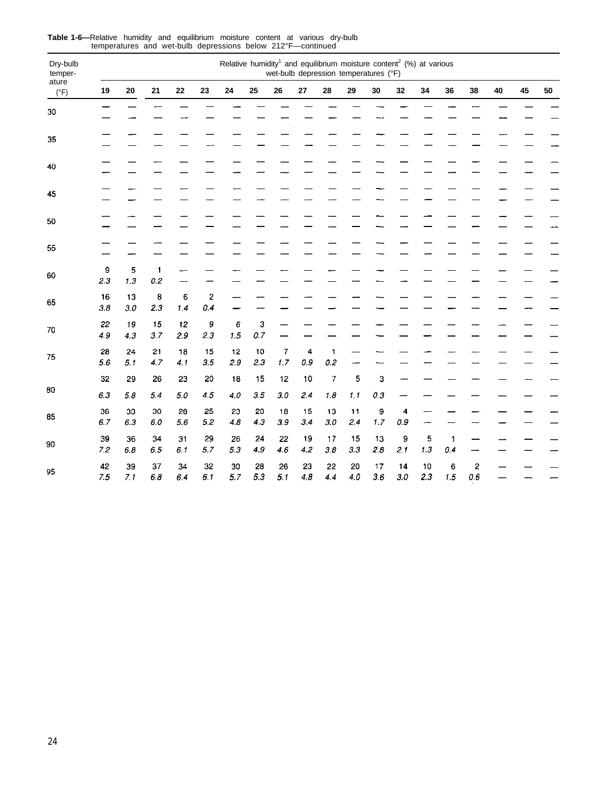| Dry-bulb<br>temper-<br>ature<br>$(^{\circ}F)$<br>30 |           |           |               |           |           | Relative humidity <sup>1</sup> and equilibrium moisture content <sup>2</sup> (%) at various |           |                       | wet-bulb depression temperatures (°F) |                       |           |           |           |           |          |                     |    |    |    |
|-----------------------------------------------------|-----------|-----------|---------------|-----------|-----------|---------------------------------------------------------------------------------------------|-----------|-----------------------|---------------------------------------|-----------------------|-----------|-----------|-----------|-----------|----------|---------------------|----|----|----|
|                                                     | 19        | 20        | 21            | 22        | 23        | ${\bf 24}$                                                                                  | 25        | 26                    | ${\bf 27}$                            | 28                    | 29        | 30        | 32        | 34        | 36       | 38                  | 40 | 45 | 50 |
|                                                     |           |           |               |           |           |                                                                                             |           |                       |                                       |                       |           |           |           |           |          |                     |    |    |    |
| 35                                                  |           |           |               |           |           |                                                                                             |           |                       |                                       |                       |           |           |           |           |          |                     |    |    |    |
| 40                                                  |           |           |               |           |           |                                                                                             |           |                       |                                       |                       |           |           |           |           |          |                     |    |    |    |
| 45                                                  |           |           |               |           |           |                                                                                             |           |                       |                                       |                       |           |           |           |           |          |                     |    |    |    |
| 50                                                  |           |           |               |           |           |                                                                                             |           |                       |                                       |                       |           |           |           |           |          |                     |    |    |    |
| 55                                                  |           |           |               |           |           |                                                                                             |           |                       |                                       |                       |           |           |           |           |          |                     |    |    |    |
| 60                                                  | 9<br>2.3  | 5<br>1.3  | 1<br>0.2      |           |           |                                                                                             |           |                       |                                       |                       |           |           |           |           |          |                     |    |    |    |
| 65                                                  | 16<br>3.8 | 13<br>3.0 | 8<br>2.3      | 6<br>1.4  | 2<br>0.4  |                                                                                             |           |                       |                                       |                       |           |           |           |           |          |                     |    |    |    |
| 70                                                  | 22<br>4.9 | 19<br>4.3 | 15<br>3.7     | 12<br>2.9 | 9<br>2.3  | 6<br>1.5                                                                                    | 3<br>0.7  |                       |                                       |                       |           |           |           |           |          |                     |    |    |    |
| 75                                                  | 28<br>5.6 | 24<br>5.1 | 21<br>4.7     | 18<br>4.1 | 15<br>3.5 | 12<br>2.9                                                                                   | 10<br>2.3 | $\overline{7}$<br>1.7 | 4<br>0.9                              | $\mathbf{1}$<br>0.2   |           |           |           |           |          |                     |    |    |    |
|                                                     | 32        | 29        | 26            | 23        | 20        | 18                                                                                          | 15        | 12                    | 10                                    | 7                     | 5         | 3         |           |           |          |                     |    |    |    |
| 80                                                  | 6.3       | 5.8       | 5.4           | $5.0\,$   | 4.5       | 4.0                                                                                         | 3.5       | 3.0                   | 2.4                                   | 1.8                   | 1.1       | 0.3       |           |           |          |                     |    |    |    |
| 85                                                  | 36<br>6.7 | 33<br>6.3 | 30<br>$6.0\,$ | 28<br>5.6 | 25<br>5.2 | 23<br>4.8                                                                                   | 20<br>4.3 | 18<br>$3\,9$          | 15<br>3.4                             | 13<br>$3.0\,$         | 11<br>2.4 | 9<br>1,7  | 4<br>0.9  |           |          |                     |    |    |    |
| 90                                                  | 39<br>7.2 | 36<br>6.8 | 34<br>65      | 31<br>6.1 | 29<br>5.7 | 26<br>5.3                                                                                   | 24<br>4.9 | 22<br>46              | 19<br>4.2                             | 17<br>3.8             | 15<br>3.3 | 13<br>2.8 | 9<br>2.1  | 5<br>1.3  | 1<br>0.4 |                     |    |    |    |
| 95                                                  | 42<br>7.5 | 39<br>7.1 | 37<br>6.8     | 34<br>64  | 32<br>6.1 | 30<br>5.7                                                                                   | 28<br>5.3 | 26<br>5.1             | 23<br>4,8                             | 22<br>$\overline{44}$ | 20<br>4.0 | 17<br>3.6 | 14<br>3.0 | 10<br>2.3 | 6<br>1.5 | $\mathbf{z}$<br>0.6 |    |    |    |

**Table 1-6—**Relative humidity and equilibrium moisture content at various dry-bulb temperatures and wet-bulb depressions below 212°F—continued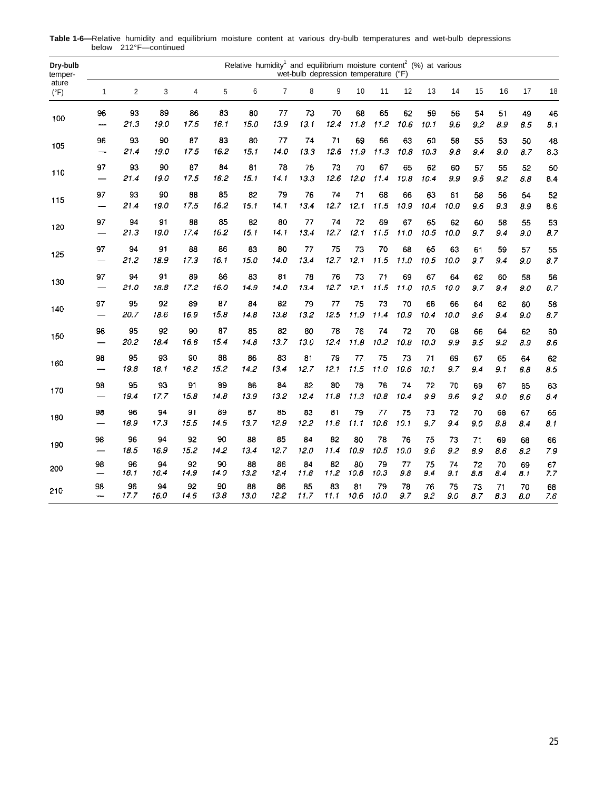| Dry-bulb<br>temper-<br>ature<br>$(^{\circ}F)$ | Relative humidity <sup>1</sup> and equilibrium moisture content <sup>2</sup> (%) at various<br>wet-bulb depression temperature (°F)<br>$\overline{7}$<br>5<br>6<br>8<br>9<br>10<br>12<br>13<br>14<br>15<br>16<br>17<br>$\overline{2}$<br>3<br>4<br>11<br>1 |            |            |            |            |            |            |            |            |            |            |            |            |            |           |           |           |               |
|-----------------------------------------------|------------------------------------------------------------------------------------------------------------------------------------------------------------------------------------------------------------------------------------------------------------|------------|------------|------------|------------|------------|------------|------------|------------|------------|------------|------------|------------|------------|-----------|-----------|-----------|---------------|
|                                               |                                                                                                                                                                                                                                                            |            |            |            |            |            |            |            |            |            |            |            |            |            |           |           |           | 18            |
| 100                                           | 96<br>---                                                                                                                                                                                                                                                  | 93<br>21.3 | 89<br>19.0 | 86<br>17.5 | 83<br>16.1 | 80<br>15.0 | 77<br>13.9 | 73<br>13.1 | 70<br>12.4 | 68<br>11.8 | 65<br>11.2 | 62<br>10.6 | 59<br>10.1 | 56<br>9.6  | 54<br>9.2 | 51<br>8.9 | 49<br>8.5 | 46<br>8.1     |
| 105                                           | 96<br>$\overline{\phantom{0}}$                                                                                                                                                                                                                             | 93<br>214  | 90<br>19.0 | 87<br>17.5 | 83<br>16.2 | 80<br>15.1 | 77<br>14.0 | 74<br>133  | 71<br>12.6 | 69<br>11.9 | 66<br>11.3 | 63<br>10.8 | 60<br>10.3 | 58<br>98   | 55<br>9.4 | 53<br>9.0 | 50<br>87  | 48<br>8.3     |
| 110                                           | 97                                                                                                                                                                                                                                                         | 93<br>21.4 | 90<br>19.0 | 87<br>17.5 | 84<br>16.2 | 81<br>15.1 | 78<br>14.1 | 75<br>13.3 | 73<br>12.6 | 70<br>12.0 | 67<br>11.4 | 65<br>10.8 | 62<br>10.4 | 60<br>99   | 57<br>9.5 | 55<br>9.2 | 52<br>8.8 | 50<br>8.4     |
| 115                                           | 97<br>---                                                                                                                                                                                                                                                  | 93<br>21.4 | 90<br>19.0 | 88<br>17.5 | 85<br>16.2 | 82<br>15.1 | 79<br>14.1 | 76<br>13.4 | 74<br>12.7 | 71<br>12.1 | 68<br>11.5 | 66<br>10.9 | 63<br>10.4 | 61<br>10.0 | 58<br>9.6 | 56<br>9.3 | 54<br>8.9 | 52<br>8.6     |
| 120                                           | 97                                                                                                                                                                                                                                                         | 94<br>21.3 | 91<br>19.0 | 88<br>17.4 | 85<br>16.2 | 82<br>15.1 | 80<br>14.1 | 77<br>134  | 74<br>12.7 | 72<br>12.1 | 69<br>11.5 | 67<br>11.0 | 65<br>105  | 62<br>10.0 | 60<br>9.7 | 58<br>9.4 | 55<br>90  | 53<br>8.7     |
| 125                                           | 97                                                                                                                                                                                                                                                         | 94<br>21.2 | 91<br>18.9 | 88<br>17.3 | 86<br>16.1 | 83<br>15.0 | 80<br>14.0 | 77<br>13.4 | 75<br>12.7 | 73<br>12.1 | 70<br>11.5 | 68<br>11.0 | 65<br>10.5 | 63<br>10.0 | 61<br>9.7 | 59<br>9.4 | 57<br>9.0 | 55<br>8.7     |
| 130                                           | 97<br>$\overline{\phantom{0}}$                                                                                                                                                                                                                             | 94<br>21.0 | 91<br>18.8 | 89<br>17.2 | 86<br>16.0 | 83<br>14.9 | 81<br>14.0 | 78<br>13.4 | 76<br>12.7 | 73<br>12.1 | 71<br>11.5 | 69<br>11.0 | 67<br>10.5 | 64<br>10.0 | 62<br>9.7 | 60<br>9.4 | 58<br>9.0 | 56<br>8.7     |
| 140                                           | 97                                                                                                                                                                                                                                                         | 95<br>20.7 | 92<br>18.6 | 89<br>16.9 | 87<br>15.8 | 84<br>14.8 | 82<br>13.8 | 79<br>132  | 77<br>12.5 | 75<br>11.9 | 73<br>11.4 | 70<br>10.9 | 68<br>104  | 66<br>10.0 | 64<br>9.6 | 62<br>9.4 | 60<br>90  | 58<br>8.7     |
| 150                                           | 98                                                                                                                                                                                                                                                         | 95<br>20.2 | 92<br>18.4 | 90<br>16.6 | 87<br>15.4 | 85<br>14.8 | 82<br>13.7 | 80<br>13.0 | 78<br>12.4 | 76<br>11.8 | 74<br>10.2 | 72<br>10.8 | 70<br>10.3 | 68<br>9.9  | 66<br>9.5 | 64<br>9.2 | 62<br>8.9 | 60<br>8.6     |
| 160                                           | 98<br>$\overline{\phantom{0}}$                                                                                                                                                                                                                             | 95<br>19.8 | 93<br>18.1 | 90<br>16.2 | 88<br>15.2 | 86<br>14.2 | 83<br>13.4 | 81<br>12.7 | 79<br>12.1 | 77<br>11.5 | 75<br>11.0 | 73<br>10.6 | 71<br>10.1 | 69<br>9.7  | 67<br>9.4 | 65<br>9.1 | 64<br>88  | 62<br>8.5     |
| 170                                           | 98<br>$\overline{\phantom{0}}$                                                                                                                                                                                                                             | 95<br>19.4 | 93<br>17.7 | 91<br>15.8 | 89<br>14.8 | 86<br>13.9 | 84<br>13.2 | 82<br>12.4 | 80<br>11.8 | 78<br>11.3 | 76<br>10.8 | 74<br>10.4 | 72<br>9.9  | 70<br>9.6  | 69<br>9.2 | 67<br>9.0 | 65<br>8.6 | 63<br>8.4     |
| 180                                           | 98                                                                                                                                                                                                                                                         | 96<br>18.9 | 94<br>17.3 | 91<br>15.5 | 89<br>14.5 | 87<br>13.7 | 85<br>12.9 | 83<br>12.2 | 81<br>11.6 | 79<br>11.1 | 77<br>10.6 | 75<br>10.1 | 73<br>9.7  | 72<br>9.4  | 70<br>9.0 | 68<br>8.8 | 67<br>84  | 65<br>8.1     |
| 190                                           | 98                                                                                                                                                                                                                                                         | 96<br>18.5 | 94<br>16.9 | 92<br>15.2 | 90<br>14.2 | 88<br>13.4 | 85<br>12.7 | 84<br>12.0 | 82<br>11.4 | 80<br>10.9 | 78<br>10.5 | 76<br>10.0 | 75<br>9.6  | 73<br>9.2  | 71<br>8.9 | 69<br>8.6 | 68<br>8.2 | 66<br>$7.9\,$ |
| 200                                           | 98                                                                                                                                                                                                                                                         | 96<br>18.1 | 94<br>164  | 92<br>14.9 | 90<br>14.0 | 88<br>13.2 | 86<br>12.4 | 84<br>11.8 | 82<br>11.2 | 80<br>10.8 | 79<br>10.3 | 77<br>9.8  | 75<br>9.4  | 74<br>9.1  | 72<br>8.6 | 70<br>8.4 | 69<br>81  | 67<br>7.7     |
| 210                                           | 98<br>-                                                                                                                                                                                                                                                    | 96<br>17.7 | 94<br>16.0 | 92<br>14.6 | 90<br>13.8 | 88<br>13.0 | 86<br>12.2 | 85<br>11.7 | 83<br>11 1 | 81<br>10.6 | 79<br>10.0 | 78<br>9.7  | 76<br>9.2  | 75<br>9.0  | 73<br>8.7 | 71<br>8.3 | 70<br>8.0 | 68<br>76      |

**Table 1-6—**Relative humidity and equilibrium moisture content at various dry-bulb temperatures and wet-bulb depressions below 212°F—continued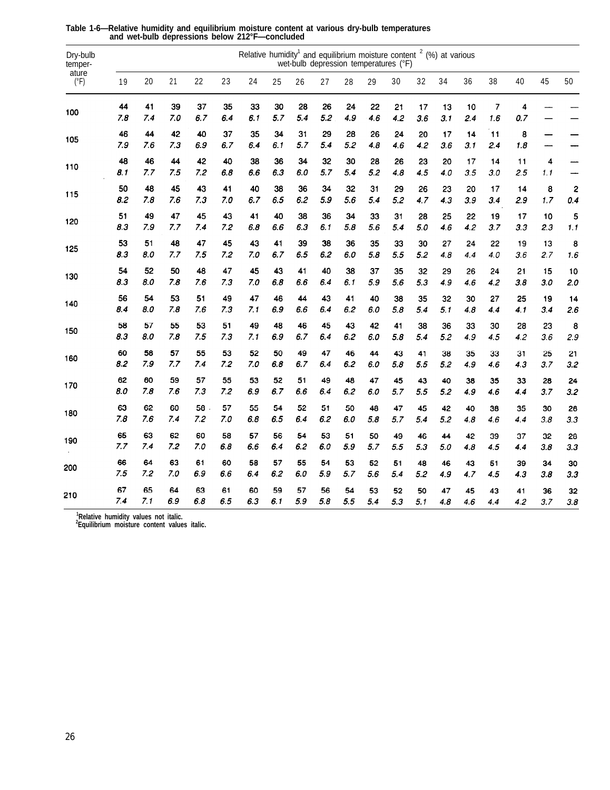| Dry-bulb<br>temper-<br>ature<br>$(^{\circ}F)$ | Relative humidity <sup>1</sup> and equilibrium moisture content $2$ (%) at various<br>wet-bulb depression temperatures (°F)<br>19<br>20<br>21<br>22<br>23<br>24<br>25<br>28<br>29<br>34<br>36<br>38<br>40<br>45<br>50<br>26<br>27<br>30<br>32 |     |     |     |     |     |     |     |     |     |     |     |     |     |     |                |                         |     |     |
|-----------------------------------------------|-----------------------------------------------------------------------------------------------------------------------------------------------------------------------------------------------------------------------------------------------|-----|-----|-----|-----|-----|-----|-----|-----|-----|-----|-----|-----|-----|-----|----------------|-------------------------|-----|-----|
|                                               |                                                                                                                                                                                                                                               |     |     |     |     |     |     |     |     |     |     |     |     |     |     |                |                         |     |     |
| 100                                           | 44                                                                                                                                                                                                                                            | 41  | 39  | 37  | 35  | 33  | 30  | 28  | 26  | 24  | 22  | 21  | 17  | 13  | 10  | $\overline{7}$ | $\overline{\mathbf{4}}$ |     |     |
|                                               | 7.8                                                                                                                                                                                                                                           | 7.4 | 7.0 | 6.7 | 6.4 | 6.1 | 5.7 | 5.4 | 5.2 | 4.9 | 4.6 | 4.2 | 3.6 | 3.1 | 2.4 | 1.6            | 0.7                     |     |     |
| 105                                           | 46                                                                                                                                                                                                                                            | 44  | 42  | 40  | 37  | 35  | 34  | 31  | 29  | 28  | 26  | 24  | 20  | 17  | 14  | 11             | 8                       |     |     |
|                                               | 7.9                                                                                                                                                                                                                                           | 7.6 | 7.3 | 6.9 | 6.7 | 6.4 | 6.1 | 5.7 | 5.4 | 5.2 | 4.8 | 4.6 | 4.2 | 3.6 | 3.1 | 2.4            | 1.8                     | —   |     |
| 110                                           | 48                                                                                                                                                                                                                                            | 46  | 44  | 42  | 40  | 38  | 36  | 34  | 32  | 30  | 28  | 26  | 23  | 20  | 17  | 14             | 11                      | 4   | ÷,  |
|                                               | 8.1                                                                                                                                                                                                                                           | 7.7 | 7.5 | 7.2 | 6.8 | 6.6 | 6.3 | 6.0 | 5.7 | 5.4 | 5.2 | 4.8 | 4.5 | 4.0 | 3.5 | 3.0            | 2.5                     | 1.1 |     |
|                                               | 50                                                                                                                                                                                                                                            | 48  | 45  | 43  | 41  | 40  | 38  | 36  | 34  | 32  | 31  | 29  | 26  | 23  | 20  | 17             | 14                      | 8   | 2   |
| 115                                           | 8.2                                                                                                                                                                                                                                           | 7.8 | 7.6 | 7.3 | 7.0 | 6.7 | 6.5 | 6.2 | 5.9 | 5.6 | 5.4 | 5.2 | 4.7 | 4.3 | 3.9 | 3.4            | 2.9                     | 1.7 | 0.4 |
|                                               | 51                                                                                                                                                                                                                                            | 49  | 47  | 45  | 43  | 41  | 40  | 38  | 36  | 34  | 33  | 31  | 28  | 25  | 22  | 19             | 17                      | 10  | 5   |
| 120                                           | 8.3                                                                                                                                                                                                                                           | 7.9 | 7.7 | 7.4 | 7.2 | 6.8 | 6.6 | 6.3 | 6.1 | 5.8 | 5.6 | 5.4 | 5.0 | 4.6 | 4.2 | 3.7            | 3.3                     | 2.3 | 1.1 |
|                                               | 53                                                                                                                                                                                                                                            | 51  | 48  | 47  | 45  | 43  | 41  | 39  | 38  | 36  | 35  | 33  | 30  | 27  | 24  | 22             | 19                      | 13  | 8   |
| 125                                           | 8.3                                                                                                                                                                                                                                           | 8.0 | 7.7 | 7.5 | 7.2 | 7.0 | 6.7 | 6.5 | 6.2 | 6.0 | 5.8 | 5.5 | 5.2 | 4.8 | 4.4 | 4.0            | 3.6                     | 2.7 | 1.6 |
|                                               | 54                                                                                                                                                                                                                                            | 52  | 50  | 48  | 47  | 45  | 43  | 41  | 40  | 38  | 37  | 35  | 32  | 29  | 26  | 24             | 21                      | 15  | 10  |
| 130                                           | 8.3                                                                                                                                                                                                                                           | 8.0 | 7.8 | 7.6 | 7.3 | 7.0 | 6.8 | 6.6 | 6.4 | 6.1 | 5.9 | 5.6 | 5.3 | 4.9 | 4.6 | 4.2            | 3.8                     | 3.0 | 2.0 |
|                                               | 56                                                                                                                                                                                                                                            | 54  | 53  | 51  | 49  | 47  | 46  | 44  | 43  | 41  | 40  | 38  | 35  | 32  | 30  | 27             | 25                      | 19  | 14  |
| 140                                           | 8.4                                                                                                                                                                                                                                           | 8.0 | 7.8 | 7.6 | 7.3 | 7.1 | 6.9 | 6.6 | 6.4 | 6.2 | 6.0 | 5.8 | 5.4 | 5.1 | 4.8 | 4.4            | 4.1                     | 3.4 | 2.6 |
|                                               | 58                                                                                                                                                                                                                                            | 57  | 55  | 53  | 51  | 49  | 48  | 46  | 45  | 43  | 42  | 41  | 38  | 36  | 33  | 30             | 28                      | 23  | 8   |
| 150                                           | 8.3                                                                                                                                                                                                                                           | 8.0 | 7.8 | 7.5 | 7.3 | 7.1 | 6.9 | 6.7 | 6.4 | 6.2 | 6.0 | 5.8 | 5.4 | 5.2 | 4.9 | 4.5            | 4.2                     | 3.6 | 2.9 |
|                                               | 60                                                                                                                                                                                                                                            | 58  | 57  | 55  | 53  | 52  | 50  | 49  | 47  | 46  | 44  | 43  | 41  | 38  | 35  | 33             | 31                      | 25  | 21  |
| 160                                           | 8.2                                                                                                                                                                                                                                           | 7.9 | 7.7 | 7.4 | 7.2 | 7.0 | 6.8 | 6.7 | 6.4 | 6.2 | 6.0 | 5.8 | 5.5 | 5.2 | 4.9 | 4.6            | 4.3                     | 3.7 | 3.2 |
|                                               | 62                                                                                                                                                                                                                                            | 60  | 59  | 57  | 55  | 53  | 52  | 51  | 49  | 48  | 47  | 45  | 43  | 40  | 38  | 35             | 33                      | 28  | 24  |
| 170                                           | 8.0                                                                                                                                                                                                                                           | 7.8 | 7.6 | 7.3 | 7.2 | 6.9 | 6.7 | 6.6 | 6.4 | 6.2 | 6.0 | 5.7 | 5.5 | 5.2 | 4.9 | 4.6            | 4.4                     | 3.7 | 3.2 |
|                                               | 63                                                                                                                                                                                                                                            | 62  | 60  | 58  | 57  | 55  | 54  | 52  | 51  | 50  | 48  | 47  | 45  | 42  | 40  | 38             | 35                      | 30  | 26  |
| 180                                           | 7.8                                                                                                                                                                                                                                           | 7.6 | 7.4 | 7.2 | 7.0 | 6.8 | 6.5 | 6.4 | 6.2 | 6.0 | 5.8 | 5.7 | 5.4 | 5.2 | 4.8 | 4.6            | 4.4                     | 3.8 | 3.3 |
|                                               | 65                                                                                                                                                                                                                                            | 63  | 62  | 60  | 58  | 57  | 56  | 54  | 53  | 51  | 50  | 49  | 46  | 44  | 42  | 39             | 37                      | 32  | 28  |
| 190                                           | 7.7                                                                                                                                                                                                                                           | 7.4 | 7.2 | 7.0 | 6.8 | 6.6 | 6.4 | 6.2 | 6.0 | 5.9 | 5.7 | 5.5 | 5.3 | 5.0 | 4.8 | 4.5            | 4.4                     | 3.8 | 3.3 |
|                                               | 66                                                                                                                                                                                                                                            | 64  | 63  | 61  | 60  | 58  | 57  | 55  | 54  | 53  | 52  | 51  | 48  | 46  | 43  | 51             | 39                      | 34  | 30  |
| 200                                           | 7.5                                                                                                                                                                                                                                           | 7.2 | 7.0 | 6.9 | 6.6 | 6.4 | 6.2 | 6.0 | 5.9 | 5.7 | 5.6 | 5.4 | 5.2 | 4.9 | 4.7 | 4.5            | 4.3                     | 3.8 | 3.3 |
|                                               | 67                                                                                                                                                                                                                                            | 65  | 64  | 63  | 61  | 60  | 59  | 57  | 56  | 54  | 53  | 52  | 50  | 47  | 45  | 43             | 41                      | 36  | 32  |
| 210                                           | 7.4                                                                                                                                                                                                                                           | 7.1 | 6.9 | 6.8 | 6.5 | 6.3 | 6.1 | 5.9 | 5.8 | 5.5 | 5.4 | 5.3 | 5.1 | 4.8 | 4.6 | 4.4            | 42                      | 3.7 | 3.8 |

**Table 1-6—Relative humidity and equilibrium moisture content at various dry-bulb temperatures and wet-bulb depressions below 212°F—concluded**

**1 Relative humidity values not italic. 2 Equilibrium moisture content values italic.**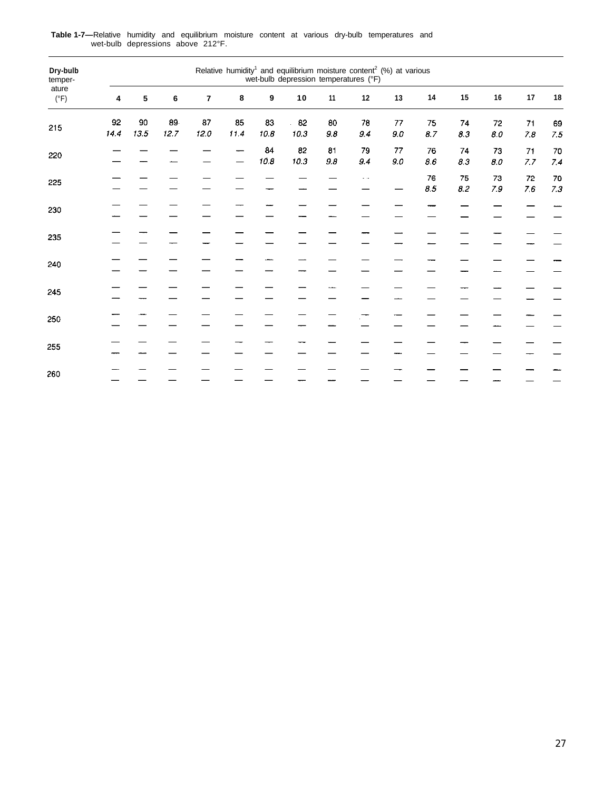| Dry-bulb<br>temper-<br>ature | Relative humidity <sup>1</sup> and equilibrium moisture content <sup>2</sup> (%) at various wet-bulb depression temperatures ( ${}^{\circ}$ F)<br>15<br>14<br>16<br>17<br>${\bf 18}$<br>$\boldsymbol{9}$<br>10<br>11<br>$12$<br>13<br>$\bf 6$<br>$\overline{\mathbf{r}}$<br>$\bf8$<br>5<br>4 |            |            |            |            |                |                                    |               |           |                   |                 |                 |                                             |           |               |
|------------------------------|----------------------------------------------------------------------------------------------------------------------------------------------------------------------------------------------------------------------------------------------------------------------------------------------|------------|------------|------------|------------|----------------|------------------------------------|---------------|-----------|-------------------|-----------------|-----------------|---------------------------------------------|-----------|---------------|
| $(^{\circ}F)$                |                                                                                                                                                                                                                                                                                              |            |            |            |            |                |                                    |               |           |                   |                 |                 |                                             |           |               |
| 215                          | 92<br>14.4                                                                                                                                                                                                                                                                                   | 90<br>13.5 | 89<br>12.7 | 87<br>12.0 | 85<br>11.4 | 83<br>$10.8\,$ | 82<br>$\ddot{\phantom{a}}$<br>10.3 | 80<br>$9.8\,$ | 78<br>9.4 | 77<br>$\pmb{9.0}$ | 75<br>$\it 8.7$ | 74<br>8.3       | $72\,$<br>$\bf 8.0$                         | 71<br>7.8 | 69<br>7.5     |
| 220                          |                                                                                                                                                                                                                                                                                              |            |            |            |            | 84<br>10.8     | 82<br>10.3                         | 81<br>$9.8\,$ | 79<br>9.4 | 77<br>$9.0\,$     | 76<br>$8.6\,$   | 74<br>$8.3\,$   | 73<br>$\pmb{\mathcal{B}}.\pmb{\mathcal{O}}$ | 71<br>7.7 | 70<br>7.4     |
| 225                          |                                                                                                                                                                                                                                                                                              |            |            |            |            |                |                                    |               |           |                   | 76<br>$\it 8.5$ | 75<br>$\it 8.2$ | 73<br>$7.9\,$                               | 72<br>7.6 | 70<br>$7.3\,$ |
| 230                          |                                                                                                                                                                                                                                                                                              |            |            |            |            |                |                                    |               |           |                   |                 |                 |                                             |           |               |
| 235                          |                                                                                                                                                                                                                                                                                              |            |            |            |            |                |                                    |               |           |                   |                 |                 |                                             |           |               |
| 240                          |                                                                                                                                                                                                                                                                                              |            |            |            |            |                |                                    |               |           |                   |                 |                 |                                             |           |               |
| 245                          |                                                                                                                                                                                                                                                                                              |            |            |            |            |                |                                    |               |           |                   |                 |                 |                                             |           |               |
| 250                          |                                                                                                                                                                                                                                                                                              |            |            |            |            |                |                                    |               |           |                   |                 |                 |                                             |           |               |
| 255                          |                                                                                                                                                                                                                                                                                              |            |            |            |            |                |                                    |               |           |                   |                 |                 |                                             |           |               |
| 260                          |                                                                                                                                                                                                                                                                                              |            |            |            |            |                |                                    |               |           |                   |                 |                 |                                             |           |               |

**Table 1-7—**Relative humidity and equilibrium moisture content at various dry-bulb temperatures and wet-bulb depressions above 212°F.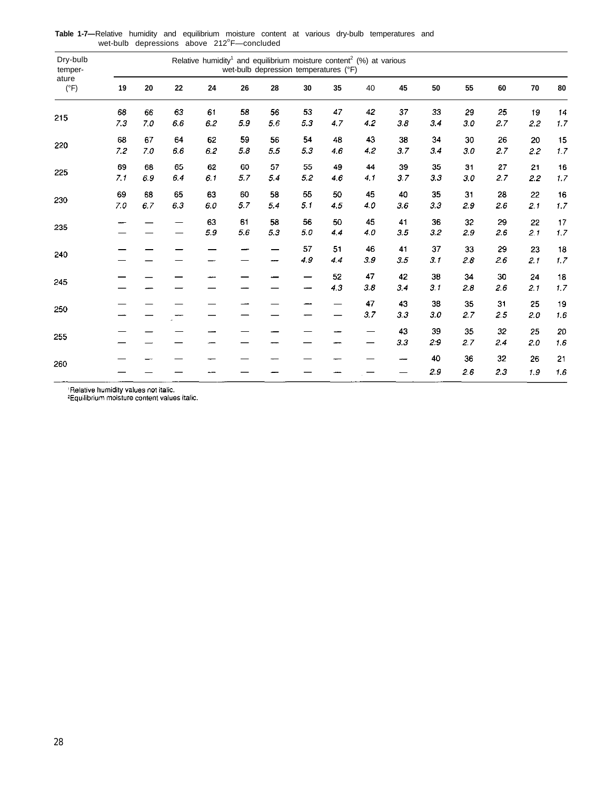| Dry-bulb<br>temper-<br>ature |     | Relative humidity <sup>1</sup> and equilibrium moisture content <sup>2</sup> (%) at various<br>wet-bulb depression temperatures (°F) |         |     |         |     |     |     |     |     |     |     |     |     |            |
|------------------------------|-----|--------------------------------------------------------------------------------------------------------------------------------------|---------|-----|---------|-----|-----|-----|-----|-----|-----|-----|-----|-----|------------|
| $(^{\circ}F)$                | 19  | 20                                                                                                                                   | 22      | 24  | 26      | 28  | 30  | 35  | 40  | 45  | 50  | 55  | 60  | 70  | ${\bf 80}$ |
| 215                          | 68  | 66                                                                                                                                   | 63      | 61  | 58      | 56  | 53  | 47  | 42  | 37  | 33  | 29  | 25  | 19  | 14         |
|                              | 7.3 | 7.0                                                                                                                                  | 6.6     | 6.2 | 5.9     | 56  | 5.3 | 4.7 | 4.2 | 3.8 | 3.4 | 3.0 | 2.7 | 2.2 | 1.7        |
| 220                          | 68  | 67                                                                                                                                   | 64      | 62  | 59      | 56  | 54  | 48  | 43  | 38  | 34  | 30  | 26  | 20  | 15         |
|                              | 7.2 | 7.0                                                                                                                                  | $6.6\,$ | 6.2 | $5.8\,$ | 5.5 | 5.3 | 4.6 | 4.2 | 3.7 | 3.4 | 30  | 2.7 | 2.2 | 1.7        |
| 225                          | 69  | 68                                                                                                                                   | 65      | 62  | 60      | 57  | 55  | 49  | 44  | 39  | 35  | 31  | 27  | 21  | 16         |
|                              | 7.1 | 6.9                                                                                                                                  | 6.4     | 6.1 | 5.7     | 5.4 | 5.2 | 4.6 | 4.1 | 3.7 | 3.3 | 30  | 2.7 | 22  | 1.7        |
| 230                          | 69  | 68                                                                                                                                   | 65      | 63  | 60      | 58  | 55  | 50  | 45  | 40  | 35  | 31  | 28  | 22  | 16         |
|                              | 7.0 | 6.7                                                                                                                                  | 6.3     | 6.0 | 5.7     | 5.4 | 5.1 | 4.5 | 4.0 | 3.6 | 3.3 | 2.9 | 2.6 | 2.1 | 1.7        |
| 235                          |     |                                                                                                                                      |         | 63  | 61      | 58  | 56  | 50  | 45  | 41  | 36  | 32  | 29  | 22  | 17         |
|                              |     |                                                                                                                                      |         | 5.9 | 5.6     | 5.3 | 5.0 | 4.4 | 4.0 | 3.5 | 3.2 | 2.9 | 2.6 | 2.1 | 1.7        |
| 240                          |     |                                                                                                                                      |         |     |         |     | 57  | 51  | 46  | 41  | 37  | 33  | 29  | 23  | 18         |
|                              |     |                                                                                                                                      |         |     |         |     | 4.9 | 4.4 | 3.9 | 3.5 | 3.1 | 2.8 | 2.6 | 2.1 | 1.7        |
| 245                          |     |                                                                                                                                      |         |     |         |     |     | 52  | 47  | 42  | 38  | 34  | 30  | 24  | 18         |
|                              |     |                                                                                                                                      |         |     |         |     |     | 4.3 | 3.8 | 3.4 | 3.1 | 2.8 | 2.6 | 2.1 | $1.7\,$    |
| 250                          |     |                                                                                                                                      |         |     |         |     |     |     | 47  | 43  | 38  | 35  | 31  | 25  | 19         |
|                              |     |                                                                                                                                      |         |     |         |     |     |     | 3.7 | 3.3 | 3.0 | 2.7 | 2.5 | 2.0 | $1.6\,$    |
| 255                          |     |                                                                                                                                      |         |     |         |     |     |     |     | 43  | 39  | 35  | 32  | 25  | 20         |
|                              |     |                                                                                                                                      |         |     |         |     |     |     |     | 3.3 | 2:9 | 2.7 | 2.4 | 2.0 | 1.6        |
| 260                          |     |                                                                                                                                      |         |     |         |     |     |     |     |     | 40  | 36  | 32  | 26  | 21         |
|                              |     |                                                                                                                                      |         |     |         |     |     |     |     |     | 2.9 | 2.6 | 2.3 | 1.9 | $1.6\,$    |

Table 1-7—Relative humidity and equilibrium moisture content at various dry-bulb temperatures and<br>wet-bulb depressions above 212°F—concluded

<sup>1</sup>Relative humidity values not italic.<br><sup>2</sup>Equilibrium moisture content values italic.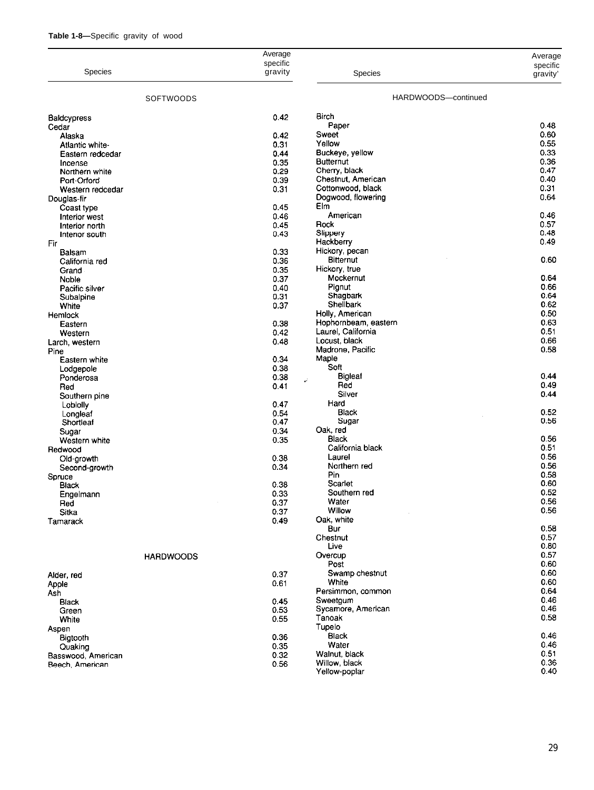| Table 1-8—Specific gravity of wood |  |  |  |  |  |
|------------------------------------|--|--|--|--|--|
|------------------------------------|--|--|--|--|--|

|                                 |                  | Average      |                                     |                     |
|---------------------------------|------------------|--------------|-------------------------------------|---------------------|
|                                 |                  | specific     |                                     | Average<br>specific |
| Species                         |                  | gravity      | <b>Species</b>                      | gravity'            |
|                                 |                  |              | HARDWOODS-continued                 |                     |
|                                 | <b>SOFTWOODS</b> |              |                                     |                     |
| Baldcypress                     |                  | 0.42         | <b>Birch</b>                        |                     |
| Cedar                           |                  |              | Paper                               | 0.48                |
| Alaska                          |                  | 0.42         | Sweet                               | 0.60                |
| Atlantic white-                 |                  | 0.31         | Yellow                              | 0.55                |
| Eastern redcedar                |                  | 0.44         | Buckeye, yellow                     | 0.33                |
| Incense                         |                  | 0.35         | <b>Butternut</b>                    | 0.36<br>0.47        |
| Northern white                  |                  | 0.29<br>0.39 | Cherry, black<br>Chestnut, American | 0.40                |
| Port-Orford<br>Western redcedar |                  | 0.31         | Cottonwood black                    | 0.31                |
| Douglas-fir                     |                  |              | Dogwood, flowering                  | 0.64                |
| Coast type                      |                  | 0.45         | Elm                                 |                     |
| Interior west                   |                  | 0.46         | American                            | 0.46                |
| Interior north                  |                  | 0.45         | Rock                                | 0.57                |
| Interior south                  |                  | 0.43         | Slippery                            | 0.48                |
| Fir                             |                  |              | Hackberry                           | 0.49                |
| Balsam                          |                  | 0.33         | Hickory, pecan                      |                     |
| California red                  |                  | 0.36         | <b>Bitternut</b>                    | 0.60                |
| Grand                           |                  | 0.35         | Hickory true                        |                     |
| Noble                           |                  | 0.37         | Mockernut                           | 0.64                |
| Pacific silver                  |                  | 0.40         | Pignut                              | 0.66                |
| Subalpine                       |                  | 0.31         | Shagbark<br>Shellbark               | 0.64<br>0.62        |
| White                           |                  | 0.37         | Holly, American                     | 0.50                |
| Hemlock<br>Eastern              |                  | 0.38         | Hophornbeam, eastern                | 0.63                |
| Western                         |                  | 0.42         | Laurel, California                  | 0.51                |
| Larch, western                  |                  | 0.48         | Locust, black                       | 0.66                |
| Pine                            |                  |              | Madrone, Pacific                    | 0.58                |
| Eastern white                   |                  | 0.34         | Maple                               |                     |
| Lodgepole                       |                  | 0.38         | Soft                                |                     |
| Ponderosa                       |                  | 0.38         | <b>Bigleaf</b><br>ë,                | 0.44                |
| Red                             |                  | 0.41         | Red                                 | 0.49                |
| Southern pine                   |                  |              | Silver                              | 0.44                |
| Loblolly                        |                  | 0.47         | Hard                                |                     |
| Longleaf                        |                  | 0.54         | Black                               | 0.52                |
| Shortleaf                       |                  | 0.47         | Sugar<br>Oak, red                   | 0.56                |
| Sugar                           |                  | 0.34<br>0.35 | Black                               | 0.56                |
| Western white                   |                  |              | California black                    | 0.51                |
| Redwood<br>Old-growth           |                  | 0.38         | Laurel                              | 0.56                |
| Second-growth                   |                  | 0.34         | Northern red                        | 0.56                |
| Spruce                          |                  |              | Pin                                 | 0.58                |
| Black                           |                  | 0.38         | Scarlet                             | 0.60                |
| Engelmann                       |                  | 0.33         | Southern red                        | 0.52                |
| Red                             |                  | 0.37         | Water                               | 0.56                |
| Sitka                           |                  | 0.37         | Willow                              | 0.56                |
| Tamarack                        |                  | 0.49         | Oak, white                          |                     |
|                                 |                  |              | Bur                                 | 0.58                |
|                                 |                  |              | Chestnut                            | 0.57                |
|                                 |                  |              | Live                                | 0.80<br>0.57        |
|                                 | <b>HARDWOODS</b> |              | Overcup<br>Post                     | 0.60                |
|                                 |                  | 0.37         | Swamp chestnut                      | 0.60                |
| Alder, red                      |                  | 0.61         | White                               | 0.60                |
| Apple<br>Ash                    |                  |              | Persimmon, common                   | 0.64                |
| Black                           |                  | 0.45         | Sweetgum                            | 0.46                |
| Green                           |                  | 0.53         | Sycamore, American                  | 0.46                |
| White                           |                  | 0.55         | Tanoak                              | 0.58                |
| Aspen                           |                  |              | Tupelo                              |                     |
| Bigtooth                        |                  | 0.36         | Black                               | 0.46                |
| Quaking                         |                  | 0.35         | Water                               | 0.46                |
| Basswood, American              |                  | 0.32         | Walnut, black                       | 0.51                |
| Beech, American                 |                  | 0.56         | Willow, black                       | 0.36<br>0.40        |
|                                 |                  |              | Yellow-poplar                       |                     |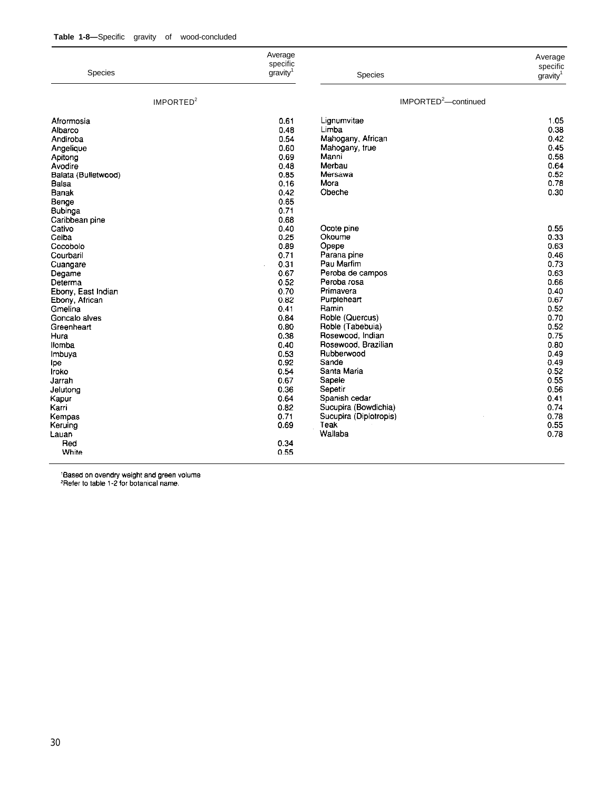|                       | Average<br>specific  |                                  | Average<br>specific  |
|-----------------------|----------------------|----------------------------------|----------------------|
| Species               | gravity <sup>1</sup> | Species                          | gravity <sup>1</sup> |
| IMPORTED <sup>2</sup> |                      | IMPORTED <sup>2</sup> -continued |                      |
| Afrormosia            | 0.61                 | Lignumvitae                      | 1.05                 |
| Albarco               | 0.48                 | Limba                            | 0.38                 |
| Andiroba              | 0.54                 | Mahogany, African                | 0.42                 |
| Angelique             | 0.60                 | Mahogany, true                   | 0.45                 |
| Apitong               | 0.69                 | Manni                            | 0.58                 |
| Avodire               | 0.48                 | Merbau                           | 0.64                 |
| Balata (Bulletwood)   | 0.85                 | Mersawa                          | 0.52                 |
| Balsa                 | 0.16                 | Mora                             | 0.78                 |
| <b>Banak</b>          | 0.42                 | Obeche                           | 0.30                 |
| Benge                 | 0.65                 |                                  |                      |
| Bubinga               | 0.71                 |                                  |                      |
| Caribbean pine        | 0.68                 |                                  |                      |
| Cativo                | 0.40                 | Ocote pine                       | 0.55                 |
| Ceiba                 | 0.25                 | Okoume                           | 0.33                 |
| Cocobolo              | 0.89                 | Opepe                            | 0.63                 |
| Courbaril             | 0.71                 | Parana pine                      | 0.46                 |
|                       | 0.31                 | Pau Marfim                       | 0.73                 |
| Cuangare              | 0.67                 | Peroba de campos                 | 0.63                 |
| Degame                | 0.52                 | Peroba rosa                      | 0.66                 |
| Determa               | 0.70                 | Primavera                        | 0.40                 |
| Ebony, East Indian    | 0.82                 |                                  | 0.67                 |
| Ebony, African        | 0.41                 | Purpleheart<br>Ramin             |                      |
| Gmelina               |                      |                                  | 0.52                 |
| Goncalo alves         | 0.84                 | Roble (Quercus)                  | 0.70                 |
| Greenheart            | 0.80                 | Roble (Tabebuia)                 | 0.52                 |
| Hura                  | 0.38                 | Rosewood, Indian                 | 0.75                 |
| <b>Ilomba</b>         | 0.40                 | Rosewood, Brazilian              | 0.80                 |
| Imbuya                | 0.53                 | Rubberwood                       | 0.49                 |
| ipe                   | 0.92                 | Sande                            | 0.49                 |
| Iroko                 | 0.54                 | Santa Maria                      | 0.52                 |
| Jarrah                | 0.67                 | Sapele                           | 0.55                 |
| Jelutona              | 0.36                 | Sepetir                          | 0.56                 |
| Kapur                 | 0.64                 | Spanish cedar                    | 0.41                 |
| Karri                 | 0.82                 | Sucupira (Bowdichia)             | 0.74                 |
| Kempas                | 0.71                 | Sucupira (Diplotropis)           | 0.78                 |
| Keruing               | 0.69                 | <b>Teak</b>                      | 0.55                 |
| Lauan                 |                      | Wallaba                          | 0.78                 |
| Red                   | 0.34                 |                                  |                      |
| White                 | 0.55                 |                                  |                      |

'Based on ovendry weight and green volume<br>'Refer to table 1-2 for botanical name.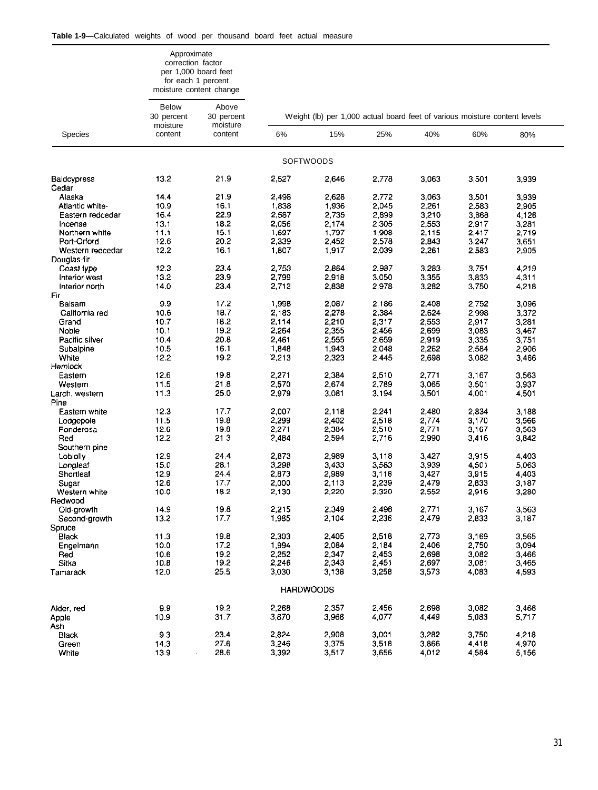|                             | Approximate<br>correction factor | per 1,000 board feet<br>for each 1 percent<br>moisture content change |                |                                                                            |                |                |                |                |
|-----------------------------|----------------------------------|-----------------------------------------------------------------------|----------------|----------------------------------------------------------------------------|----------------|----------------|----------------|----------------|
|                             | <b>Below</b><br>30 percent       | Above<br>30 percent                                                   |                | Weight (lb) per 1,000 actual board feet of various moisture content levels |                |                |                |                |
| Species                     | moisture<br>content              | moisture<br>content                                                   | 6%             | 15%                                                                        | 25%            | 40%            | 60%            | 80%            |
|                             |                                  |                                                                       |                | <b>SOFTWOODS</b>                                                           |                |                |                |                |
| <b>Baldcypress</b><br>Cedar | 13.2                             | 21.9                                                                  | 2,527          | 2,646                                                                      | 2.778          | 3,063          | 3,501          | 3,939          |
| Alaska                      | 14.4                             | 21.9                                                                  | 2,498          | 2,628                                                                      | 2,772          | 3,063          | 3,501          | 3,939          |
| Atlantic white-             | 10.9                             | 16.1                                                                  | 1,838          | 1,936                                                                      | 2,045          | 2,261          | 2,583          | 2,905          |
| Eastern redcedar            | 16.4                             | 22.9                                                                  | 2,587          | 2,735                                                                      | 2,899          | 3,210          | 3,668          | 4,126          |
| Incense                     | 13.1                             | 18.2                                                                  | 2,056          | 2,174                                                                      | 2,305          | 2,553          | 2,917          | 3,281          |
| Northern white              | 11.1                             | 15.1                                                                  | 1,697          | 1,797                                                                      | 1,908          | 2,115          | 2,417          | 2,719          |
| Port-Orford                 | 12.6                             | 20.2                                                                  | 2,339          | 2,452                                                                      | 2,578          | 2,843          | 3,247          | 3,651          |
| Western redcedar            | 12.2                             | 16.1                                                                  | 1,807          | 1,917                                                                      | 2,039          | 2,261          | 2,583          | 2,905          |
| Douglas-fir                 |                                  |                                                                       |                |                                                                            |                |                |                |                |
| Coast type                  | 12.3                             | 23.4                                                                  | 2,753          | 2,864                                                                      | 2.987          | 3,283          | 3,751          | 4,219          |
| Interior west               | 13.2                             | 23.9                                                                  | 2,799          | 2,918                                                                      | 3.050          | 3,355          | 3,833          | 4,311          |
| Interior north              | 14.0                             | 23.4                                                                  | 2,712          | 2,838                                                                      | 2978           | 3,282          | 3,750          | 4,218          |
| Fir                         |                                  |                                                                       |                |                                                                            |                |                |                |                |
| Balsam                      | 9.9                              | 17.2                                                                  | 1,998          | 2,087                                                                      | 2.186          | 2,408          | 2,752          | 3,096          |
| California red              | 10.6                             | 18.7                                                                  | 2,183          | 2,278                                                                      | 2,384          | 2,624          | 2,998          | 3,372          |
| Grand                       | 10.7                             | 18.2                                                                  | 2,114          | 2,210                                                                      | 2,317          | 2.553          | 2,917          | 3,281          |
| Noble<br>Pacific silver     | 10.1<br>10.4                     | 19.2<br>20.8                                                          | 2,264<br>2,461 | 2,355<br>2,555                                                             | 2.456<br>2,659 | 2,699<br>2,919 | 3,083<br>3,335 | 3,467<br>3,751 |
| Subalpine                   | 10.5                             | 16.1                                                                  | 1,848          | 1,943                                                                      | 2.048          | 2,262          | 2,584          | 2,906          |
| White                       | 12.2                             | 19.2                                                                  | 2.213          | 2,323                                                                      | 2,445          | 2,698          | 3,082          | 3,466          |
| Hemlock                     |                                  |                                                                       |                |                                                                            |                |                |                |                |
| Eastern                     | 12.6                             | 19.8                                                                  | 2,271          | 2,384                                                                      | 2,510          | 2,771          | 3,167          | 3,563          |
| Western                     | 11.5                             | 21.8                                                                  | 2,570          | 2,674                                                                      | 2,789          | 3,065          | 3,501          | 3,937          |
| Larch, western              | 11.3                             | 25.0                                                                  | 2,979          | 3,081                                                                      | 3,194          | 3,501          | 4,001          | 4,501          |
| Pine                        |                                  |                                                                       |                |                                                                            |                |                |                |                |
| Eastern white               | 12.3                             | 17.7                                                                  | 2.007          | 2,118                                                                      | 2.241          | 2,480          | 2,834          | 3,188          |
| Lodgepole                   | 11.5                             | 19.8                                                                  | 2,299          | 2,402                                                                      | 2,518          | 2,774          | 3,170          | 3,566          |
| Ponderosa                   | 12.6                             | 19.8                                                                  | 2,271          | 2,384                                                                      | 2,510          | 2,771          | 3.167          | 3,563          |
| Red                         | 12.2                             | 21.3                                                                  | 2,484          | 2,594                                                                      | 2,716          | 2,990          | 3,416          | 3,842          |
| Southern pine               |                                  |                                                                       |                |                                                                            |                |                |                |                |
| Loblolly                    | 12.9                             | 24.4                                                                  | 2,873          | 2,989                                                                      | 3.118          | 3,427          | 3,915          | 4,403          |
| Longleaf                    | 15.0                             | 28.1                                                                  | 3,298          | 3,433                                                                      | 3,583          | 3,939          | 4,501          | 5,063          |
| Shortleaf                   | 12.9                             | 24.4                                                                  | 2,873          | 2,989                                                                      | 3,118          | 3,427          | 3,915          | 4,403          |
| Sugar                       | 12.6                             | 17.7                                                                  | 2,000<br>2,130 | 2,113                                                                      | 2 2 3 9        | 2,479<br>2,552 | 2,833<br>2,916 | 3,187          |
| Western white<br>Redwood    | 10.0                             | 18.2                                                                  |                | 2,220                                                                      | 2,320          |                |                | 3,280          |
| Old-growth                  | 14.9                             | 19.8                                                                  | 2,215          | 2,349                                                                      | 2.498          | 2,771          | 3,167          | 3,563          |
| Second-growth               | 13.2                             | 17.7                                                                  | 1,985          | 2,104                                                                      | 2,236          | 2,479          | 2,833          | 3,187          |
| Spruce                      |                                  |                                                                       |                |                                                                            |                |                |                |                |
| Black                       | 11.3                             | 19.8                                                                  | 2,303          | 2,405                                                                      | 2,518          | 2,773          | 3,169          | 3,565          |
| Engelmann                   | 10.0                             | 17.2                                                                  | 1,994          | 2,084                                                                      | 2.184          | 2,406          | 2,750          | 3,094          |
| Red                         | 10.6                             | 19.2                                                                  | 2,252          | 2,347                                                                      | 2,453          | 2,698          | 3,082          | 3,466          |
| Sitka                       | 10.8                             | 19.2                                                                  | 2,246          | 2,343                                                                      | 2,451          | 2.697          | 3,081          | 3,465          |
| Tamarack                    | 12.0                             | 25.5                                                                  | 3,030          | 3,138                                                                      | 3,258          | 3,573          | 4,083          | 4,593          |
|                             |                                  |                                                                       |                | <b>HARDWOODS</b>                                                           |                |                |                |                |
|                             |                                  |                                                                       |                |                                                                            |                |                |                |                |
| Alder, red                  | 9.9                              | 19.2                                                                  | 2,268          | 2,357                                                                      | 2,456          | 2,698          | 3,082          | 3,466          |
| Apple                       | 10.9                             | 31.7                                                                  | 3,870          | 3,968                                                                      | 4,077          | 4,449          | 5,083          | 5,717          |
| Ash                         |                                  |                                                                       |                |                                                                            |                |                |                |                |
| <b>Black</b>                | 9.3                              | 23.4                                                                  | 2,824          | 2,908                                                                      | 3,001          | 3,282          | 3,750          | 4,218          |
| Green                       | 14.3                             | 27.6                                                                  | 3,246          | 3,375                                                                      | 3,518          | 3,866          | 4,418          | 4,970          |
| White                       | 13.9                             | 28.6                                                                  | 3,392          | 3,517                                                                      | 3,656          | 4,012          | 4,584          | 5,156          |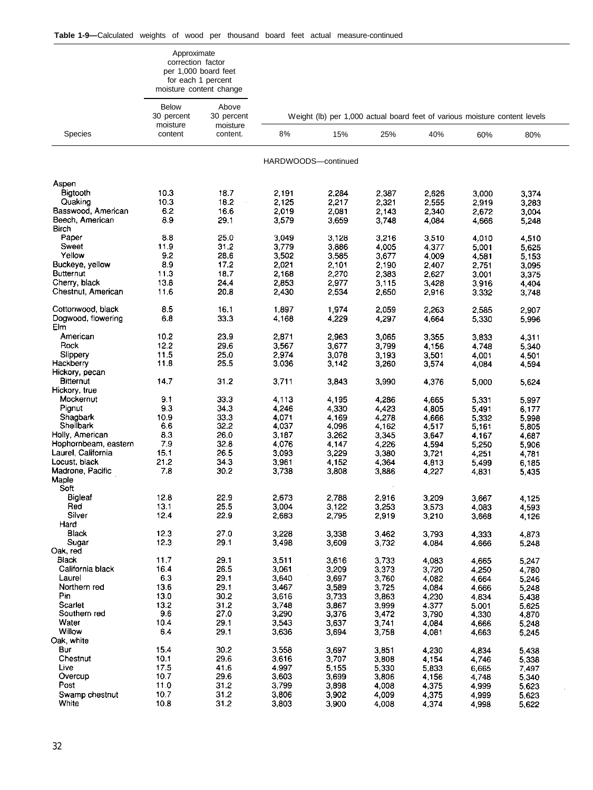|                           | Approximate<br>correction factor       | per 1,000 board feet<br>for each 1 percent<br>moisture content change |                |                                                                            |                |       |         |         |  |
|---------------------------|----------------------------------------|-----------------------------------------------------------------------|----------------|----------------------------------------------------------------------------|----------------|-------|---------|---------|--|
|                           | <b>Below</b><br>30 percent<br>moisture | Above<br>30 percent                                                   |                | Weight (lb) per 1,000 actual board feet of various moisture content levels |                |       |         |         |  |
| <b>Species</b>            | content                                | moisture<br>content.                                                  | 8%             | 15%                                                                        | 25%            | 40%   | 60%     | 80%     |  |
|                           |                                        |                                                                       |                | HARDWOODS-continued                                                        |                |       |         |         |  |
| Aspen                     |                                        |                                                                       |                |                                                                            |                |       |         |         |  |
| Bigtooth                  | 10.3                                   | 18.7                                                                  | 2,191          | 2,284                                                                      | 2,387          | 2,626 | 3,000   | 3,374   |  |
| Quaking                   | 10.3                                   | 18.2                                                                  | 2.125          | 2,217                                                                      | 2,321          | 2.555 | 2,919   | 3,283   |  |
| Basswood, American        | 62                                     | 16.6                                                                  | 2.019          | 2,081                                                                      | 2,143          | 2,340 | 2672    | 3,004   |  |
| Beech, American           | 8.9                                    | 29.1                                                                  | 3,579          | 3,659                                                                      | 3,748          | 4.084 | 4.666   | 5,248   |  |
| Birch                     |                                        |                                                                       |                |                                                                            |                |       |         |         |  |
| Paper                     | 8.8                                    | 25.0                                                                  | 3.049          | 3,128                                                                      | 3,216          | 3,510 | 4,010   | 4,510   |  |
| Sweet                     | 11.9                                   | 31.2                                                                  | 3.779          | 3,886                                                                      | 4.005          | 4.377 | 5,001   | 5.625   |  |
| Yellow                    | 9.2                                    | 28.6                                                                  | 3,502          | 3,585                                                                      | 3,677          | 4.009 | 4,581   | 5 1 5 3 |  |
| Buckeye, yellow           | 89                                     | 17.2                                                                  | 2,021          | 2,101                                                                      | 2,190          | 2,407 | 2,751   | 3,095   |  |
| <b>Butternut</b>          | 11.3                                   | 18.7                                                                  | 2,168          | 2,270                                                                      | 2,383          | 2,627 | 3.001   | 3,375   |  |
| Cherry, black             | 13.8                                   | 24.4                                                                  | 2,853          | 2,977                                                                      | 3,115          | 3,428 | 3.916   | 4.404   |  |
| Chestnut, American        | 11.6                                   | 20.8                                                                  | 2,430          | 2,534                                                                      | 2,650          | 2,916 | 3.332   | 3,748   |  |
|                           |                                        |                                                                       |                |                                                                            |                |       |         |         |  |
| Cottonwood, black         | 8.5                                    | 16.1                                                                  | 1,897          | 1,974                                                                      | 2,059          | 2,263 | 2.585   | 2,907   |  |
| Dogwood, flowering<br>Elm | 6.8                                    | 33.3                                                                  | 4,168          | 4,229                                                                      | 4,297          | 4,664 | 5,330   | 5,996   |  |
| American                  | 10.2                                   | 23.9                                                                  | 2,871          | 2,963                                                                      | 3.065          | 3,355 | 3.833   | 4 3 1 1 |  |
| Rock                      | 12.2                                   | 29.6                                                                  | 3,567          | 3,677                                                                      | 3,799          | 4,156 | 4.748   | 5 3 4 0 |  |
| Slippery                  | 11.5                                   | 25.0                                                                  | 2,974          | 3,078                                                                      | 3,193          | 3,501 | 4.001   | 4 5 0 1 |  |
| Hackberry                 | 11.8                                   | 25.5                                                                  | 3,036          | 3,142                                                                      | 3,260          | 3,574 | 4.084   | 4.594   |  |
| Hickory, pecan            |                                        |                                                                       |                |                                                                            |                |       |         |         |  |
| <b>Bitternut</b>          | 14.7                                   | 31.2                                                                  | 3,711          | 3,843                                                                      | 3,990          | 4,376 | 5.000   | 5,624   |  |
| Hickory, true             |                                        |                                                                       |                |                                                                            |                |       |         |         |  |
| Mockernut                 | 9.1                                    | 33.3                                                                  | 4,113          | 4,195                                                                      | 4,286          | 4,665 | 5.331   | 5,997   |  |
| Pignut                    | 9.3                                    | 34.3                                                                  | 4,246          | 4,330                                                                      | 4,423          | 4.805 | 5.491   | 6.177   |  |
| Shagbark                  | 10.9                                   | 33.3                                                                  | 4,071          | 4,169                                                                      | 4,278          | 4,666 | 5,332   | 5.998   |  |
| Shellbark                 | 6.6                                    | 32.2                                                                  | 4,037          | 4,096                                                                      | 4,162          | 4.517 | 5.161   | 5,805   |  |
| Holly, American           | 8.3                                    | 26.0                                                                  | 3,187          | 3,262                                                                      | 3,345          | 3.647 | 4.167   | 4,687   |  |
| Hophornbeam, eastern      | 7.9                                    | 32.8                                                                  | 4,076          | 4,147                                                                      | 4,226          | 4,594 | 5,250   | 5.906   |  |
| Laurel, California        | 15.1                                   | 26.5                                                                  | 3,093          | 3,229                                                                      | 3,380          | 3,721 | 4,251   | 4781    |  |
| Locust, black             | 21.2                                   | 34.3                                                                  | 3,961          | 4,152                                                                      | 4,364          | 4,813 | 5,499   | 6 185   |  |
| Madrone, Pacific          | 7.8                                    | 30.2                                                                  | 3,738          | 3,808                                                                      | 3,886          | 4,227 | 4.831   | 5 4 3 5 |  |
| Maple<br>Soft             |                                        |                                                                       |                |                                                                            |                |       |         |         |  |
|                           |                                        | 22.9                                                                  |                |                                                                            |                |       |         |         |  |
| Bigleaf<br>Red            | 12.8                                   | 25.5                                                                  | 2,673          | 2,788                                                                      | 2,916          | 3,209 | 3,667   | 4,125   |  |
| Silver                    | 13.1<br>12.4                           |                                                                       | 3,004          | 3,122                                                                      | 3,253          | 3,573 | 4,083   | 4,593   |  |
| Hard                      |                                        | 22.9                                                                  | 2,683          | 2,795                                                                      | 2,919          | 3,210 | 3,668   | 4,126   |  |
| <b>Black</b>              | 12.3                                   | 27.0                                                                  | 3,228          |                                                                            |                |       |         |         |  |
| Sugar                     | 12.3                                   | 29.1                                                                  |                | 3,338                                                                      | 3,462          | 3,793 | 4 3 3 3 | 4,873   |  |
| Oak, red                  |                                        |                                                                       | 3,498          | 3,609                                                                      | 3,732          | 4,084 | 4,666   | 5,248   |  |
| Black                     | 11.7                                   | 29.1                                                                  | 3,511          | 3,616                                                                      | 3,733          |       |         |         |  |
| California black          | 16.4                                   | 26.5                                                                  | 3,061          | 3,209                                                                      |                | 4,083 | 4,665   | 5,247   |  |
| Laurel                    | 6.3                                    | 29.1                                                                  | 3,640          | 3,697                                                                      | 3,373<br>3,760 | 3,720 | 4,250   | 4,780   |  |
| Northern red              | 13.6                                   | 29.1                                                                  |                |                                                                            |                | 4,082 | 4,664   | 5,246   |  |
| Pin                       | 13.0                                   |                                                                       | 3,467          | 3,589                                                                      | 3,725          | 4,084 | 4.666   | 5,248   |  |
|                           |                                        | 30.2                                                                  | 3,616          | 3,733                                                                      | 3,863          | 4,230 | 4,834   | 5,438   |  |
| Scarlet<br>Southern red   | 13.2<br>9.6                            | 31.2<br>27.0                                                          | 3,748<br>3,290 | 3,867                                                                      | 3,999          | 4,377 | 5.001   | 5,625   |  |
|                           |                                        |                                                                       |                | 3,376                                                                      | 3,472          | 3,790 | 4,330   | 4,870   |  |
| Water<br>Willow           | 10.4                                   | 29.1                                                                  | 3,543          | 3,637                                                                      | 3,741          | 4,084 | 4,666   | 5,248   |  |
|                           | 6.4                                    | 29.1                                                                  | 3,636          | 3,694                                                                      | 3,758          | 4,081 | 4,663   | 5,245   |  |
| Oak, white                |                                        |                                                                       |                |                                                                            |                |       |         |         |  |
| Bur                       | 15.4                                   | 30.2                                                                  | 3,558          | 3,697                                                                      | 3,851          | 4,230 | 4,834   | 5,438   |  |
| Chestnut                  | 10.1                                   | 29.6                                                                  | 3,616          | 3,707                                                                      | 3,808          | 4,154 | 4,746   | 5,338   |  |
| Live                      | 17.5                                   | 41.6                                                                  | 4,997          | 5,155                                                                      | 5,330          | 5,833 | 6,665   | 7497    |  |
| Overcup                   | 10.7                                   | 29.6                                                                  | 3,603          | 3,699                                                                      | 3,806          | 4,156 | 4,748   | 5 3 4 0 |  |
| Post                      | 11.0                                   | 31.2                                                                  | 3,799          | 3,898                                                                      | 4,008          | 4,375 | 4,999   | 5 6 23  |  |
| Swamp chestnut            | 10.7                                   | 31.2                                                                  | 3,806          | 3,902                                                                      | 4,009          | 4,375 | 4,999   | 5,623   |  |
| White                     | 10.8                                   | 31.2                                                                  | 3,803          | 3,900                                                                      | 4,008          | 4,374 | 4,998   | 5,622   |  |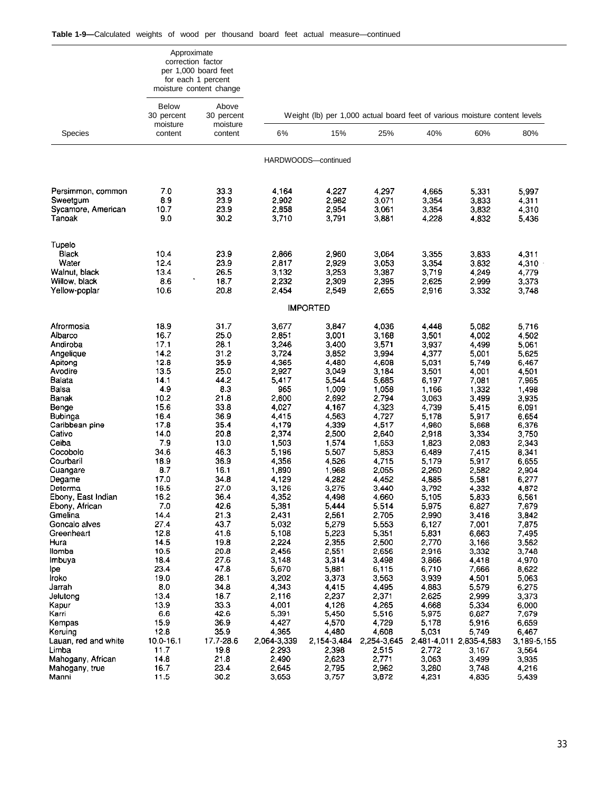|                                     | Approximate<br>correction factor       | per 1,000 board feet<br>for each 1 percent<br>moisture content change |                |                                                                            |                |                |                         |                |
|-------------------------------------|----------------------------------------|-----------------------------------------------------------------------|----------------|----------------------------------------------------------------------------|----------------|----------------|-------------------------|----------------|
|                                     | <b>Below</b><br>30 percent<br>moisture | Above<br>30 percent<br>moisture                                       |                | Weight (lb) per 1,000 actual board feet of various moisture content levels |                |                |                         |                |
| <b>Species</b>                      | content                                | content                                                               | 6%             | 15%                                                                        | 25%            | 40%            | 60%                     | 80%            |
|                                     |                                        |                                                                       |                | HARDWOODS-continued                                                        |                |                |                         |                |
| Persimmon, common                   | 7.0                                    | 33.3                                                                  | 4.164          | 4,227                                                                      | 4,297          | 4,665          | 5,331                   | 5,997          |
| Sweetgum                            | 8.9                                    | 23.9                                                                  | 2,902          | 2,982                                                                      | 3,071          | 3,354          | 3,833                   | 4,311          |
| Sycamore, American                  | 10.7                                   | 23.9                                                                  | 2,858          | 2,954                                                                      | 3,061          | 3,354          | 3,832                   | 4,310          |
| Tanoak                              | 9.0                                    | 30.2                                                                  | 3,710          | 3,791                                                                      | 3.881          | 4,228          | 4,832                   | 5,436          |
| Tupelo                              |                                        |                                                                       |                |                                                                            |                |                |                         |                |
| <b>Black</b>                        | 10.4                                   | 23.9                                                                  | 2,866          | 2,960                                                                      | 3,064          | 3,355          | 3,833                   | 4,311          |
| Water                               | 12.4                                   | 23.9                                                                  | 2,817          | 2,929                                                                      | 3,053          | 3,354          | 3,832                   | 4,310          |
| Walnut black<br>Willow, black       | 13.4<br>8.6                            | 26.5<br>18.7                                                          | 3,132          | 3,253<br>2,309                                                             | 3.387          | 3,719          | 4,249                   | 4,779          |
| Yellow-poplar                       | 10.6                                   | 20.8                                                                  | 2,232<br>2,454 | 2,549                                                                      | 2,395<br>2,655 | 2,625<br>2,916 | 2,999<br>3,332          | 3,373<br>3,748 |
|                                     |                                        |                                                                       |                | <b>IMPORTED</b>                                                            |                |                |                         |                |
|                                     |                                        |                                                                       |                |                                                                            |                |                |                         |                |
| Afrormosia                          | 18.9                                   | 31.7                                                                  | 3,677          | 3,847                                                                      | 4,036          | 4,448          | 5.082                   | 5,716          |
| Albarco                             | 16.7                                   | 25.0                                                                  | 2,851          | 3,001                                                                      | 3,168          | 3,501          | 4,002                   | 4,502          |
| Andiroba                            | 17.1                                   | 28.1                                                                  | 3,246          | 3,400                                                                      | 3,571          | 3,937          | 4,499                   | 5,061          |
| Angelique<br>Apitong                | 14.2<br>12.8                           | 31.2<br>35.9                                                          | 3,724<br>4.365 | 3,852<br>4,480                                                             | 3,994<br>4,608 | 4,377<br>5,031 | 5,001<br>5,749          | 5,625<br>6,467 |
| Avodire                             | 13.5                                   | 25.0                                                                  | 2.927          | 3,049                                                                      | 3.184          | 3,501          | 4,001                   | 4,501          |
| Balata                              | 14.1                                   | 44.2                                                                  | 5,417          | 5,544                                                                      | 5,685          | 6,197          | 7,081                   | 7,965          |
| Balsa                               | 4.9                                    | 8.3                                                                   | 965            | 1,009                                                                      | 1,058          | 1,166          | 1,332                   | 1,498          |
| <b>Banak</b>                        | 10.2                                   | 21.8                                                                  | 2,600          | 2,692                                                                      | 2,794          | 3,063          | 3,499                   | 3,935          |
| Benge                               | 15.6                                   | 33.8                                                                  | 4,027          | 4,167                                                                      | 4 3 2 3        | 4,739          | 5,415                   | 6,091          |
| Bubinga                             | 16.4                                   | 36.9                                                                  | 4,415          | 4,563                                                                      | 4.727          | 5,178          | 5,917                   | 6,654          |
| Caribbean pine                      | 17.8<br>14.0                           | 35.4<br>20.8                                                          | 4,179          | 4,339                                                                      | 4,517          | 4,960          | 5,668                   | 6,376          |
| Cativo<br>Ceiba                     | 7.9                                    | 13.0                                                                  | 2,374<br>1,503 | 2,500<br>1,574                                                             | 2,640<br>1,653 | 2,918<br>1,823 | 3,334<br>2,083          | 3,750<br>2,343 |
| Cocobolo                            | 34.6                                   | 46.3                                                                  | 5,196          | 5,507                                                                      | 5,853          | 6,489          | 7,415                   | 8,341          |
| Courbaril                           | 18.9                                   | 36.9                                                                  | 4 3 5 6        | 4,526                                                                      | 4.715          | 5,179          | 5,917                   | 6,655          |
| Cuangare                            | 8.7                                    | 16.1                                                                  | 1,890          | 1,968                                                                      | 2,055          | 2,260          | 2,582                   | 2,904          |
| Degame                              | 17.0                                   | 34.8                                                                  | 4,129          | 4,282                                                                      | 4.452          | 4,885          | 5,581                   | 6,277          |
| Determa                             | 16.5                                   | 27.0                                                                  | 3,126          | 3,275                                                                      | 3,440          | 3,792          | 4,332                   | 4,872          |
| Ebony, East Indian                  | 16.2                                   | 36.4                                                                  | 4,352          | 4,498                                                                      | 4.660          | 5,105          | 5,833                   | 6,561          |
| Ebony, African<br>Gmelina           | 7.0<br>14.4                            | 42.6<br>21.3                                                          | 5,381<br>2,431 | 5,444<br>2,561                                                             | 5514<br>2,705  | 5,975<br>2,990 | 6,827<br>3,416          | 7,679<br>3,842 |
| Goncalo alves                       | 27.4                                   | 43.7                                                                  | 5,032          | 5,279                                                                      | 5,553          | 6,127          | 7,001                   | 7,875          |
| Greenheart                          | 12.8                                   | 41.6                                                                  | 5,108          | 5,223                                                                      | 5,351          | 5,831          | 6,663                   | 7,495          |
| Hura                                | 14.5                                   | 19.8                                                                  | 2,224          | 2,355                                                                      | 2,500          | 2,770          | 3,166                   | 3,562          |
| llomba                              | 10.5                                   | 20.8                                                                  | 2,456          | 2,551                                                                      | 2,656          | 2,916          | 3,332                   | 3,748          |
| Imbuya                              | 18.4                                   | 27.6                                                                  | 3,148          | 3,314                                                                      | 3,498          | 3,866          | 4,418                   | 4,970          |
| lpe                                 | 23.4                                   | 47.8                                                                  | 5,670          | 5,881                                                                      | 6,115          | 6,710          | 7,666                   | 8,622          |
| Iroko<br>Jarrah                     | 19.0<br>8.0                            | 28.1<br>34.8                                                          | 3,202<br>4,343 | 3,373<br>4,415                                                             | 3,563<br>4,495 | 3,939<br>4,883 | 4,501<br>5,579          | 5,063<br>6,275 |
| Jelutong                            | 13.4                                   | 18.7                                                                  | 2,116          | 2,237                                                                      | 2.371          | 2,625          | 2,999                   | 3,373          |
| Kapur                               | 13.9                                   | 33.3                                                                  | 4,001          | 4,126                                                                      | 4,265          | 4,668          | 5,334                   | 6,000          |
| Karri                               | 6.6                                    | 42.6                                                                  | 5,391          | 5,450                                                                      | 5,516          | 5,975          | 6,827                   | 7,679          |
| Kempas                              | 15.9                                   | 36.9                                                                  | 4,427          | 4,570                                                                      | 4729           | 5,178          | 5,916                   | 6,659          |
| Keruing                             | 12.8                                   | 35.9                                                                  | 4,365          | 4,480                                                                      | 4,608          | 5,031          | 5,749                   | 6,467          |
| Lauan, red and white                | 10.0-16.1                              | 17.7-28.6                                                             | 2.064-3,339    | 2,154-3,484                                                                | 2,254-3,645    |                | 2,481-4,011 2,835-4,583 | 3,189-5,155    |
| Limba                               | 11.7                                   | 19.8                                                                  | 2,293          | 2,398                                                                      | 2515           | 2,772          | 3,167                   | 3,564          |
| Mahogany, African<br>Mahogany, true | 14.8<br>16.7                           | 21.8<br>23.4                                                          | 2,490<br>2,645 | 2,623<br>2,795                                                             | 2,771<br>2,962 | 3,063<br>3,280 | 3,499<br>3,748          | 3,935<br>4,216 |
| Manni                               | 11.5                                   | 30.2                                                                  | 3,653          | 3,757                                                                      | 3,872          | 4,231          | 4,835                   | 5,439          |
|                                     |                                        |                                                                       |                |                                                                            |                |                |                         |                |

33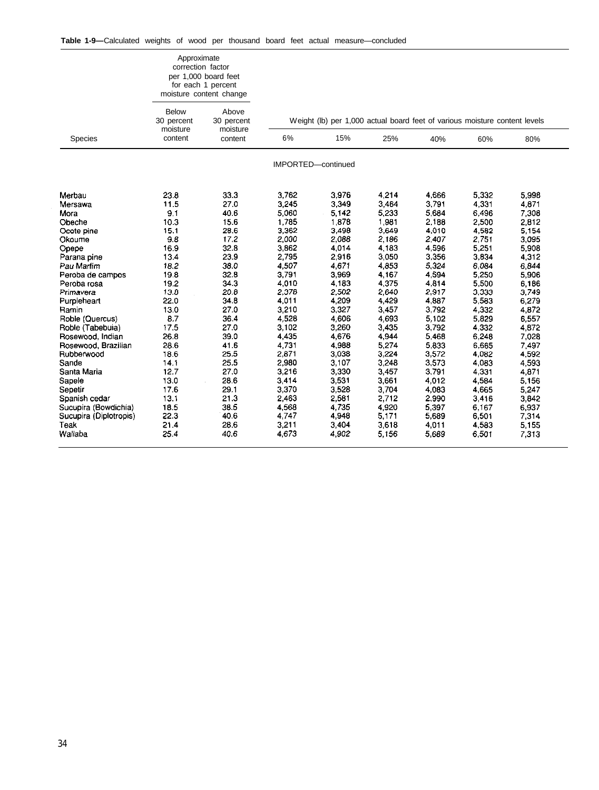|                        | Approximate<br>correction factor       | per 1,000 board feet<br>for each 1 percent<br>moisture content change |                |                                                                            |       |         |       |       |  |
|------------------------|----------------------------------------|-----------------------------------------------------------------------|----------------|----------------------------------------------------------------------------|-------|---------|-------|-------|--|
|                        | <b>Below</b><br>30 percent<br>moisture | Above<br>30 percent<br>moisture                                       |                | Weight (Ib) per 1,000 actual board feet of various moisture content levels |       |         |       |       |  |
| Species                | content                                | content                                                               | 6%             | 15%                                                                        | 25%   | 40%     | 60%   | 80%   |  |
|                        |                                        |                                                                       |                | IMPORTED-continued                                                         |       |         |       |       |  |
| Merbau                 | 23.8                                   | 33.3                                                                  | 3.762          | 3.976                                                                      | 4,214 | 4,666   | 5,332 | 5.998 |  |
| Mersawa                | 11.5                                   | 27.0                                                                  | 3,245          | 3,349                                                                      | 3,464 | 3,791   | 4,331 | 4,871 |  |
| Mora                   | 9.1                                    | 40.6                                                                  | 5,060          | 5,142                                                                      | 5,233 | 5,684   | 6,496 | 7,308 |  |
| Obeche                 | 10.3                                   | 15.6                                                                  | 1,785          | 1,878                                                                      | 1,981 | 2,188   | 2,500 | 2,812 |  |
| Ocote pine             | 15.1                                   | 28.6                                                                  | 3,362          | 3,498                                                                      | 3,649 | 4.010   | 4,582 | 5.154 |  |
| Okoume                 | 9.8                                    | 17.2                                                                  | 2,000          | 2,088                                                                      | 2,186 | 2407    | 2,751 | 3,095 |  |
| Opepe                  | 16.9                                   | 32.8                                                                  | 3,862          | 4,014                                                                      | 4,183 | 4,596   | 5,251 | 5,908 |  |
| Parana pine            | 13.4                                   | 23.9                                                                  | 2,795          | 2,916                                                                      | 3,050 | 3,356   | 3,834 | 4,312 |  |
| Pau Marlim             | 18.2                                   | 38.0                                                                  | 4,507          | 4,671                                                                      | 4,853 | 5.324   | 6,084 | 6,844 |  |
| Peroba de campos       | 19.8                                   | 32.8                                                                  | 3,791          | 3,969                                                                      | 4,167 | 4,594   | 5,250 | 5,906 |  |
| Peroba rosa            | 19.2                                   | 34.3                                                                  | 4,010          | 4,183                                                                      | 4,375 | 4,814   | 5,500 | 6,186 |  |
| Primavera              | 13.8                                   | 20.8                                                                  | 2,378          | 2,502                                                                      | 2,640 | 2,917   | 3,333 | 3,749 |  |
| Purpleheart            | 22.0                                   | 34.8                                                                  | 4,011          | 4,209                                                                      | 4,429 | 4,887   | 5,583 | 6,279 |  |
| Ramin                  | 13.0                                   | 27.0                                                                  | 3,210          | 3,327                                                                      | 3,457 | 3,792   | 4,332 | 4,872 |  |
| Roble (Quercus)        | 8.7                                    | 36.4                                                                  | 4,528          | 4,606                                                                      | 4,693 | 5.102   | 5,829 | 6,557 |  |
| Roble (Tabebuia)       | 17.5                                   | 27.0                                                                  | 3,102          | 3,260                                                                      | 3,435 | 3,792   | 4,332 | 4,872 |  |
| Rosewood, Indian       | 26.8                                   | 39.0                                                                  | 4,435          | 4,676                                                                      | 4,944 | 5.468   | 6,248 | 7,028 |  |
| Rosewood, Brazilian    | 28.6                                   | 41.6                                                                  | 4,731          | 4,988                                                                      | 5,274 | 5,833   | 6,665 | 7,497 |  |
| Rubberwood             | 18.6                                   | 25.5                                                                  | 2,871          | 3,038                                                                      | 3,224 | 3,572   | 4,082 | 4,592 |  |
| Sande                  | 14.1                                   | 25.5                                                                  | 2,980          | 3,107                                                                      | 3,248 | 3,573   | 4,083 | 4,593 |  |
| Santa Maria            | 12.7                                   | 27.0                                                                  | 3,216          | 3,330                                                                      | 3,457 | 3,791   | 4,331 | 4,871 |  |
| Sapele                 | 13.0                                   | 28.6                                                                  | 3,414          | 3,531                                                                      | 3,661 | 4,012   | 4,584 | 5,156 |  |
| Sepetir                | 17.6                                   | 29.1                                                                  | 3,370          | 3,528                                                                      | 3,704 | 4 0 8 3 | 4,665 | 5.247 |  |
| Spanish cedar          | 13.1                                   | 21.3                                                                  | 2,463          | 2,581                                                                      | 2,712 | 2,990   | 3,416 | 3,842 |  |
| Sucupira (Bowdichia)   | 18.5                                   | 38.5                                                                  | 4,568          | 4,735                                                                      | 4,920 | 5,397   | 6,167 | 6,937 |  |
| Sucupira (Diplotropis) | 22.3                                   | 40.6                                                                  | 4,747          | 4,948                                                                      | 5,171 | 5,689   | 6,501 | 7.314 |  |
| Teak<br>Wallaba        | 21.4<br>25.4                           | 28.6<br>40.6                                                          | 3,211<br>4,673 | 3,404<br>4,902                                                             | 3,618 | 4,011   | 4,583 | 5,155 |  |
|                        |                                        |                                                                       |                |                                                                            | 5,156 | 5.689   | 6,501 | 7,313 |  |

 $\bar{\beta}$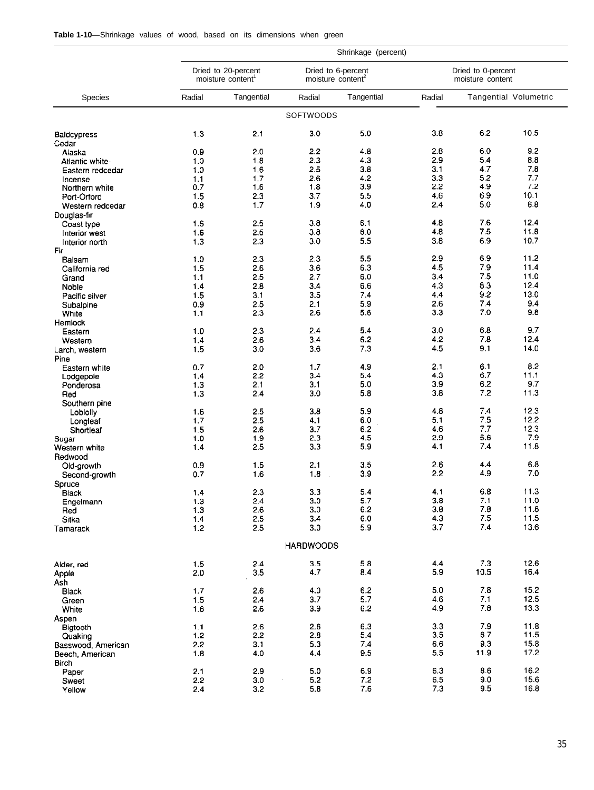|  | Table 1-10-Shrinkage values of wood, based on its dimensions when green |  |  |  |  |  |  |  |  |  |
|--|-------------------------------------------------------------------------|--|--|--|--|--|--|--|--|--|
|--|-------------------------------------------------------------------------|--|--|--|--|--|--|--|--|--|

| Shrinkage (percent)       |            |                                                      |                  |                                                     |            |                                        |                       |
|---------------------------|------------|------------------------------------------------------|------------------|-----------------------------------------------------|------------|----------------------------------------|-----------------------|
|                           |            | Dried to 20-percent<br>moisture content <sup>1</sup> |                  | Dried to 6-percent<br>moisture content <sup>2</sup> |            | Dried to 0-percent<br>moisture content |                       |
| <b>Species</b>            | Radial     | Tangential                                           | Radial           | Tangential                                          | Radial     |                                        | Tangential Volumetric |
|                           |            |                                                      | SOFTWOODS        |                                                     |            |                                        |                       |
| <b>Baldcypress</b>        | 1.3        | 2.1                                                  | 3.0              | 5.0                                                 | 3.8        | 6.2                                    | 10.5                  |
| Cedar                     |            |                                                      |                  |                                                     |            |                                        |                       |
| Alaska                    | 0.9        | 2.0                                                  | 2.2              | 4.8<br>4.3                                          | 2.8<br>2.9 | 6.0<br>5.4                             | 9.2<br>8.8            |
| Atlantic white-           | 1.0        | 1.8                                                  | 2.3<br>2.5       | 3.8                                                 | 3.1        | 4.7                                    | 7.8                   |
| Eastern redcedar          | 1.0<br>1.1 | 1.6<br>1.7                                           | 2.6              | 4.2                                                 | 3.3        | 5.2                                    | 7.7                   |
| Incense<br>Northern white | 0.7        | 1.6                                                  | 1.8              | 3.9                                                 | 2.2        | 4.9                                    | 7.2                   |
| Port-Orford               | 1.5        | 2.3                                                  | 3.7              | 5.5                                                 | 4.6        | 6.9                                    | 10.1                  |
| Western redcedar          | 0.8        | 1.7                                                  | 1.9              | 4.0                                                 | 2.4        | 5.0                                    | 68                    |
| Douglas-fir               |            |                                                      |                  |                                                     |            |                                        |                       |
| Coast type                | 1.6        | 2.5                                                  | 3.8              | 6.1                                                 | 4.8        | 7.6                                    | 12.4                  |
| Interior west             | 1.6        | 2.5                                                  | 3.8              | 6.0                                                 | 4.8        | 7.5                                    | 11.8                  |
| Interior north            | 1.3        | 2.3                                                  | 3.0              | 5.5                                                 | 3.8        | 6.9                                    | 10.7                  |
| Fir                       |            |                                                      |                  |                                                     |            |                                        |                       |
| Balsam                    | 1.0        | 2.3                                                  | 2.3              | 5.5                                                 | 2.9        | 6.9                                    | 11.2                  |
| California red            | 1.5        | 2.6                                                  | 3.6              | 6.3                                                 | 4.5        | 7.9                                    | 11.4                  |
| Grand                     | 1.1        | 2.5                                                  | 2.7              | 6.0                                                 | 3.4        | 7.5                                    | 11.0                  |
| Noble                     | 1.4        | 2.8                                                  | 3.4              | 6.6                                                 | 4.3        | 8.3                                    | 12.4                  |
| Pacific silver            | 1.5        | 3.1                                                  | 3.5              | 7.4                                                 | 4.4        | 9.2                                    | 13.0                  |
| Subalpine                 | 0.9        | 2.5                                                  | 2.1              | 5.9                                                 | 2.6        | 7.4                                    | 9.4                   |
| White                     | 1.1        | 2.3                                                  | 2.6              | 5.6                                                 | 3.3        | 7.0                                    | 9.8                   |
| Hemlock                   | 1.0        | 2.3                                                  | 2.4              | 5.4                                                 | 3.0        | 6.8                                    | 9.7                   |
| Eastern<br>Western        | 1.4        | 2.6                                                  | 3.4              | 6.2                                                 | 4.2        | 7.8                                    | 12.4                  |
| Larch, western            | 1.5        | 3.0                                                  | 3.6              | 7.3                                                 | 4.5        | 9.1                                    | 14.0                  |
| Pine                      |            |                                                      |                  |                                                     |            |                                        |                       |
| Eastern white             | 0.7        | 2.0                                                  | 1,7              | 4.9                                                 | 2.1        | 6.1                                    | 8.2                   |
| Lodgepole                 | 1.4        | 2.2                                                  | 3.4              | 5.4                                                 | 4.3        | 6.7                                    | 11.1                  |
| Ponderosa                 | 1.3        | 2.1                                                  | 3.1              | 5.0                                                 | 3.9        | 6.2                                    | 9.7                   |
| Red                       | 1.3        | 2,4                                                  | 3.0              | 5.8                                                 | 3.8        | 7.2                                    | 11.3                  |
| Southern pine             |            |                                                      |                  |                                                     |            |                                        |                       |
| Loblolly                  | 1.6        | 2.5                                                  | 3.8              | 5.9                                                 | 4.8<br>5.1 | 7.4<br>7.5                             | 12.3<br>12.2          |
| Longleaf                  | 1,7        | 2.5                                                  | 4.1              | 6.0                                                 | 4.6        | 7.7                                    | 12.3                  |
| Shortleaf                 | 1.5<br>1.0 | 2.6<br>1.9                                           | 3.7<br>2.3       | 6.2<br>4.5                                          | 2.9        | 5.6                                    | 7.9                   |
| Sugar<br>Western white    | 1.4        | 2.5                                                  | 3.3              | 5.9                                                 | 41         | 7.4                                    | 11.8                  |
| Redwood                   |            |                                                      |                  |                                                     |            |                                        |                       |
| Old-growth                | 0.9        | 1.5                                                  | 2.1              | 3.5                                                 | 2.6        | 4.4                                    | 6.8                   |
| Second-growth             | 0.7        | 1.6                                                  | 1.8              | 3.9                                                 | 2.2        | 4.9                                    | 7.0                   |
| Spruce                    |            |                                                      |                  |                                                     |            |                                        |                       |
| <b>Black</b>              | 1.4        | 2.3                                                  | 3.3              | 5.4                                                 | 4.1        | 6.8                                    | 11.3                  |
| Engelmann                 | 1.3        | 2.4                                                  | 3.0              | 5.7                                                 | 3.8        | 7.1                                    | 11.0                  |
| Red                       | 1.3        | 2.6                                                  | 3.0              | 6.2                                                 | 3.8        | 7.8                                    | 11.8                  |
| Sitka                     | 1,4        | 2.5                                                  | 3.4              | 6.0                                                 | 4.3        | 7.5<br>7.4                             | 11.5                  |
| Tamarack                  | 1.2        | 2.5                                                  | 3.0              | 5.9                                                 | 3.7        |                                        | 13.6                  |
|                           |            |                                                      | <b>HARDWOODS</b> |                                                     |            |                                        |                       |
| Alder, red                | 1.5        | 2.4                                                  | 3.5              | 5.8                                                 | 4.4        | 7.3                                    | 12.6                  |
| Apple                     | 2.0        | 3.5                                                  | 4.7              | 8.4                                                 | 5.9        | 10.5                                   | 16.4                  |
| Ash                       |            |                                                      |                  |                                                     |            |                                        |                       |
| <b>Black</b>              | 1.7        | 2.6                                                  | 4.0              | 6.2                                                 | 5.0        | 7.8                                    | 15.2                  |
| Green                     | 1.5        | 2.4                                                  | 3.7              | 5.7                                                 | 4.6        | 7.1                                    | 12.5                  |
| White                     | 1.6        | 2.6                                                  | 3.9              | 6.2                                                 | 4.9        | 7.8                                    | 13.3                  |
| Aspen                     |            |                                                      |                  |                                                     |            |                                        |                       |
| Bigtooth                  | 1.1        | 2.6                                                  | 2.6              | 6.3                                                 | 3.3        | 7.9                                    | 11.8                  |
| Quaking                   | 1.2        | 2.2                                                  | 2.8              | 5.4                                                 | 3.5        | 6.7                                    | 11.5                  |
| Basswood, American        | 2.2        | 3.1                                                  | 5.3              | 7.4                                                 | 6.6        | 9.3                                    | 15.8                  |
| Beech, American           | 1.8        | 4.0                                                  | 4,4              | 9.5                                                 | 5.5        | 11.9                                   | 17.2                  |
| Birch<br>Paper            | 2.1        | 2.9                                                  | 5.0              | 6.9                                                 | 6.3        | 8.6                                    | 16.2                  |
| Sweet                     | 2.2        | 3.0                                                  | 5.2              | 7.2                                                 | 6.5        | 9.0                                    | 15.6                  |
| Yellow                    | 2.4        | 3.2                                                  | 5.8              | 7.6                                                 | 7.3        | 9.5                                    | 16.8                  |
|                           |            |                                                      |                  |                                                     |            |                                        |                       |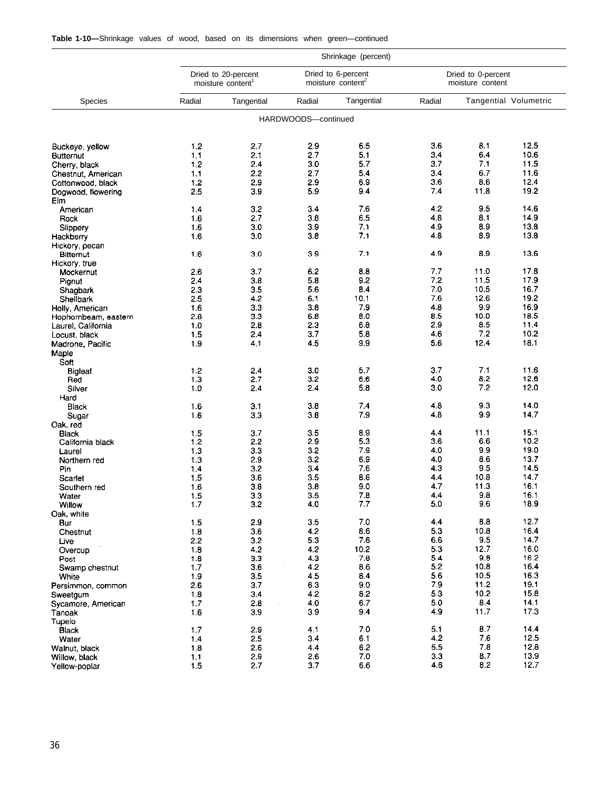| <b>Table 1-10</b> —Shrinkage values of wood, based on its dimensions when green—continued |  |  |  |  |  |  |  |  |  |  |  |  |  |
|-------------------------------------------------------------------------------------------|--|--|--|--|--|--|--|--|--|--|--|--|--|
|-------------------------------------------------------------------------------------------|--|--|--|--|--|--|--|--|--|--|--|--|--|

|                       |                |                                                      |                     | Shrinkage (percent)                                 |            |                                        |                       |
|-----------------------|----------------|------------------------------------------------------|---------------------|-----------------------------------------------------|------------|----------------------------------------|-----------------------|
|                       |                | Dried to 20-percent<br>moisture content <sup>1</sup> |                     | Dried to 6-percent<br>moisture content <sup>2</sup> |            | Dried to 0-percent<br>moisture content |                       |
| <b>Species</b>        | Radial         | Tangential                                           | Radial              | Tangential                                          | Radial     |                                        | Tangential Volumetric |
|                       |                |                                                      | HARDWOODS-continued |                                                     |            |                                        |                       |
| Buckeye, yellow       | 1.2            | 2.7                                                  | 2.9                 | 6.5                                                 | 3.6        | 8.1                                    | 12.5                  |
| <b>Butternut</b>      | 1,1            | 2.1                                                  | 2.7                 | 5.1                                                 | 3.4        | 6.4                                    | 10.6                  |
| Cherry, black         | 1.2            | 2.4                                                  | 3.0                 | 5.7                                                 | 3.7        | 7.1                                    | 11.5                  |
| Chestnut, American    | 1.1            | 2.2                                                  | 2.7                 | 5.4                                                 | 3.4        | 6.7                                    | 11.6                  |
| Cottonwood, black     | 1.2            | 2.9                                                  | 2.9                 | 6.9                                                 | 3.6        | 8.6                                    | 12.4                  |
| Dogwood, flowering    | 2.5            | 3.9                                                  | 5.9                 | 9.4                                                 | 7.4        | 11.8                                   | 19.2                  |
| Elm                   |                |                                                      |                     |                                                     |            |                                        |                       |
| American              | 1.4            | 3.2                                                  | 3.4                 | 7.6                                                 | 4.2        | 9.5                                    | 14.6                  |
| Rock                  | 1.6            | 2.7                                                  | 3.8                 | 6.5                                                 | 4.8        | 8.1                                    | 14.9                  |
| Slippery              | 1.6            | 3.0                                                  | 3.9                 | 7.1                                                 | 4.9        | 8.9                                    | 13.8                  |
| Hackberry             | 1.6            | 3.0                                                  | 3.8                 | 7.1                                                 | 4.8        | 8.9                                    | 13.8                  |
| Hickory, pecan        |                |                                                      |                     |                                                     |            |                                        |                       |
| <b>Bitternut</b>      | 16             | 3.0                                                  | 3.9                 | 7.1                                                 | 4.9        | 8.9                                    | 13.6                  |
| Hickory, true         |                |                                                      |                     |                                                     |            |                                        |                       |
| Mockernut             | 2.6            | 3.7                                                  | 6.2                 | 8.8                                                 | 7.7        | 11.0                                   | 17.8                  |
| Pignut                | 2.4            | 3.8                                                  | 5.8                 | 9.2                                                 | 7.2        | 11.5                                   | 17.9                  |
| Shagbark              | 2.3            | 3.5                                                  | 5.6                 | 8.4                                                 | 7.0        | 10.5                                   | 16.7                  |
| Shellbark             | 2.5            | 4.2                                                  | 6.1                 | 10.1                                                | 7.6        | 12.6                                   | 19.2                  |
| Holly, American       | 1.6            | 3.3                                                  | 3.8                 | 7.9                                                 | 4.8        | 9.9                                    | 16.9                  |
| Hophornbeam, eastern  | 2.8            | 3.3                                                  | 6.8                 | 8.0                                                 | 8.5        | 10.0                                   | 18.5                  |
| Laurel, California    | 1.0            | 2.8                                                  | 2.3                 | 6.8                                                 | 2.9        | 8.5<br>7.2                             | 11.4<br>10.2          |
| Locust, black         | 15             | 2.4                                                  | 3.7                 | 5.8                                                 | 4.6        | 12.4                                   |                       |
| Madrone, Pacific      | 1.9            | 4.1                                                  | 4.5                 | 9.9                                                 | 5.6        |                                        | 18.1                  |
| Maple                 |                |                                                      |                     |                                                     |            |                                        |                       |
| Soft                  |                |                                                      | 3.0                 | 5.7                                                 | 3.7        | 7.1                                    | 11.6                  |
| <b>Bigleaf</b><br>Red | 1.2<br>1.3     | 2.4<br>2.7                                           | 3.2                 | 6.6                                                 | 4.0        | 8.2                                    | 12.6                  |
| Silver                | 1 <sub>0</sub> | 2.4                                                  | 2.4                 | 5.8                                                 | 3.0        | 7.2                                    | 12.0                  |
|                       |                |                                                      |                     |                                                     |            |                                        |                       |
| Hard<br>Black         | 1.6            | 3.1                                                  | 3.8                 | 7.4                                                 | 4.8        | 9.3                                    | 14.0                  |
| Sugar                 | 1.6            | 3.3                                                  | 3.8                 | 7.9                                                 | 4.8        | 9.9                                    | 14.7                  |
| Oak red               |                |                                                      |                     |                                                     |            |                                        |                       |
| Black                 | 1.5            | 3.7                                                  | 3.5                 | 8.9                                                 | 4.4        | 11.1                                   | 15.1                  |
| California black      | 1.2            | 2.2                                                  | 2.9                 | 5.3                                                 | 3.6        | 6.6                                    | 10.2                  |
| Laurel                | 1.3            | 3.3                                                  | 3.2                 | 7.9                                                 | 4.0        | 9.9                                    | 19.0                  |
| Northern red          | 1.3            | 2.9                                                  | 3.2                 | 6.9                                                 | 4.0        | 8.6                                    | 13.7                  |
| Pin                   | 1.4            | 3.2                                                  | 3.4                 | 7.6                                                 | 4.3        | 9.5                                    | 14.5                  |
| <b>Scarlet</b>        | 1.5            | 3.6                                                  | 3.5                 | 8.6                                                 | 4.4        | 10.8                                   | 14.7                  |
| Southern red          | 1.6            | 38                                                   | 3.8                 | 9.0                                                 | 4.7        | 11.3                                   | 16.1                  |
| Water                 | 1.5            | 3.3                                                  | 3.5                 | 7.8                                                 | 4.4        | 9.8                                    | 16.1                  |
| Willow                | 1.7            | 3.2                                                  | 4.0                 | 7.7                                                 | 5.0        | 9.6                                    | 18.9                  |
| Oak, white            |                |                                                      |                     |                                                     |            |                                        |                       |
| Bur                   | 1.5            | 2.9                                                  | 3.5                 | 7.0                                                 | 4.4        | 8.8                                    | 12.7                  |
| Chestnut              | 1.8            | 3.6                                                  | 4.2                 | 8.6                                                 | 5.3        | 10.8                                   | 16.4                  |
| Live                  | 2.2            | 3.2                                                  | 5.3                 | 7.6                                                 | 6.6        | 9.5                                    | 14.7                  |
| Overcup               | 1.8            | 4.2                                                  | 4.2                 | 10.2                                                | 5.3        | 12.7                                   | 16.0                  |
| Post                  | 1.8            | 3.3                                                  | 4.3                 | 7.8                                                 | 5.4        | 9.8                                    | 16.2                  |
| Swamp chestnut        | 1.7            | 3.6                                                  | 4.2                 | 8.6                                                 | 5.2        | 10.8                                   | 16.4                  |
| White                 | 1.9            | 3.5                                                  | 4.5                 | 8.4                                                 | 5.6        | 10.5                                   | 16.3                  |
| Persimmon, common     | 26             | 3.7                                                  | 6.3                 | 9.0                                                 | 7.9        | 11.2                                   | 19.1                  |
| Sweetgum              | 1.8            | 3.4                                                  | 4.2                 | 8.2                                                 | 5.3        | 10.2                                   | 15.8                  |
| Sycamore, American    | 1.7            | 2.8                                                  | 4.0                 | 6.7                                                 | 5.0        | 8.4                                    | 14.1                  |
| Tanoak                | 1.6            | 3.9                                                  | 3.9                 | 9.4                                                 | 4.9        | 11.7                                   | 17.3                  |
| Tupelo                |                |                                                      |                     |                                                     |            |                                        |                       |
| Black                 | 1.7            | 2.9                                                  | 4.1                 | 7.0                                                 | 5.1        | 8.7                                    | 14.4                  |
| Water                 | 14             | 2.5                                                  | 3.4                 | 6.1                                                 | 4.2<br>5.5 | 7.6<br>7.8                             | 12.5<br>12.8          |
| Walnut, black         | 1.8            | 2.6                                                  | 4.4                 | 6.2<br>7.0                                          | 3.3        | 8.7                                    | 13.9                  |
| Willow, black         | 11<br>1.5      | 2.9<br>2.7                                           | 2.6<br>3.7          | 6.6                                                 | 4.6        | 8.2                                    | 12.7                  |
| Yellow-poplar         |                |                                                      |                     |                                                     |            |                                        |                       |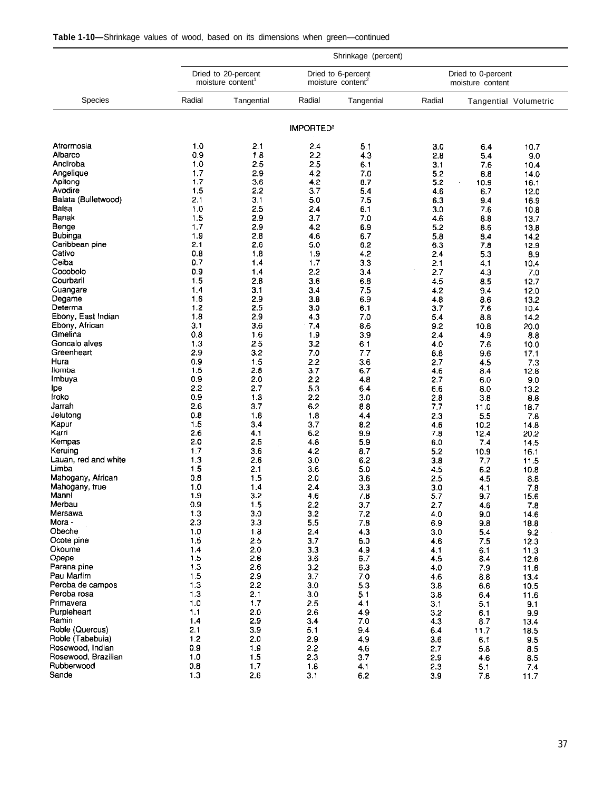| <b>Table 1-10—Shrinkage values of wood, based on its dimensions when green—continued</b> |  |  |  |  |  |  |
|------------------------------------------------------------------------------------------|--|--|--|--|--|--|
|------------------------------------------------------------------------------------------|--|--|--|--|--|--|

|                              |            | Shrinkage (percent)                                  |                             |                                                     |            |                                        |                       |  |  |  |  |  |  |  |
|------------------------------|------------|------------------------------------------------------|-----------------------------|-----------------------------------------------------|------------|----------------------------------------|-----------------------|--|--|--|--|--|--|--|
|                              |            | Dried to 20-percent<br>moisture content <sup>1</sup> |                             | Dried to 6-percent<br>moisture content <sup>2</sup> |            | Dried to 0-percent<br>moisture content |                       |  |  |  |  |  |  |  |
| <b>Species</b>               | Radial     | Tangential                                           | Radial                      | Tangential                                          | Radial     |                                        | Tangential Volumetric |  |  |  |  |  |  |  |
|                              |            |                                                      | <b>IMPORTED<sup>3</sup></b> |                                                     |            |                                        |                       |  |  |  |  |  |  |  |
| Afrormosia                   | 1.0        | 2.1                                                  | 2.4                         | 51                                                  | 3.0        | 6.4                                    | 10.7                  |  |  |  |  |  |  |  |
| Albarco                      | 0.9        | 1.8                                                  | 2.2                         | 4.3                                                 | 2.8        | 5.4                                    | 9.0                   |  |  |  |  |  |  |  |
| Andiroba                     | 1.0        | 2.5                                                  | 2.5                         | 6.1                                                 | 3.1        | 7.6                                    | 10.4                  |  |  |  |  |  |  |  |
| Angelique                    | 1.7        | 2.9                                                  | 4.2                         | 7.0                                                 | 5.2        | 8.8                                    | 14.0                  |  |  |  |  |  |  |  |
| Apitong                      | 1.7        | 3.6                                                  | 4.2                         | 8.7                                                 | 5.2        | 10.9                                   | 16.1                  |  |  |  |  |  |  |  |
| Avodire                      | 1.5        | 2.2                                                  | 3.7                         | 5.4                                                 | 4.6        | 6.7                                    | 12.0                  |  |  |  |  |  |  |  |
| Balata (Bulletwood)<br>Balsa | 2.1<br>1.0 | 3.1<br>2.5                                           | 5.0                         | 75                                                  | 6.3        | 9.4                                    | 16.9                  |  |  |  |  |  |  |  |
| Banak                        | 1.5        | 2.9                                                  | 2.4<br>3.7                  | 6.1<br>7.0                                          | 3.0<br>4.6 | 7.6<br>8.8                             | 10.8                  |  |  |  |  |  |  |  |
| Benge                        | 1.7        | 2.9                                                  | 4.2                         | 6.9                                                 | 5.2        | 8.6                                    | 13.7<br>13.8          |  |  |  |  |  |  |  |
| <b>Bubinga</b>               | 1.9        | 2.8                                                  | 4.6                         | 6.7                                                 | 5.8        | 8.4                                    | 14.2                  |  |  |  |  |  |  |  |
| Caribbean pine               | 2.1        | 2.6                                                  | 5.0                         | 6.2                                                 | 6.3        | 7.8                                    | 12.9                  |  |  |  |  |  |  |  |
| Cativo                       | 0.8        | 1.8                                                  | 1.9                         | 4.2                                                 | 2.4        | 5.3                                    | 8.9                   |  |  |  |  |  |  |  |
| Ceiba                        | 0.7        | 1.4                                                  | 1.7                         | 33                                                  | 2.1        | 4.1                                    | 10.4                  |  |  |  |  |  |  |  |
| Cocobolo                     | 09         | 1.4                                                  | 2.2                         | 34                                                  | 2.7        | 4.3                                    | 7.0                   |  |  |  |  |  |  |  |
| Courbaril                    | 1.5        | 2.8                                                  | 3.6                         | 6.8                                                 | 4.5        | 8.5                                    | 12.7                  |  |  |  |  |  |  |  |
| Cuangare                     | 1.4        | 3.1                                                  | 3.4                         | 7.5                                                 | 4.2        | 9.4                                    | 12.0                  |  |  |  |  |  |  |  |
| Degame<br>Determa            | 1.6        | 2.9                                                  | 3.8                         | 6.9                                                 | 4.8        | 8.6                                    | 13.2                  |  |  |  |  |  |  |  |
| Ebony, East Indian           | 1.2<br>1.8 | 2.5<br>2.9                                           | 3.0<br>4.3                  | 6,1<br>7.0                                          | 3.7<br>5.4 | 7.6                                    | 10.4                  |  |  |  |  |  |  |  |
| Ebony, African               | 31         | 3.6                                                  | 7.4                         | 8.6                                                 | 9.2        | 8.8<br>10.8                            | 14.2<br>20.0          |  |  |  |  |  |  |  |
| Gmelina                      | 0.8        | 1.6                                                  | 1.9                         | 3.9                                                 | 2.4        | 4.9                                    | 88                    |  |  |  |  |  |  |  |
| Goncalo alves                | 1.3        | 2.5                                                  | 3.2                         | 6.1                                                 | 40         | 7.6                                    | 10.0                  |  |  |  |  |  |  |  |
| Greenheart                   | 2.9        | 3.2                                                  | 7.0                         | 7.7                                                 | 8.8        | 9.6                                    | 17.1                  |  |  |  |  |  |  |  |
| Hura                         | 0.9        | 1.5                                                  | 2.2                         | 3.6                                                 | 2.7        | 4.5                                    | 7.3                   |  |  |  |  |  |  |  |
| llomba                       | 1.5        | 2.3                                                  | 3.7                         | 6.7                                                 | 4.6        | 8.4                                    | 12.8                  |  |  |  |  |  |  |  |
| Imbuya                       | 0.9        | 2.0                                                  | 2.2                         | 4.8                                                 | 2.7        | 6.0                                    | 9.0                   |  |  |  |  |  |  |  |
| lpe                          | 2.2        | 2.7                                                  | 5.3                         | 6.4                                                 | 6.6        | 8.0                                    | 13.2                  |  |  |  |  |  |  |  |
| Iroko                        | 0.9        | 13                                                   | 2.2                         | 3.0                                                 | 2.8        | 3.8                                    | 88                    |  |  |  |  |  |  |  |
| Jarrah<br>Jelutong           | 2.6<br>0.8 | 3.7<br>1.8                                           | 6.2<br>1.8                  | 88<br>44                                            | 7.7<br>2.3 | 11.0                                   | 18.7                  |  |  |  |  |  |  |  |
| Kapur                        | 1.5        | 3.4                                                  | 3.7                         | 8.2                                                 | 4.6        | 5.5<br>10.2                            | 7.8<br>14.8           |  |  |  |  |  |  |  |
| Karri                        | 2.6        | 4.1                                                  | 6.2                         | 9.9                                                 | 7.8        | 12.4                                   | 20.2                  |  |  |  |  |  |  |  |
| Kempas                       | 20         | 2.5                                                  | 4.8                         | 59                                                  | 6.0        | 7.4                                    | 14.5                  |  |  |  |  |  |  |  |
| Keruing                      | 1.7        | 3.6                                                  | 4.2                         | 8.7                                                 | 5.2        | 10.9                                   | 16.1                  |  |  |  |  |  |  |  |
| Lauan, red and white         | 1.3        | 2.6                                                  | 3.0                         | 6.2                                                 | 3.8        | 7.7                                    | 11.5                  |  |  |  |  |  |  |  |
| Limba                        | 1.5        | 2.1                                                  | 3.6                         | 50                                                  | 4.5        | 6.2                                    | 10.8                  |  |  |  |  |  |  |  |
| Mahogany, African            | 0.8        | 1.5                                                  | 2.0                         | 3.6                                                 | 2.5        | 4.5                                    | 8.8                   |  |  |  |  |  |  |  |
| Mahogany, true               | 1.0        | 1.4                                                  | 2.4                         | 3.3                                                 | 3.0        | 4.1                                    | 7.8                   |  |  |  |  |  |  |  |
| Manni<br>Merbau              | 1.9<br>0.9 | 3.2<br>1.5                                           | 4.6<br>2.2                  | 7.8                                                 | 5.7        | 9.7                                    | 15.6                  |  |  |  |  |  |  |  |
| Mersawa                      | 13         | 3.0                                                  | 3.2                         | 3.7<br>7.2                                          | 2.7<br>4.0 | 4.6<br>9.0                             | 7.8<br>14.6           |  |  |  |  |  |  |  |
| Mora -                       | 2.3        | 3.3                                                  | 5.5                         | 7.8                                                 | 6.9        | 9.8                                    | 188                   |  |  |  |  |  |  |  |
| Obeche                       | 1.0        | 1.8                                                  | 2.4                         | 4.3                                                 | 3.0        | 5.4                                    | 9.2                   |  |  |  |  |  |  |  |
| Ocote pine                   | 1.5        | 2.5                                                  | 3.7                         | 6.0                                                 | 4.6        | 7.5                                    | 12.3                  |  |  |  |  |  |  |  |
| Okoume                       | 1.4        | 2.0                                                  | 3.3                         | 4.9                                                 | 4.1        | 6.1                                    | 113                   |  |  |  |  |  |  |  |
| Opepe                        | 1.5        | 2.8                                                  | 3.6                         | 6.7                                                 | 4.5        | 8.4                                    | 12.6                  |  |  |  |  |  |  |  |
| Parana pine                  | 1.3        | 2.6                                                  | 3.2                         | 6.3                                                 | 4.0        | 7.9                                    | 11.6                  |  |  |  |  |  |  |  |
| Pau Marlim                   | 1.5        | 2.9                                                  | 3.7                         | 7.0                                                 | 4.6        | 8.8                                    | 13.4                  |  |  |  |  |  |  |  |
| Peroba de campos             | 1.3        | 2.2                                                  | 3.0                         | 53                                                  | 3.8        | 6.6                                    | 10.5                  |  |  |  |  |  |  |  |
| Peroba rosa<br>Primavera     | 1.3        | 2.1                                                  | 3.0                         | 5.1                                                 | 38         | 6.4                                    | 11.6                  |  |  |  |  |  |  |  |
| Purpleheart                  | 1.0<br>1.1 | 1.7<br>2.0                                           | 2.5<br>2.6                  | 4.1<br>4.9                                          | 3.1<br>3.2 | 5.1<br>6.1                             | 91                    |  |  |  |  |  |  |  |
| Ramin                        | 1.4        | 2.9                                                  | 3.4                         | 7.0                                                 | 4.3        | 8.7                                    | 9.9<br>13.4           |  |  |  |  |  |  |  |
| Roble (Quercus)              | 2.1        | 3.9                                                  | 5.1                         | 9.4                                                 | 6.4        | 11.7                                   | 18.5                  |  |  |  |  |  |  |  |
| Roble (Tabebuia)             | 1.2        | 2.0                                                  | 2.9                         | 4.9                                                 | 3.6        | 6.1                                    | 9.5                   |  |  |  |  |  |  |  |
| Rosewood, Indian             | 0.9        | 1.9                                                  | 2.2                         | 4.6                                                 | 2.7        | 5.8                                    | 85                    |  |  |  |  |  |  |  |
| Rosewood, Brazilian          | 1.0        | 1.5                                                  | 2.3                         | 37                                                  | 2.9        | 4.6                                    | 85                    |  |  |  |  |  |  |  |
| Rubberwood                   | 0.8        | 1.7                                                  | 1.8                         | 4,1                                                 | 2.3        | 5.1                                    | 74                    |  |  |  |  |  |  |  |
| Sande                        | 1.3        | 2.6                                                  | 3.1                         | 6.2                                                 | 3.9        | 7.8                                    | 11.7                  |  |  |  |  |  |  |  |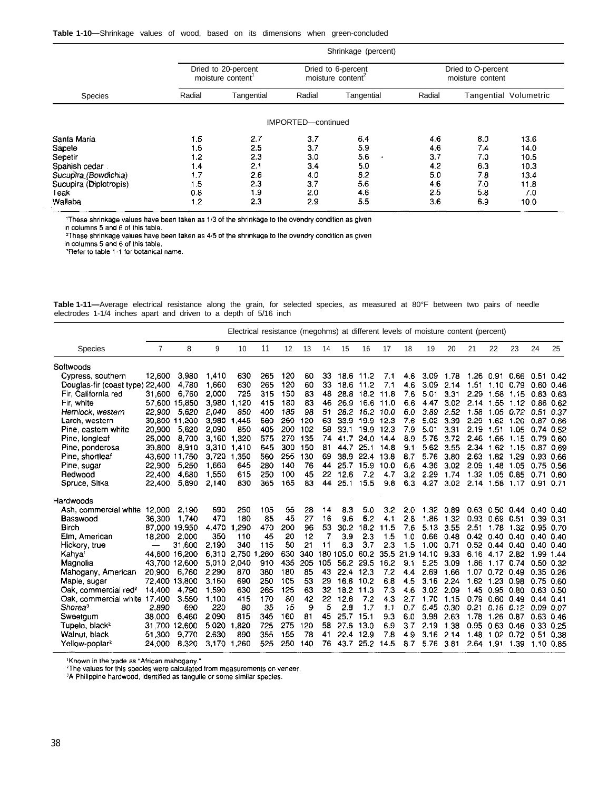#### **Table 1-10—**Shrinkage values of wood, based on its dimensions when green-concluded

|                                               |                                               | Shrinkage (percent)                                         |                                              |                                                                                  |                                               |                                                     |                                             |  |  |  |  |  |  |
|-----------------------------------------------|-----------------------------------------------|-------------------------------------------------------------|----------------------------------------------|----------------------------------------------------------------------------------|-----------------------------------------------|-----------------------------------------------------|---------------------------------------------|--|--|--|--|--|--|
|                                               |                                               |                                                             |                                              | Dried to O-percent<br>moisture content                                           |                                               |                                                     |                                             |  |  |  |  |  |  |
| Radial                                        | Tangential                                    | Radial                                                      | Tangential                                   | Radial                                                                           |                                               |                                                     |                                             |  |  |  |  |  |  |
|                                               |                                               |                                                             |                                              |                                                                                  |                                               |                                                     |                                             |  |  |  |  |  |  |
| 1.5<br>1.5<br>1.2<br>1.4<br>1.7<br>1.5<br>0.8 | 2.7<br>2.5<br>2.3<br>2.1<br>2.6<br>2.3<br>1.9 | 3.7<br>3,7<br>3.0<br>3.4<br>4.0<br>3.7<br>2.0               | 64<br>5.9<br>5.6<br>5.0<br>6.2<br>5.6<br>4.6 | 46<br>4.6<br>3.7<br>4.2<br>5.0<br>4.6<br>2.5                                     | 8.0<br>7.4<br>7.0<br>6.3<br>7.8<br>7.0<br>5.8 | 13.6<br>14.0<br>10.5<br>10.3<br>13.4<br>11.8<br>7.0 |                                             |  |  |  |  |  |  |
|                                               | 1.2                                           | Dried to 20-percent<br>moisture content <sup>1</sup><br>2.3 | 2.9                                          | Dried to 6-percent<br>moisture content <sup>2</sup><br>IMPORTED-continued<br>5.5 |                                               |                                                     | Tangential Volumetric<br>6.9<br>3.6<br>10.0 |  |  |  |  |  |  |

These shrinkage values have been taken as 1/3 of the shrinkage to the ovendry condition as given<br>in columns 5 and 6 of this table.<br>These shrinkage values have been taken as 4/5 of the shrinkage to the ovendry condition as

|  | Table 1-11—Average electrical resistance along the grain, for selected species, as measured at 80°F between two pairs of needle |  |  |  |  |  |  |  |  |
|--|---------------------------------------------------------------------------------------------------------------------------------|--|--|--|--|--|--|--|--|
|  | electrodes 1-1/4 inches apart and driven to a depth of 5/16 inch                                                                |  |  |  |  |  |  |  |  |

|                                  | Electrical resistance (megohms) at different levels of moisture content (percent) |               |       |       |      |     |     |     |           |      |      |     |            |      |           |               |           |               |      |
|----------------------------------|-----------------------------------------------------------------------------------|---------------|-------|-------|------|-----|-----|-----|-----------|------|------|-----|------------|------|-----------|---------------|-----------|---------------|------|
| <b>Species</b>                   | $\overline{7}$                                                                    | 8             | 9     | 10    | 11   | 12  | 13  | 14  | 15        | 16   | 17   | 18  | 19         | 20   | 21        | 22            | 23        | 24            | 25   |
| Softwoods                        |                                                                                   |               |       |       |      |     |     |     |           |      |      |     |            |      |           |               |           |               |      |
| Cypress, southern                | 12,600                                                                            | 3.980         | 1,410 | 630   | 265  | 120 | 60  | 33  | 18.6      | 11.2 | 7.1  | 4.6 | 3.09       | 1.78 | 1.26      | 0.91          | 0.66      | 0.51          | 0.42 |
| Douglas fir (coast type)         | 22,400                                                                            | 4.780         | 1,660 | 630   | 265  | 120 | 60  | 33  | 18.6      | 11.2 | 7.1  | 4.6 | 3.09       | 2.14 | 1.51      | 1.10          | 0.79      | $0.60$ $0.46$ |      |
| Fir. California red              | 31 600                                                                            | 6.760         | 2.000 | 725   | 315  | 150 | 83  | 48  | 28.8      | 18.2 | 11.8 | 7.6 | 5.01       | 3.31 | 2.29      | 1.58          | 1.15      | 0.83 0.63     |      |
| Fir white                        | 57.600                                                                            | 15.850        | 3,980 | 1.120 | 415  | 180 | 83  | 46  | 26.9      | 16.6 | 11.0 | 6.6 | 4.47       | 3.02 | 2.14      | 1.55          | 1.12      | 0.86 0.62     |      |
| Hemlock, western                 | 22.900                                                                            | 5.620         | 2.040 | 850   | 400  | 185 | 98  | 51  | 28.2      | 16.2 | 10.0 | 6.0 | 3.89       | 2.52 | 1.58      | 1.05          | 0.72      | 0.51 0.37     |      |
| Larch, western                   |                                                                                   | 39,800 11 200 | 3.980 | 1.445 | 560  | 250 | 120 | 63  | 33.9      | 19.9 | 12.3 | 7.6 | 5.02       | 3.39 | 2.29      | 1.62          | 1.20      | 0.870.66      |      |
| Pine, eastern white              | 20.900                                                                            | 5 6 20        | 2.090 | 850   | 405  | 200 | 102 | 58  | 331       | 19.9 | 12.3 | 7.9 | 5.01       | 3.31 | 2.19      | 1.51          | 1.05      | $0.74$ 0.52   |      |
| Pine, longleaf                   | 25 000                                                                            | 8.700         | 3,160 | 1,320 | 575  | 270 | 135 | 74  | 417       | 24.0 | 14.4 | 8.9 | 5.76       | 3.72 | 2.46      | 1.66          | 1.15      | 0.79 0.60     |      |
| Pine, ponderosa                  | 39 800                                                                            | 8.910         | 3,310 | 1.410 | 645  | 300 | 150 | 81  | 44.7      | 25.1 | 14.8 | 9.1 | 5.62       | 3.55 | 2.34      | 1.62          | 1.15      | 0.87 0.69     |      |
| Pine, shortleaf                  |                                                                                   | 43 600 11.750 | 3.720 | 1.350 | 560  | 255 | 130 | 69  | 38.9      | 22.4 | 13.8 | 8.7 | 5.76       | 3.80 | 2.63      | 182           | 1.29      | 0.93 0.66     |      |
| Pine, sugar                      | 22,900                                                                            | 5.250         | 1,660 | 645   | 280  | 140 | 76  | 44  | 25.7      | 15.9 | 10.0 | 6.6 | 4.36       | 3.02 | 2.09      | 1.48          | 1.05      | 0.75          | 0.56 |
| Redwood                          | 22,400                                                                            | 4.680         | 1.550 | 615   | 250  | 100 | 45  | 22  | 12.6      | 7.2  | 4.7  | 3.2 | 2.29       | 1.74 | 1.32      | 1.05          | 0.85      | 0.71          | 0.60 |
| Spruce, Sitka                    | 22,400                                                                            | 5.890         | 2,140 | 830   | 365  | 165 | 83  | 44  | 25.1      | 15.5 | 9.8  | 6.3 | 4.27       | 3.02 | 2.14      | 1.58          | 1.17      | 0.91          | 0.71 |
| Hardwoods                        |                                                                                   |               |       |       |      |     |     |     |           |      |      |     |            |      |           |               |           |               |      |
| Ash, commercial white            | 12,000                                                                            | 2.190         | 690   | 250   | 105  | 55  | 28  | 14  | 83        | 5.0  | 3.2  | 2.0 | 1.32       | 0.89 | 0.63      | 0.50          | 0.44      | $0.40$ 0.40   |      |
| Basswood                         | 36 300                                                                            | 1.740         | 470   | 180   | 85   | 45  | 27  | 16  | 96        | 6.2  | 4.1  | 2.8 | 1.86       | 1.32 | 0.93 0.69 |               | 0.51      | 0.39 0.31     |      |
| Birch                            | 87.000                                                                            | 19.950        | 4.470 | 1.290 | 470  | 200 | 96  | 53  | 30.2      | 18.2 | 11.5 | 7.6 | 5.13       | 3.55 | 2.51      | 1.78          | 1.32      | 0.95 0.70     |      |
| Elm, American                    | 18,200                                                                            | 2.000         | 350   | 110   | 45   | 20  | 12  | 7   | 3.9       | 2.3  | 1.5  | 1.0 | 0.66       | 0.48 | 0.42      | 0.40          | 0.40      | 0.40, 0.40    |      |
| Hickory, true                    |                                                                                   | 31.600        | 2,190 | 340   | 115  | 50  | 21  | 11  | 6.3       | 3.7  | 2.3  | 1.5 | 1.00       | 0.71 | 0.52      | 0.44          | 0.40      | $0.40\;0.40$  |      |
| Kahya <sup>1</sup>               |                                                                                   | 44.600 16.200 | 6.310 | 2.750 | .260 | 630 | 340 |     | 180 105.0 | 60.2 | 35.5 |     | 21.9 14.10 | 9.33 | 6.16      | 4.17          | 2.82      | 1.99 1.44     |      |
| Magnolia                         |                                                                                   | 43 700 12,600 | 5.010 | 2.040 | 910  | 435 | 205 | 105 | 56.2      | 29.5 | 16.2 | 9.1 | 5.25       | 3.09 | 1.86      | 1.17          | 0.74      | $0.50$ $0.32$ |      |
| Mahogany, American               | 20 900                                                                            | 6,760         | 2,290 | 870   | 380  | 180 | 85  | 43  | 22.4      | 12.3 | 7.2  | 4.4 | 2.69       | 1.66 | 1.07      | 0.72          | 0.49      | $0.35$ 0.26   |      |
| Maple, sugar                     |                                                                                   | 72,400 13,800 | 3.160 | 690   | 250  | 105 | 53  | 29  | 16.6      | 10.2 | 6.8  | 4.5 | 3.16       | 2.24 | 1.62      | 1.23          | 0.98      | 0.75          | 0.60 |
| Oak, commercial red <sup>2</sup> | 14 400                                                                            | 4790          | 1,590 | 630   | 265  | 125 | 63  | 32  | 18.2      | 11.3 | 7.3  | 4.6 | 3.02       | 2.09 |           | 1.45 0.95     | 0.80      | 0.63 0.50     |      |
| Oak, commercial white 17,400     |                                                                                   | 3550          | 1,100 | 415   | 170  | 80  | 42  | 22  | 12.6      | 7.2  | 4.3  | 2.7 | 1.70       | 1.15 | 0.79      | 0.60          | 0.49      | $0.44$ 0.41   |      |
| Shorea <sup>3</sup>              | 2.890                                                                             | 690           | 220   | 80    | 35   | 15  | 9   | 5   | 28        | 1.7  | 1.1  | 0.7 | 0.45       | 0.30 | 0.21      | $0.16$ $0.12$ |           | 0.09 0.07     |      |
| Sweetgum                         | 38.000                                                                            | 6.460         | 2.090 | 815   | 345  | 160 | 81  | 45  | 25.7      | 15.1 | 9.3  | 6.0 | 3.98       | 2.63 | 1.78      | 1.26          | 0.87      | $0.63$ 0.46   |      |
| Tupelo, black <sup>2</sup>       | 31.700                                                                            | 12.600        | 5.020 | 1.820 | 725  | 275 | 20  | 58  | 27.6      | 13.0 | 6.9  | 3.7 | 2.19       | 1.38 | 0.95      | 0.63          | 0.46      | 0.33 0.25     |      |
| Walnut, black                    | 51.300                                                                            | 9.770         | 2.630 | 890   | 355  | 155 | 78  | 41  | 22.4      | 12.9 | 7.8  | 4.9 | 3.16       | 2.14 | 1.48      |               | 1.02 0.72 | 0.51          | 0.38 |
| Yellow-poplar <sup>2</sup>       | 24,000                                                                            | 8.320         | 3,170 | 1,260 | 525  | 250 | 140 | 76  | 43.7      | 25.2 | 14.5 | 8.7 | 5.76       | 3.81 |           | 2.64 191 1.39 |           | 1.10 0.85     |      |

'Known in the trade as "African mahogany."<br><sup>2</sup>The values for this species were calculated from measurements on veneer.<br><sup>3</sup>A Philippine hardwood, identified as tanguile or some similar species.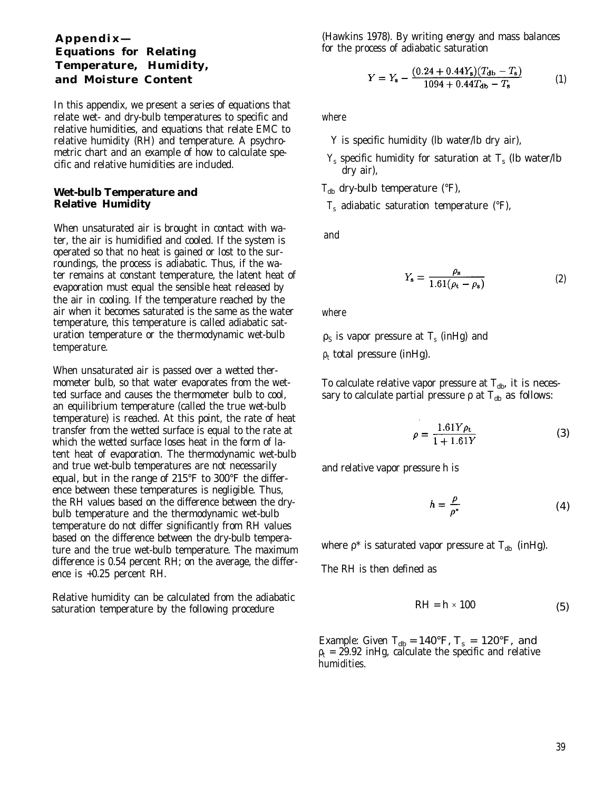#### **Appendix— Equations for Relating Temperature, Humidity, and Moisture Content**

In this appendix, we present a series of equations that relate wet- and dry-bulb temperatures to specific and relative humidities, and equations that relate EMC to relative humidity (RH) and temperature. A psychrometric chart and an example of how to calculate specific and relative humidities are included.

#### **Wet-bulb Temperature and Relative Humidity**

When unsaturated air is brought in contact with water, the air is humidified and cooled. If the system is operated so that no heat is gained or lost to the surroundings, the process is adiabatic. Thus, if the water remains at constant temperature, the latent heat of evaporation must equal the sensible heat released by the air in cooling. If the temperature reached by the air when it becomes saturated is the same as the water temperature, this temperature is called adiabatic saturation temperature or the thermodynamic wet-bulb temperature.

When unsaturated air is passed over a wetted thermometer bulb, so that water evaporates from the wetted surface and causes the thermometer bulb to cool, an equilibrium temperature (called the true wet-bulb temperature) is reached. At this point, the rate of heat transfer from the wetted surface is equal to the rate at which the wetted surface loses heat in the form of latent heat of evaporation. The thermodynamic wet-bulb and true wet-bulb temperatures are not necessarily equal, but in the range of 215°F to 300°F the difference between these temperatures is negligible. Thus, the RH values based on the difference between the drybulb temperature and the thermodynamic wet-bulb temperature do not differ significantly from RH values based on the difference between the dry-bulb temperature and the true wet-bulb temperature. The maximum difference is 0.54 percent RH; on the average, the difference is +0.25 percent RH.

Relative humidity can be calculated from the adiabatic saturation temperature by the following procedure

(Hawkins 1978). By writing energy and mass balances for the process of adiabatic saturation

$$
Y = Y_{s} - \frac{(0.24 + 0.44Y_{s})(T_{db} - T_{s})}{1094 + 0.44T_{db} - T_{s}}
$$
(1)

where

- *Y* is specific humidity (lb water/lb dry air),
- $Y_s$  specific humidity for saturation at  $T_s$  (lb water/lb dry air),
- $T_{db}$  dry-bulb temperature (°F),

*T*s adiabatic saturation temperature (°F),

and

$$
Y_{\rm s} = \frac{\rho_{\rm s}}{1.61(\rho_{\rm t} - \rho_{\rm s})} \tag{2}
$$

where

 $\rho_{\rm S}$  is vapor pressure at  $T_{\rm s}$  (inHg) and  $\rho_{\rm t}$  total pressure (inHg).

To calculate relative vapor pressure at  $T_{db}$ , it is necessary to calculate partial pressure  $\rho$  at  $T_{db}$  as follows:

$$
\rho = \frac{1.61Y\rho_{\rm t}}{1 + 1.61Y} \tag{3}
$$

and relative vapor pressure *h is*

$$
h = \frac{\rho}{\rho^*} \tag{4}
$$

where  $\rho^*$  is saturated vapor pressure at  $T_{db}$  (inHg).

The RH is then defined as

$$
RH = h \times 100 \tag{5}
$$

Example: Given  $T_{db} = 140$ °F,  $T_s = 120$ °F, and  $\rho_{\rm t}$  = 29.92 inHg, calculate the specific and relative humidities.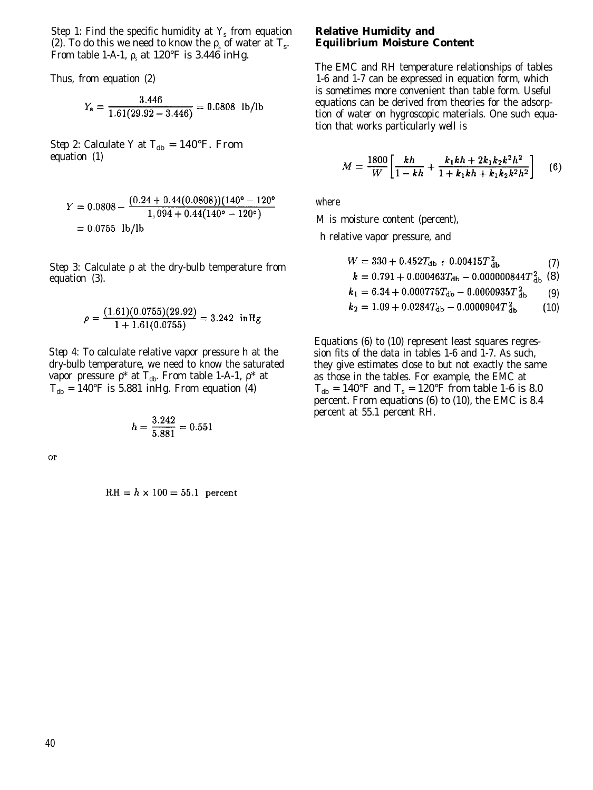Step 1: Find the specific humidity at *Y*<sub>s</sub> from equation (2). To do this we need to know the  $\rho_s$  of water at  $T_s$ . From table 1-A-1,  $\rho_s$  at 120°F is 3.446 inHg.

Thus, from equation (2)

$$
Y_{\rm s} = \frac{3.446}{1.61(29.92 - 3.446)} = 0.0808
$$
 lb/lb

*Step 2:* Calculate *Y* at  $T_{db} = 140$ °F. From equation (1)

$$
Y = 0.0808 - \frac{(0.24 + 0.44(0.0808))(140^{\circ} - 120^{\circ})}{1,094 + 0.44(140^{\circ} - 120^{\circ})}
$$
  
= 0.0755 lb/lb

*Step 3:* Calculate ρ at the dry-bulb temperature from equation (3).

$$
\rho = \frac{(1.61)(0.0755)(29.92)}{1 + 1.61(0.0755)} = 3.242 \text{ in Hg}
$$

*Step* 4: To calculate relative vapor pressure *h* at the dry-bulb temperature, we need to know the saturated vapor pressure  $ρ^*$  at  $T_{db}$ . From table 1-A-1,  $ρ^*$  at  $T_{\text{db}} = 140$ °F is 5.881 inHg. From equation (4)

$$
h = \frac{3.242}{5.881} = 0.551
$$

 $\overline{or}$ 

 $RH = h \times 100 = 55.1$  percent

#### **Relative Humidity and Equilibrium Moisture Content**

The EMC and RH temperature relationships of tables 1-6 and 1-7 can be expressed in equation form, which is sometimes more convenient than table form. Useful equations can be derived from theories for the adsorption of water on hygroscopic materials. One such equation that works particularly well is

$$
M = \frac{1800}{W} \left[ \frac{kh}{1 - kh} + \frac{k_1kh + 2k_1k_2k^2h^2}{1 + k_1kh + k_1k_2k^2h^2} \right] \tag{6}
$$

where

*M* is moisture content (percent),

*h* relative vapor pressure, and

$$
W = 330 + 0.452T_{\text{db}} + 0.00415T_{\text{db}}^{2}
$$
 (7)  

$$
k = 0.791 + 0.000463T_{\text{db}} - 0.000000844T_{\text{db}}^{2}
$$
 (8)  

$$
k_1 = 6.34 + 0.000775T_{\text{db}} - 0.0000935T_{\text{db}}^{2}
$$
 (9)

$$
k_2 = 1.09 + 0.0284T_{\rm db} - 0.0000904T_{\rm db}^2 \tag{10}
$$

Equations (6) to (10) represent least squares regression fits of the data in tables 1-6 and 1-7. As such, they give estimates close to but not exactly the same as those in the tables. For example, the EMC at  $T_{\text{db}} = 140^{\circ} \text{F}$  and  $T_{\text{s}} = 120^{\circ} \text{F}$  from table 1-6 is 8.0 percent. From equations (6) to (10), the EMC is 8.4 percent at 55.1 percent RH.